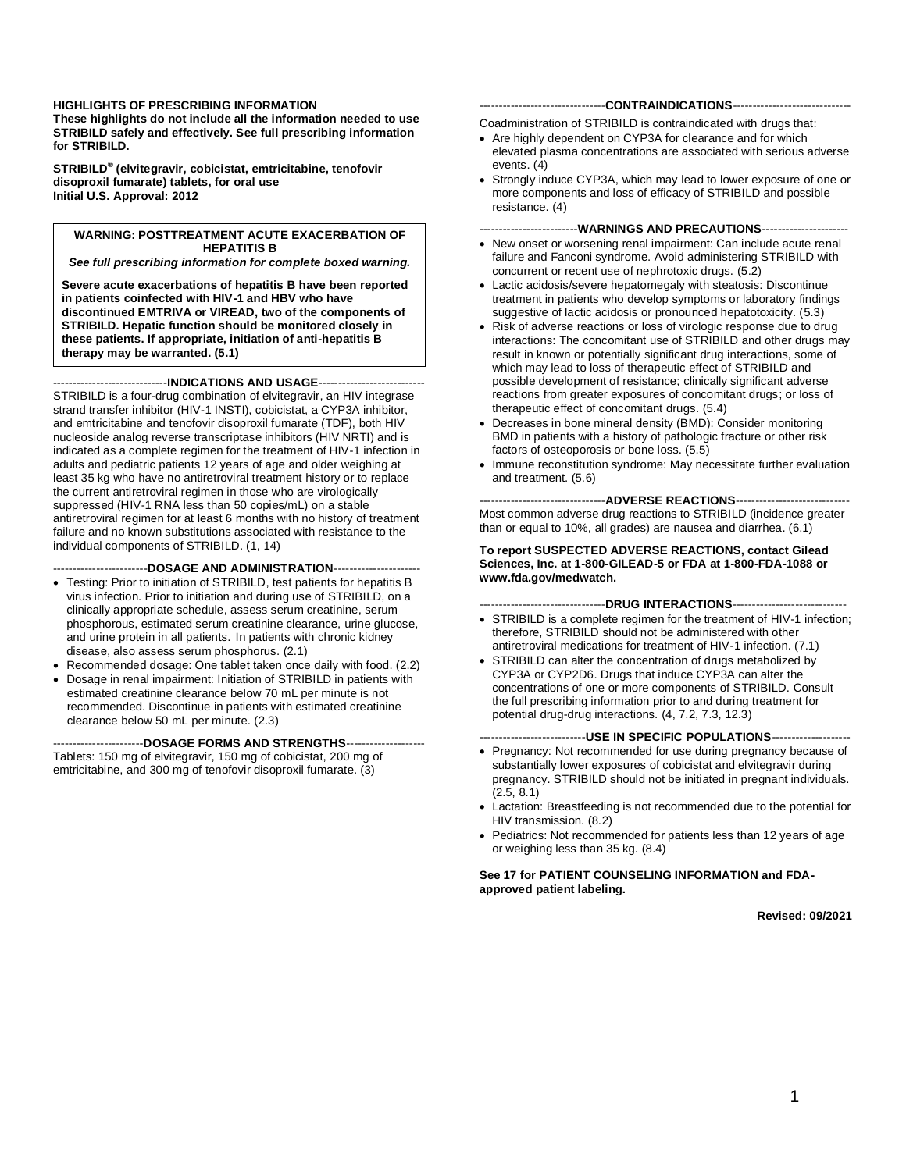#### **HIGHLIGHTS OF PRESCRIBING INFORMATION These highlights do not include all the information needed to use STRIBILD safely and effectively. See full prescribing information for STRIBILD.**

**STRIBILD® (elvitegravir, cobicistat, emtricitabine, tenofovir disoproxil fumarate) tablets, for oral use Initial U.S. Approval: 2012**

#### **WARNING: POSTTREATMENT ACUTE EXACERBATION OF HEPATITIS B**

*See full prescribing information for complete boxed warning.*

**Severe acute exacerbations of hepatitis B have been reported in patients coinfected with HIV-1 and HBV who have discontinued EMTRIVA or VIREAD, two of the components of STRIBILD. Hepatic function should be monitored closely in these patients. If appropriate, initiation of anti-hepatitis B therapy may be warranted. (5.1)**

-----------------------------**INDICATIONS AND USAGE**---------------------------

STRIBILD is a four-drug combination of elvitegravir, an HIV integrase strand transfer inhibitor (HIV-1 INSTI), cobicistat, a CYP3A inhibitor, and emtricitabine and tenofovir disoproxil fumarate (TDF), both HIV nucleoside analog reverse transcriptase inhibitors (HIV NRTI) and is indicated as a complete regimen for the treatment of HIV-1 infection in adults and pediatric patients 12 years of age and older weighing at least 35 kg who have no antiretroviral treatment history or to replace the current antiretroviral regimen in those who are virologically suppressed (HIV-1 RNA less than 50 copies/mL) on a stable antiretroviral regimen for at least 6 months with no history of treatment failure and no known substitutions associated with resistance to the individual components of STRIBILD. (1, 14)

------------------------**DOSAGE AND ADMINISTRATION**----------------------

- Testing: Prior to initiation of STRIBILD, test patients for hepatitis B virus infection. Prior to initiation and during use of STRIBILD, on a clinically appropriate schedule, assess serum creatinine, serum phosphorous, estimated serum creatinine clearance, urine glucose, and urine protein in all patients. In patients with chronic kidney disease, also assess serum phosphorus. (2.1)
- Recommended dosage: One tablet taken once daily with food. (2.2)
- Dosage in renal impairment: Initiation of STRIBILD in patients with estimated creatinine clearance below 70 mL per minute is not recommended. Discontinue in patients with estimated creatinine clearance below 50 mL per minute. (2.3)

-----------------------**DOSAGE FORMS AND STRENGTHS**--------------------

Tablets: 150 mg of elvitegravir, 150 mg of cobicistat, 200 mg of emtricitabine, and 300 mg of tenofovir disoproxil fumarate. (3)

#### --------------------------------**CONTRAINDICATIONS**------------------------------

Coadministration of STRIBILD is contraindicated with drugs that:

- Are highly dependent on CYP3A for clearance and for which elevated plasma concentrations are associated with serious adverse events. (4)
- Strongly induce CYP3A, which may lead to lower exposure of one or more components and loss of efficacy of STRIBILD and possible resistance. (4)

-------------------------**WARNINGS AND PRECAUTIONS**----------------------

- New onset or worsening renal impairment: Can include acute renal failure and Fanconi syndrome. Avoid administering STRIBILD with concurrent or recent use of nephrotoxic drugs. (5.2)
- Lactic acidosis/severe hepatomegaly with steatosis: Discontinue treatment in patients who develop symptoms or laboratory findings suggestive of lactic acidosis or pronounced hepatotoxicity. (5.3)
- Risk of adverse reactions or loss of virologic response due to drug interactions: The concomitant use of STRIBILD and other drugs may result in known or potentially significant drug interactions, some of which may lead to loss of therapeutic effect of STRIBILD and possible development of resistance; clinically significant adverse reactions from greater exposures of concomitant drugs; or loss of therapeutic effect of concomitant drugs. (5.4)
- Decreases in bone mineral density (BMD): Consider monitoring BMD in patients with a history of pathologic fracture or other risk factors of osteoporosis or bone loss. (5.5)
- Immune reconstitution syndrome: May necessitate further evaluation and treatment. (5.6)

--------------------------------**ADVERSE REACTIONS**----------------------------- Most common adverse drug reactions to STRIBILD (incidence greater than or equal to 10%, all grades) are nausea and diarrhea. (6.1)

#### **To report SUSPECTED ADVERSE REACTIONS, contact Gilead Sciences, Inc. at 1-800-GILEAD-5 or FDA at 1-800-FDA-1088 or www.fda.gov/medwatch.**

--------------------------------**DRUG INTERACTIONS**-----------------------------

- STRIBILD is a complete regimen for the treatment of HIV-1 infection; therefore, STRIBILD should not be administered with other antiretroviral medications for treatment of HIV-1 infection. (7.1)
- STRIBILD can alter the concentration of drugs metabolized by CYP3A or CYP2D6. Drugs that induce CYP3A can alter the concentrations of one or more components of STRIBILD. Consult the full prescribing information prior to and during treatment for potential drug-drug interactions. (4, 7.2, 7.3, 12.3)

#### ---------------------------**USE IN SPECIFIC POPULATIONS**--------------------

- Pregnancy: Not recommended for use during pregnancy because of substantially lower exposures of cobicistat and elvitegravir during pregnancy. STRIBILD should not be initiated in pregnant individuals. (2.5, 8.1)
- Lactation: Breastfeeding is not recommended due to the potential for HIV transmission. (8.2)
- Pediatrics: Not recommended for patients less than 12 years of age or weighing less than 35 kg. (8.4)

#### **See 17 for PATIENT COUNSELING INFORMATION and FDAapproved patient labeling.**

**Revised: 09/2021**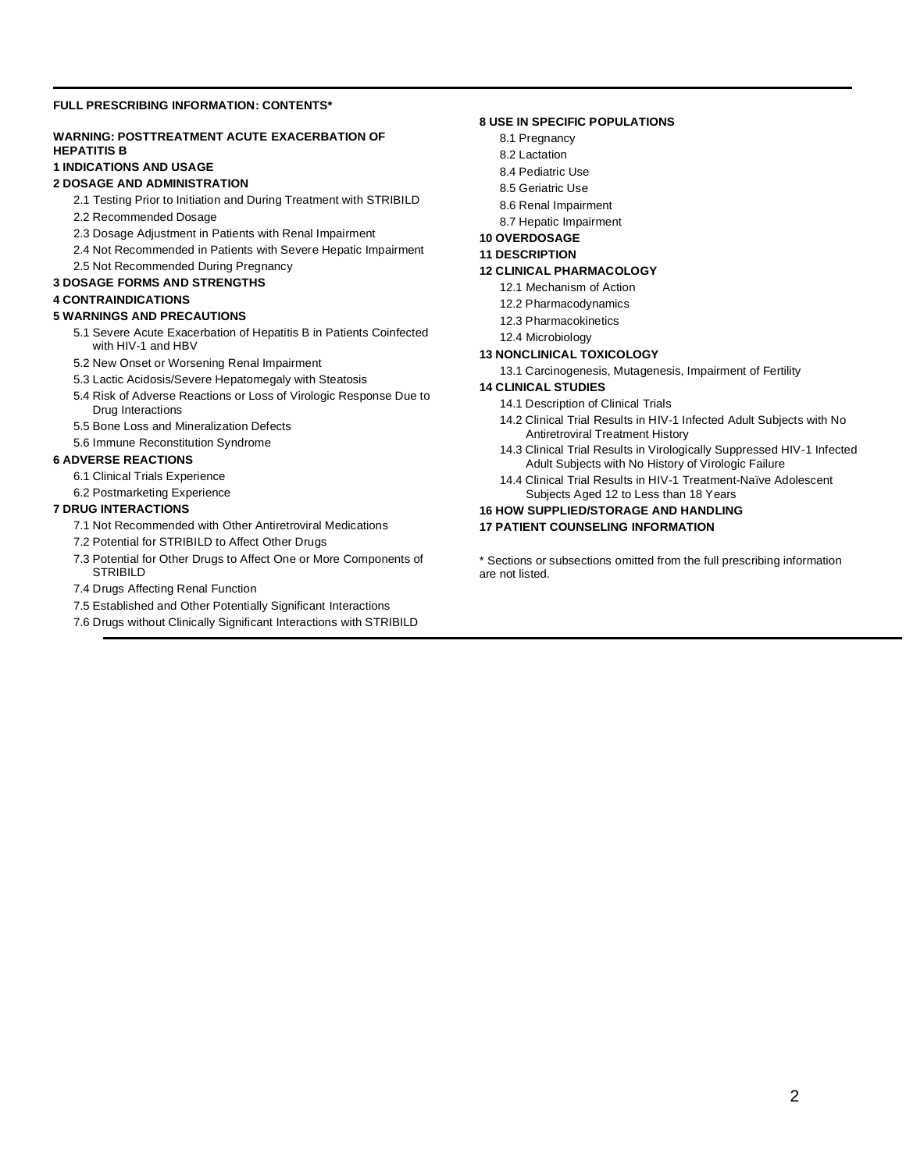#### **FULL PRESCRIBING INFORMATION: CONTENTS\***

#### **WARNING: POSTTREATMENT ACUTE EXACERBATION OF HEPATITIS B**

#### **1 INDICATIONS AND USAGE**

#### **2 DOSAGE AND ADMINISTRATION**

- 2.1 Testing Prior to Initiation and During Treatment with STRIBILD
- 2.2 Recommended Dosage
- 2.3 Dosage Adjustment in Patients with Renal Impairment
- 2.4 Not Recommended in Patients with Severe Hepatic Impairment
- 2.5 Not Recommended During Pregnancy

#### **3 DOSAGE FORMS AND STRENGTHS**

#### **4 CONTRAINDICATIONS**

#### **5 WARNINGS AND PRECAUTIONS**

- 5.1 Severe Acute Exacerbation of Hepatitis B in Patients Coinfected with HIV-1 and HBV
- 5.2 New Onset or Worsening Renal Impairment
- 5.3 Lactic Acidosis/Severe Hepatomegaly with Steatosis
- 5.4 Risk of Adverse Reactions or Loss of Virologic Response Due to Drug Interactions
- 5.5 Bone Loss and Mineralization Defects
- 5.6 Immune Reconstitution Syndrome

#### **6 ADVERSE REACTIONS**

- 6.1 Clinical Trials Experience
- 6.2 Postmarketing Experience

#### **7 DRUG INTERACTIONS**

- 7.1 Not Recommended with Other Antiretroviral Medications
- 7.2 Potential for STRIBILD to Affect Other Drugs
- 7.3 Potential for Other Drugs to Affect One or More Components of **STRIBILD**
- 7.4 Drugs Affecting Renal Function
- 7.5 Established and Other Potentially Significant Interactions
- 7.6 Drugs without Clinically Significant Interactions with STRIBILD

#### **8 USE IN SPECIFIC POPULATIONS**

- 8.1 Pregnancy
- 8.2 Lactation
- 8.4 Pediatric Use
- 8.5 Geriatric Use
- 8.6 Renal Impairment
- 8.7 Hepatic Impairment

#### **10 OVERDOSAGE**

#### **11 DESCRIPTION**

#### **12 CLINICAL PHARMACOLOGY**

- 12.1 Mechanism of Action
- 12.2 Pharmacodynamics
- 12.3 Pharmacokinetics
- 12.4 Microbiology

#### **13 NONCLINICAL TOXICOLOGY**

13.1 Carcinogenesis, Mutagenesis, Impairment of Fertility

#### **14 CLINICAL STUDIES**

- 14.1 Description of Clinical Trials
- 14.2 Clinical Trial Results in HIV-1 Infected Adult Subjects with No Antiretroviral Treatment History
- 14.3 Clinical Trial Results in Virologically Suppressed HIV-1 Infected Adult Subjects with No History of Virologic Failure
- 14.4 Clinical Trial Results in HIV-1 Treatment-Naïve Adolescent Subjects Aged 12 to Less than 18 Years

#### **16 HOW SUPPLIED/STORAGE AND HANDLING**

**17 PATIENT COUNSELING INFORMATION** 

\* Sections or subsections omitted from the full prescribing information are not listed.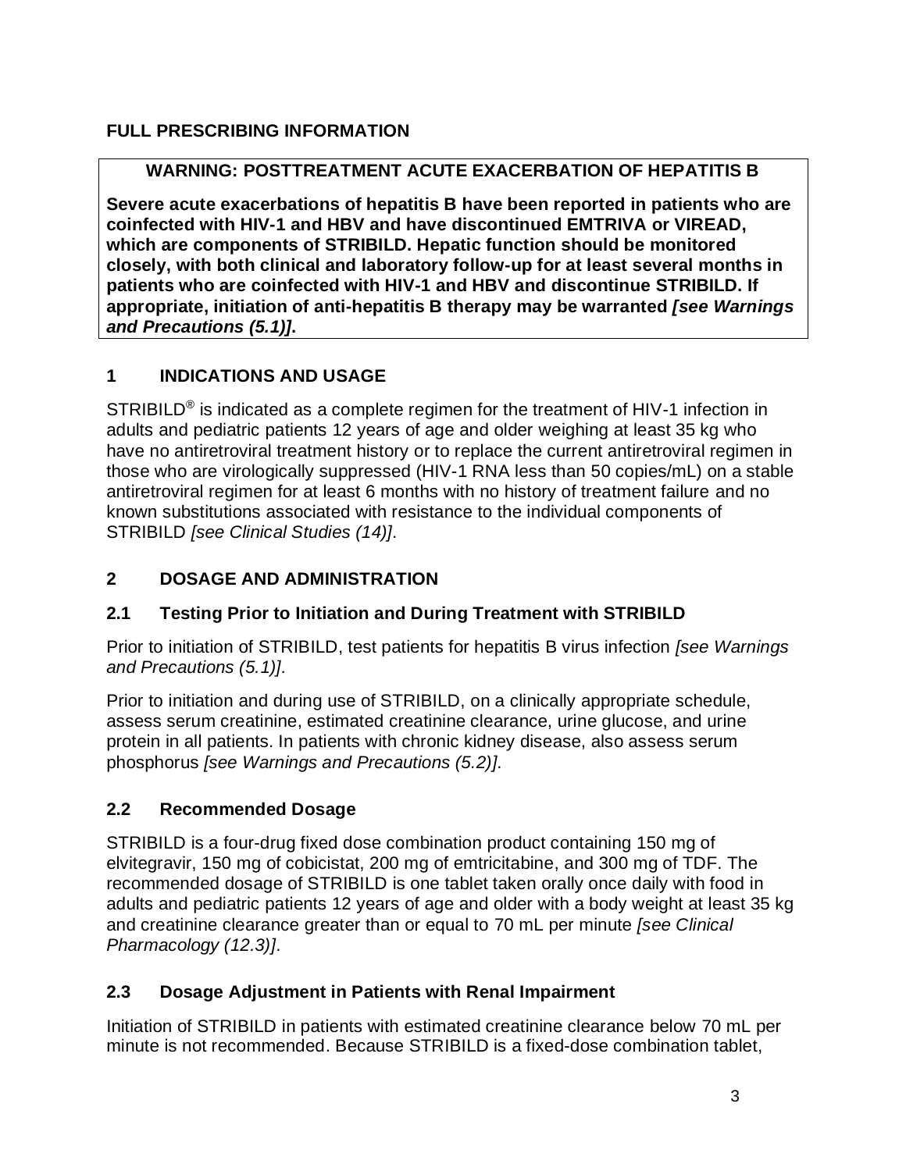# **FULL PRESCRIBING INFORMATION**

# **WARNING: POSTTREATMENT ACUTE EXACERBATION OF HEPATITIS B**

**Severe acute exacerbations of hepatitis B have been reported in patients who are coinfected with HIV-1 and HBV and have discontinued EMTRIVA or VIREAD, which are components of STRIBILD. Hepatic function should be monitored closely, with both clinical and laboratory follow-up for at least several months in patients who are coinfected with HIV-1 and HBV and discontinue STRIBILD. If appropriate, initiation of anti-hepatitis B therapy may be warranted** *[see Warnings and Precautions (5.1)]***.**

# **1 INDICATIONS AND USAGE**

STRIBILD<sup>®</sup> is indicated as a complete regimen for the treatment of HIV-1 infection in adults and pediatric patients 12 years of age and older weighing at least 35 kg who have no antiretroviral treatment history or to replace the current antiretroviral regimen in those who are virologically suppressed (HIV-1 RNA less than 50 copies/mL) on a stable antiretroviral regimen for at least 6 months with no history of treatment failure and no known substitutions associated with resistance to the individual components of STRIBILD *[see Clinical Studies (14)]*.

# **2 DOSAGE AND ADMINISTRATION**

# **2.1 Testing Prior to Initiation and During Treatment with STRIBILD**

Prior to initiation of STRIBILD, test patients for hepatitis B virus infection *[see Warnings and Precautions (5.1)]*.

Prior to initiation and during use of STRIBILD, on a clinically appropriate schedule, assess serum creatinine, estimated creatinine clearance, urine glucose, and urine protein in all patients. In patients with chronic kidney disease, also assess serum phosphorus *[see Warnings and Precautions (5.2)]*.

# **2.2 Recommended Dosage**

STRIBILD is a four-drug fixed dose combination product containing 150 mg of elvitegravir, 150 mg of cobicistat, 200 mg of emtricitabine, and 300 mg of TDF. The recommended dosage of STRIBILD is one tablet taken orally once daily with food in adults and pediatric patients 12 years of age and older with a body weight at least 35 kg and creatinine clearance greater than or equal to 70 mL per minute *[see Clinical Pharmacology (12.3)]*.

# **2.3 Dosage Adjustment in Patients with Renal Impairment**

Initiation of STRIBILD in patients with estimated creatinine clearance below 70 mL per minute is not recommended. Because STRIBILD is a fixed-dose combination tablet,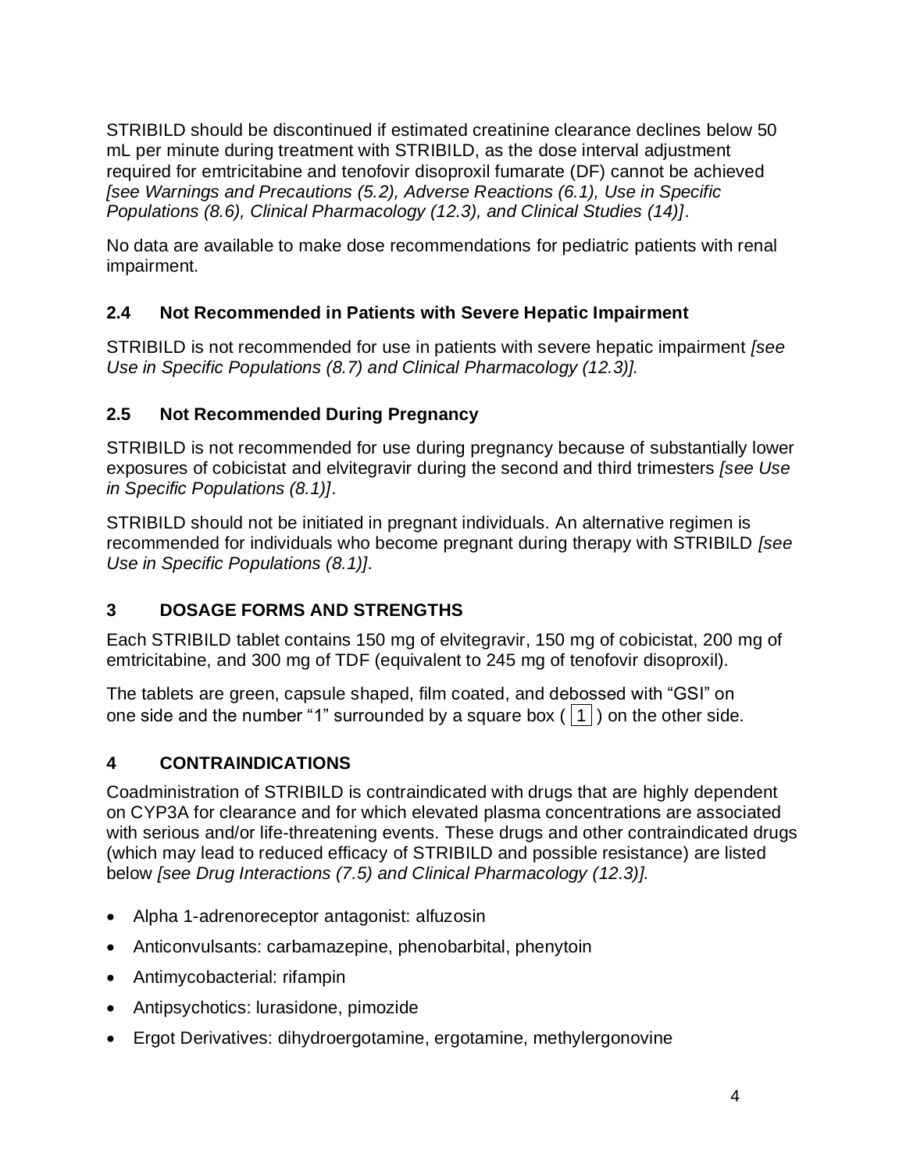STRIBILD should be discontinued if estimated creatinine clearance declines below 50 mL per minute during treatment with STRIBILD, as the dose interval adjustment required for emtricitabine and tenofovir disoproxil fumarate (DF) cannot be achieved *[see Warnings and Precautions (5.2), Adverse Reactions (6.1), Use in Specific Populations (8.6), Clinical Pharmacology (12.3), and Clinical Studies (14)]*.

No data are available to make dose recommendations for pediatric patients with renal impairment.

# **2.4 Not Recommended in Patients with Severe Hepatic Impairment**

STRIBILD is not recommended for use in patients with severe hepatic impairment *[see Use in Specific Populations (8.7) and Clinical Pharmacology (12.3)].*

# **2.5 Not Recommended During Pregnancy**

STRIBILD is not recommended for use during pregnancy because of substantially lower exposures of cobicistat and elvitegravir during the second and third trimesters *[see Use in Specific Populations (8.1)]*.

STRIBILD should not be initiated in pregnant individuals. An alternative regimen is recommended for individuals who become pregnant during therapy with STRIBILD *[see Use in Specific Populations (8.1)]*.

# **3 DOSAGE FORMS AND STRENGTHS**

Each STRIBILD tablet contains 150 mg of elvitegravir, 150 mg of cobicistat, 200 mg of emtricitabine, and 300 mg of TDF (equivalent to 245 mg of tenofovir disoproxil).

The tablets are green, capsule shaped, film coated, and debossed with "GSI" on one side and the number "1" surrounded by a square box ( $|1|$ ) on the other side.

# **4 CONTRAINDICATIONS**

Coadministration of STRIBILD is contraindicated with drugs that are highly dependent on CYP3A for clearance and for which elevated plasma concentrations are associated with serious and/or life-threatening events. These drugs and other contraindicated drugs (which may lead to reduced efficacy of STRIBILD and possible resistance) are listed below *[see Drug Interactions (7.5) and Clinical Pharmacology (12.3)].*

- Alpha 1-adrenoreceptor antagonist: alfuzosin
- Anticonvulsants: carbamazepine, phenobarbital, phenytoin
- Antimycobacterial: rifampin
- Antipsychotics: lurasidone, pimozide
- Ergot Derivatives: dihydroergotamine, ergotamine, methylergonovine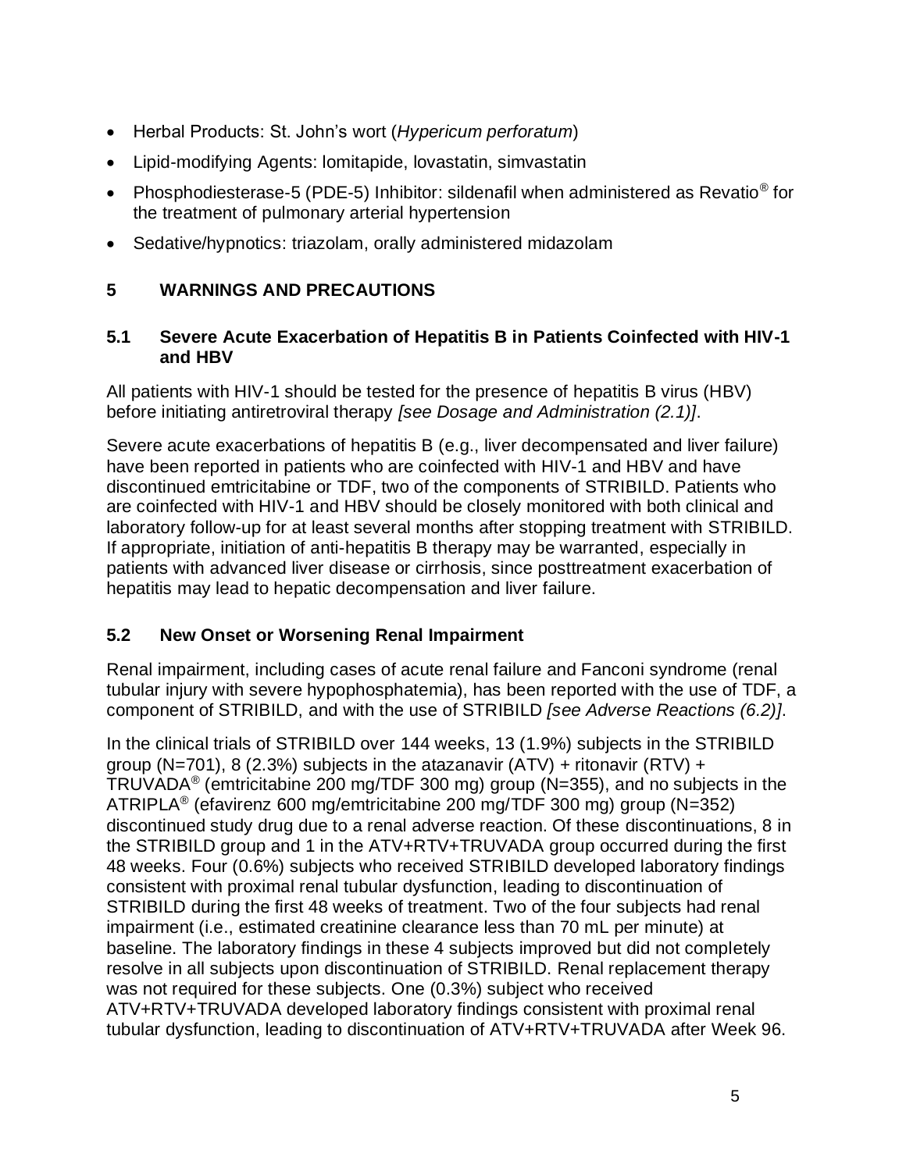- Herbal Products: St. John's wort (*Hypericum perforatum*)
- Lipid-modifying Agents: lomitapide, lovastatin, simvastatin
- Phosphodiesterase-5 (PDE-5) Inhibitor: sildenafil when administered as Revatio<sup>®</sup> for the treatment of pulmonary arterial hypertension
- Sedative/hypnotics: triazolam, orally administered midazolam

## **5 WARNINGS AND PRECAUTIONS**

### **5.1 Severe Acute Exacerbation of Hepatitis B in Patients Coinfected with HIV-1 and HBV**

All patients with HIV-1 should be tested for the presence of hepatitis B virus (HBV) before initiating antiretroviral therapy *[see Dosage and Administration (2.1)]*.

Severe acute exacerbations of hepatitis B (e.g., liver decompensated and liver failure) have been reported in patients who are coinfected with HIV-1 and HBV and have discontinued emtricitabine or TDF, two of the components of STRIBILD. Patients who are coinfected with HIV-1 and HBV should be closely monitored with both clinical and laboratory follow-up for at least several months after stopping treatment with STRIBILD. If appropriate, initiation of anti-hepatitis B therapy may be warranted, especially in patients with advanced liver disease or cirrhosis, since posttreatment exacerbation of hepatitis may lead to hepatic decompensation and liver failure.

## **5.2 New Onset or Worsening Renal Impairment**

Renal impairment, including cases of acute renal failure and Fanconi syndrome (renal tubular injury with severe hypophosphatemia), has been reported with the use of TDF, a component of STRIBILD, and with the use of STRIBILD *[see Adverse Reactions (6.2)]*.

In the clinical trials of STRIBILD over 144 weeks, 13 (1.9%) subjects in the STRIBILD group (N=701), 8 (2.3%) subjects in the atazanavir (ATV) + ritonavir (RTV) + TRUVADA® (emtricitabine 200 mg/TDF 300 mg) group (N=355), and no subjects in the ATRIPLA<sup>®</sup> (efavirenz 600 mg/emtricitabine 200 mg/TDF 300 mg) group (N=352) discontinued study drug due to a renal adverse reaction. Of these discontinuations, 8 in the STRIBILD group and 1 in the ATV+RTV+TRUVADA group occurred during the first 48 weeks. Four (0.6%) subjects who received STRIBILD developed laboratory findings consistent with proximal renal tubular dysfunction, leading to discontinuation of STRIBILD during the first 48 weeks of treatment. Two of the four subjects had renal impairment (i.e., estimated creatinine clearance less than 70 mL per minute) at baseline. The laboratory findings in these 4 subjects improved but did not completely resolve in all subjects upon discontinuation of STRIBILD. Renal replacement therapy was not required for these subjects. One (0.3%) subject who received ATV+RTV+TRUVADA developed laboratory findings consistent with proximal renal tubular dysfunction, leading to discontinuation of ATV+RTV+TRUVADA after Week 96.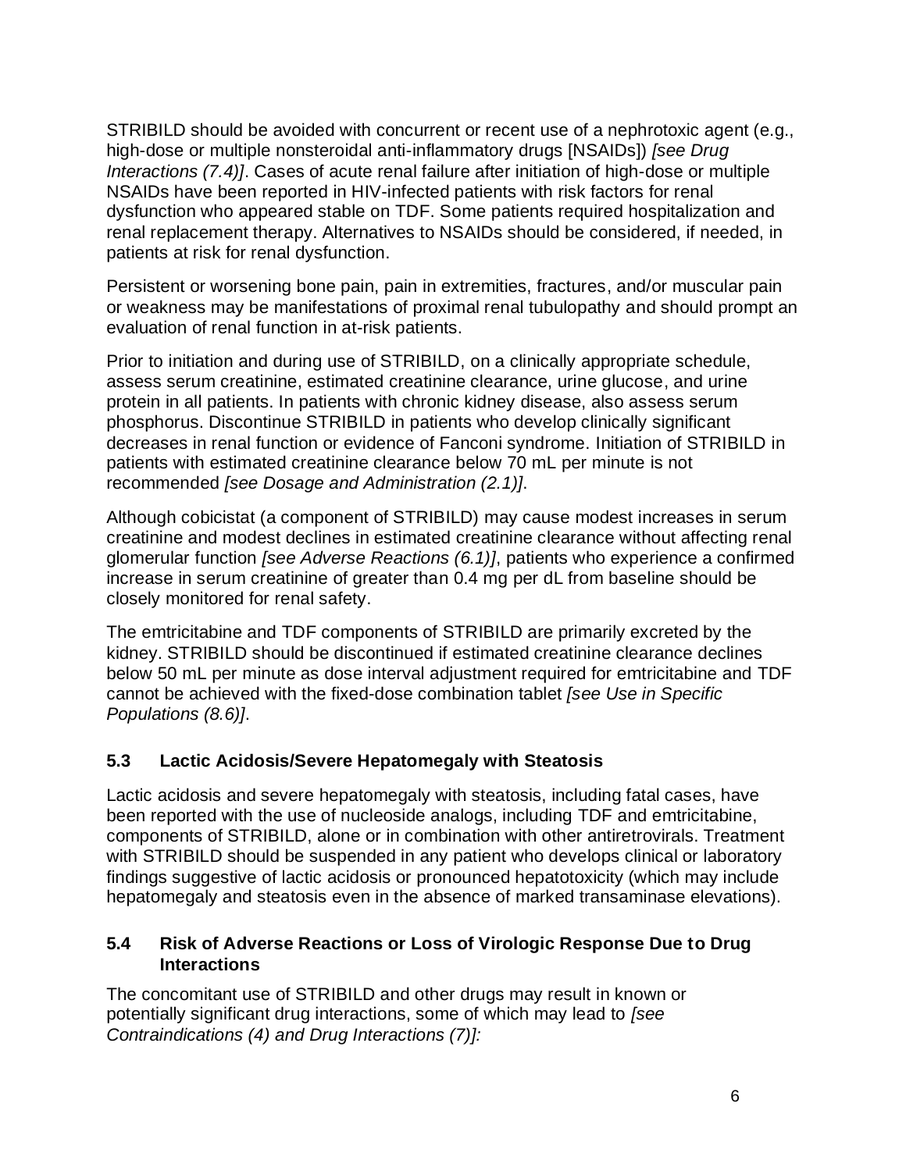STRIBILD should be avoided with concurrent or recent use of a nephrotoxic agent (e.g., high-dose or multiple nonsteroidal anti-inflammatory drugs [NSAIDs]) *[see Drug Interactions (7.4)]*. Cases of acute renal failure after initiation of high-dose or multiple NSAIDs have been reported in HIV-infected patients with risk factors for renal dysfunction who appeared stable on TDF. Some patients required hospitalization and renal replacement therapy. Alternatives to NSAIDs should be considered, if needed, in patients at risk for renal dysfunction.

Persistent or worsening bone pain, pain in extremities, fractures, and/or muscular pain or weakness may be manifestations of proximal renal tubulopathy and should prompt an evaluation of renal function in at-risk patients.

Prior to initiation and during use of STRIBILD, on a clinically appropriate schedule, assess serum creatinine, estimated creatinine clearance, urine glucose, and urine protein in all patients. In patients with chronic kidney disease, also assess serum phosphorus. Discontinue STRIBILD in patients who develop clinically significant decreases in renal function or evidence of Fanconi syndrome. Initiation of STRIBILD in patients with estimated creatinine clearance below 70 mL per minute is not recommended *[see Dosage and Administration (2.1)]*.

Although cobicistat (a component of STRIBILD) may cause modest increases in serum creatinine and modest declines in estimated creatinine clearance without affecting renal glomerular function *[see Adverse Reactions (6.1)]*, patients who experience a confirmed increase in serum creatinine of greater than 0.4 mg per dL from baseline should be closely monitored for renal safety.

The emtricitabine and TDF components of STRIBILD are primarily excreted by the kidney. STRIBILD should be discontinued if estimated creatinine clearance declines below 50 mL per minute as dose interval adjustment required for emtricitabine and TDF cannot be achieved with the fixed-dose combination tablet *[see Use in Specific Populations (8.6)]*.

## **5.3 Lactic Acidosis/Severe Hepatomegaly with Steatosis**

Lactic acidosis and severe hepatomegaly with steatosis, including fatal cases, have been reported with the use of nucleoside analogs, including TDF and emtricitabine, components of STRIBILD, alone or in combination with other antiretrovirals. Treatment with STRIBILD should be suspended in any patient who develops clinical or laboratory findings suggestive of lactic acidosis or pronounced hepatotoxicity (which may include hepatomegaly and steatosis even in the absence of marked transaminase elevations).

## **5.4 Risk of Adverse Reactions or Loss of Virologic Response Due to Drug Interactions**

The concomitant use of STRIBILD and other drugs may result in known or potentially significant drug interactions, some of which may lead to *[see Contraindications (4) and Drug Interactions (7)]:*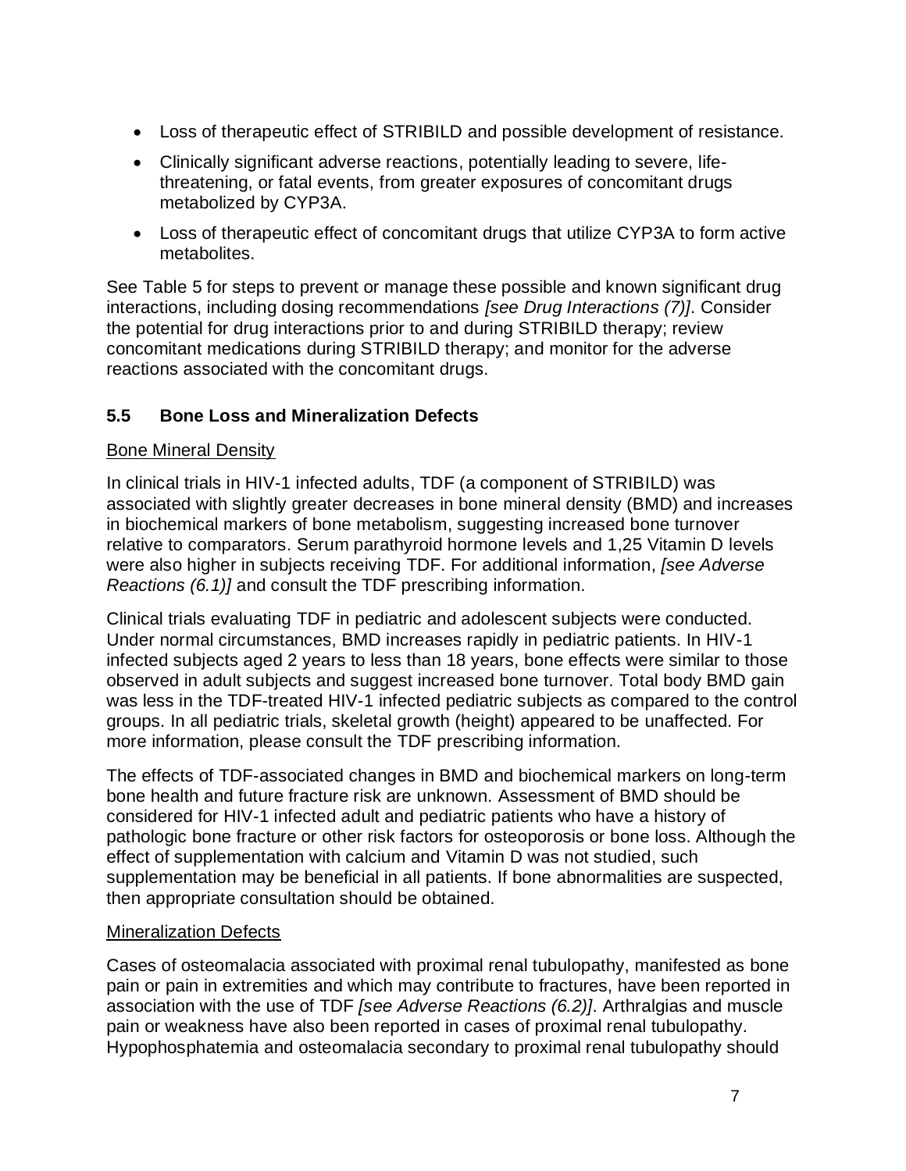- Loss of therapeutic effect of STRIBILD and possible development of resistance.
- Clinically significant adverse reactions, potentially leading to severe, lifethreatening, or fatal events, from greater exposures of concomitant drugs metabolized by CYP3A.
- Loss of therapeutic effect of concomitant drugs that utilize CYP3A to form active metabolites.

See Table 5 for steps to prevent or manage these possible and known significant drug interactions, including dosing recommendations *[see Drug Interactions (7)]*. Consider the potential for drug interactions prior to and during STRIBILD therapy; review concomitant medications during STRIBILD therapy; and monitor for the adverse reactions associated with the concomitant drugs.

## **5.5 Bone Loss and Mineralization Defects**

### Bone Mineral Density

In clinical trials in HIV-1 infected adults, TDF (a component of STRIBILD) was associated with slightly greater decreases in bone mineral density (BMD) and increases in biochemical markers of bone metabolism, suggesting increased bone turnover relative to comparators. Serum parathyroid hormone levels and 1,25 Vitamin D levels were also higher in subjects receiving TDF. For additional information, *[see Adverse Reactions (6.1)]* and consult the TDF prescribing information.

Clinical trials evaluating TDF in pediatric and adolescent subjects were conducted. Under normal circumstances, BMD increases rapidly in pediatric patients. In HIV-1 infected subjects aged 2 years to less than 18 years, bone effects were similar to those observed in adult subjects and suggest increased bone turnover. Total body BMD gain was less in the TDF-treated HIV-1 infected pediatric subjects as compared to the control groups. In all pediatric trials, skeletal growth (height) appeared to be unaffected. For more information, please consult the TDF prescribing information.

The effects of TDF-associated changes in BMD and biochemical markers on long-term bone health and future fracture risk are unknown. Assessment of BMD should be considered for HIV-1 infected adult and pediatric patients who have a history of pathologic bone fracture or other risk factors for osteoporosis or bone loss. Although the effect of supplementation with calcium and Vitamin D was not studied, such supplementation may be beneficial in all patients. If bone abnormalities are suspected, then appropriate consultation should be obtained.

#### Mineralization Defects

Cases of osteomalacia associated with proximal renal tubulopathy, manifested as bone pain or pain in extremities and which may contribute to fractures, have been reported in association with the use of TDF *[see Adverse Reactions (6.2)]*. Arthralgias and muscle pain or weakness have also been reported in cases of proximal renal tubulopathy. Hypophosphatemia and osteomalacia secondary to proximal renal tubulopathy should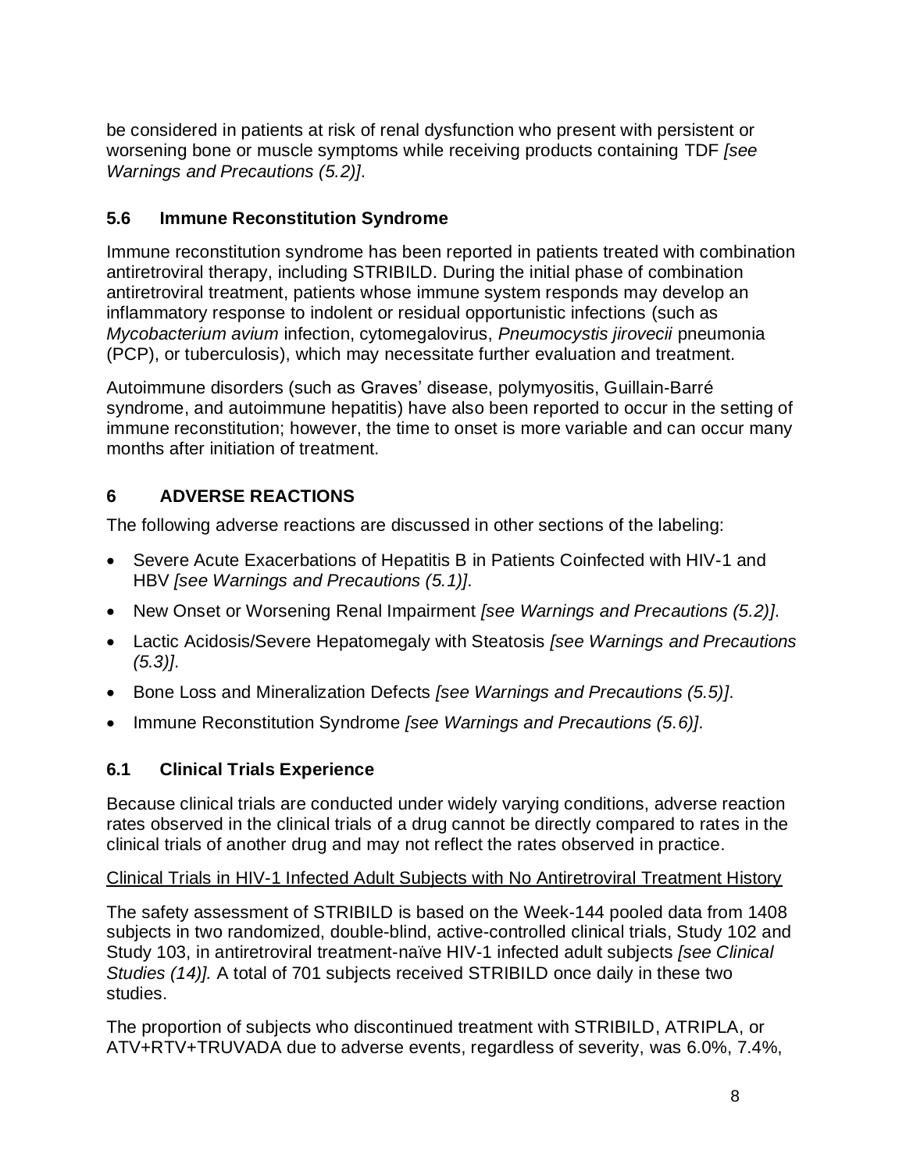be considered in patients at risk of renal dysfunction who present with persistent or worsening bone or muscle symptoms while receiving products containing TDF *[see Warnings and Precautions (5.2)]*.

# **5.6 Immune Reconstitution Syndrome**

Immune reconstitution syndrome has been reported in patients treated with combination antiretroviral therapy, including STRIBILD. During the initial phase of combination antiretroviral treatment, patients whose immune system responds may develop an inflammatory response to indolent or residual opportunistic infections (such as *Mycobacterium avium* infection, cytomegalovirus, *Pneumocystis jirovecii* pneumonia (PCP), or tuberculosis), which may necessitate further evaluation and treatment.

Autoimmune disorders (such as Graves' disease, polymyositis, Guillain-Barré syndrome, and autoimmune hepatitis) have also been reported to occur in the setting of immune reconstitution; however, the time to onset is more variable and can occur many months after initiation of treatment.

# **6 ADVERSE REACTIONS**

The following adverse reactions are discussed in other sections of the labeling:

- Severe Acute Exacerbations of Hepatitis B in Patients Coinfected with HIV-1 and HBV *[see Warnings and Precautions (5.1)]*.
- New Onset or Worsening Renal Impairment *[see Warnings and Precautions (5.2)]*.
- Lactic Acidosis/Severe Hepatomegaly with Steatosis *[see Warnings and Precautions (5.3)]*.
- Bone Loss and Mineralization Defects *[see Warnings and Precautions (5.5)]*.
- Immune Reconstitution Syndrome *[see Warnings and Precautions (5.6)]*.

# **6.1 Clinical Trials Experience**

Because clinical trials are conducted under widely varying conditions, adverse reaction rates observed in the clinical trials of a drug cannot be directly compared to rates in the clinical trials of another drug and may not reflect the rates observed in practice.

## Clinical Trials in HIV-1 Infected Adult Subjects with No Antiretroviral Treatment History

The safety assessment of STRIBILD is based on the Week-144 pooled data from 1408 subjects in two randomized, double-blind, active-controlled clinical trials, Study 102 and Study 103, in antiretroviral treatment-naïve HIV-1 infected adult subjects *[see Clinical Studies (14)].* A total of 701 subjects received STRIBILD once daily in these two studies.

The proportion of subjects who discontinued treatment with STRIBILD, ATRIPLA, or ATV+RTV+TRUVADA due to adverse events, regardless of severity, was 6.0%, 7.4%,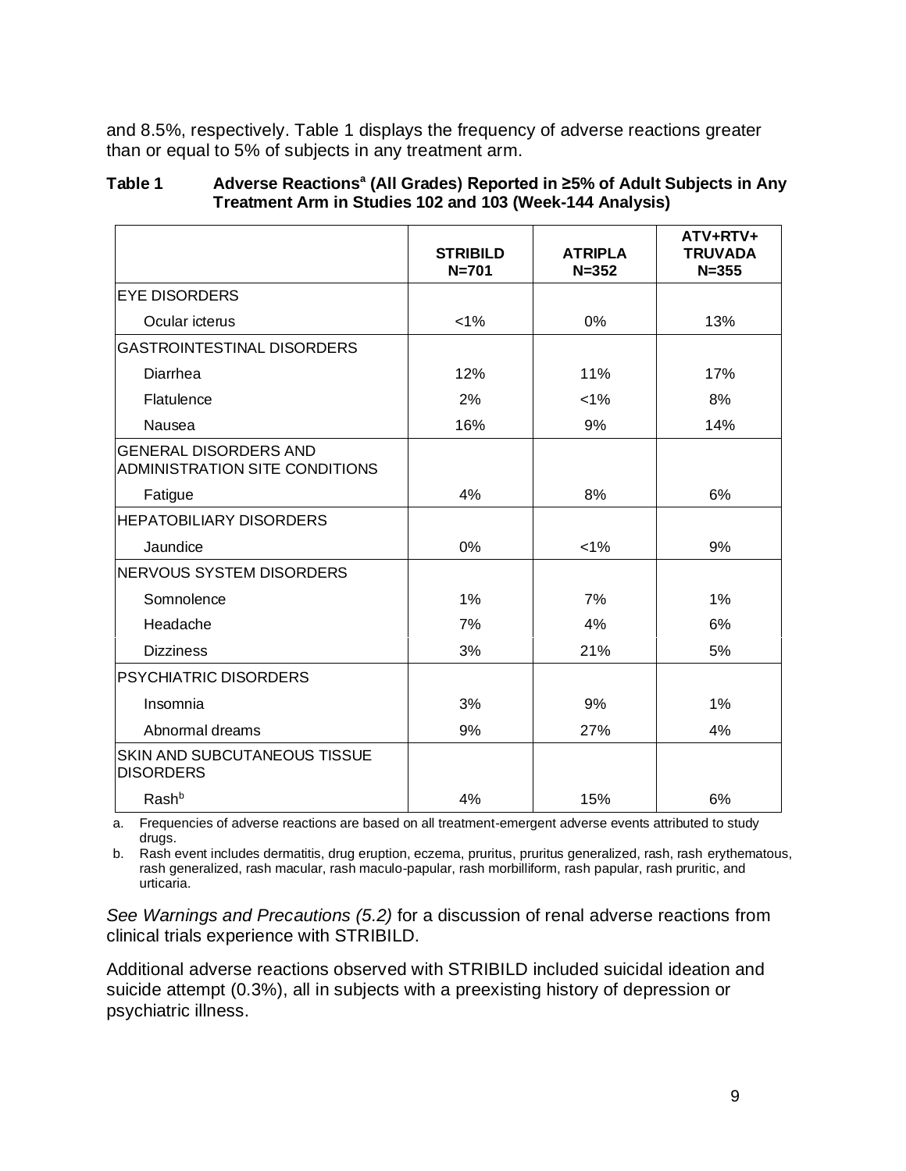and 8.5%, respectively. Table 1 displays the frequency of adverse reactions greater than or equal to 5% of subjects in any treatment arm.

#### **Table 1 Adverse Reactions<sup>a</sup> (All Grades) Reported in ≥5% of Adult Subjects in Any Treatment Arm in Studies 102 and 103 (Week-144 Analysis)**

|                                                                       | <b>STRIBILD</b><br>$N = 701$ | <b>ATRIPLA</b><br>$N = 352$ | ATV+RTV+<br><b>TRUVADA</b><br>$N = 355$ |
|-----------------------------------------------------------------------|------------------------------|-----------------------------|-----------------------------------------|
| <b>EYE DISORDERS</b>                                                  |                              |                             |                                         |
| Ocular icterus                                                        | $< 1\%$                      | 0%                          | 13%                                     |
| <b>GASTROINTESTINAL DISORDERS</b>                                     |                              |                             |                                         |
| Diarrhea                                                              | 12%                          | 11%                         | 17%                                     |
| Flatulence                                                            | 2%                           | $< 1\%$                     | 8%                                      |
| Nausea                                                                | 16%                          | 9%                          | 14%                                     |
| <b>GENERAL DISORDERS AND</b><br><b>ADMINISTRATION SITE CONDITIONS</b> |                              |                             |                                         |
| Fatigue                                                               | 4%                           | 8%                          | 6%                                      |
| <b>HEPATOBILIARY DISORDERS</b>                                        |                              |                             |                                         |
| Jaundice                                                              | 0%                           | $< 1\%$                     | 9%                                      |
| <b>NERVOUS SYSTEM DISORDERS</b>                                       |                              |                             |                                         |
| Somnolence                                                            | 1%                           | 7%                          | 1%                                      |
| Headache                                                              | 7%                           | 4%                          | 6%                                      |
| <b>Dizziness</b>                                                      | 3%                           | 21%                         | 5%                                      |
| <b>PSYCHIATRIC DISORDERS</b>                                          |                              |                             |                                         |
| Insomnia                                                              | 3%                           | 9%                          | 1%                                      |
| Abnormal dreams                                                       | 9%                           | 27%                         | 4%                                      |
| <b>SKIN AND SUBCUTANEOUS TISSUE</b><br><b>DISORDERS</b>               |                              |                             |                                         |
| Rash <sup>b</sup>                                                     | 4%                           | 15%                         | 6%                                      |

a. Frequencies of adverse reactions are based on all treatment-emergent adverse events attributed to study drugs.

b. Rash event includes dermatitis, drug eruption, eczema, pruritus, pruritus generalized, rash, rash erythematous, rash generalized, rash macular, rash maculo-papular, rash morbilliform, rash papular, rash pruritic, and urticaria.

*See Warnings and Precautions (5.2)* for a discussion of renal adverse reactions from clinical trials experience with STRIBILD.

Additional adverse reactions observed with STRIBILD included suicidal ideation and suicide attempt (0.3%), all in subjects with a preexisting history of depression or psychiatric illness.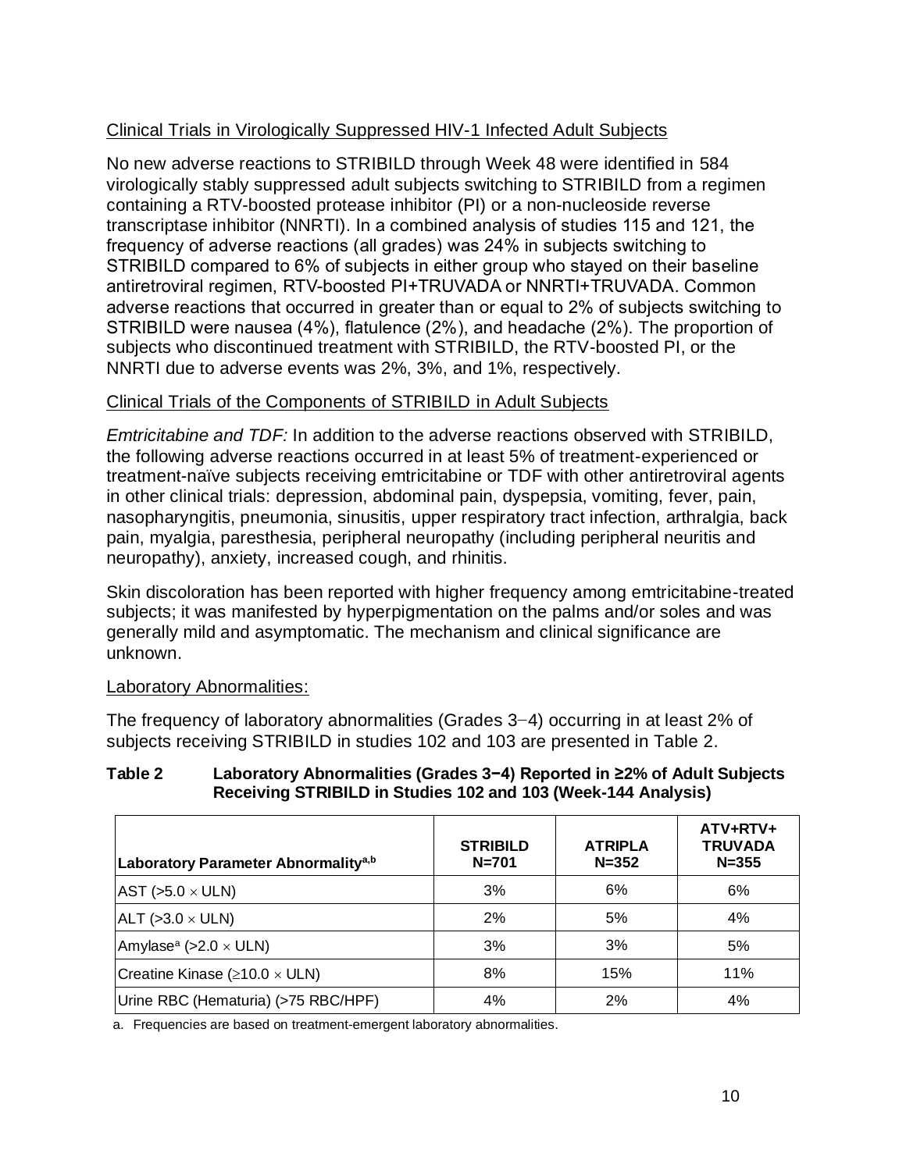## Clinical Trials in Virologically Suppressed HIV-1 Infected Adult Subjects

No new adverse reactions to STRIBILD through Week 48 were identified in 584 virologically stably suppressed adult subjects switching to STRIBILD from a regimen containing a RTV-boosted protease inhibitor (PI) or a non-nucleoside reverse transcriptase inhibitor (NNRTI). In a combined analysis of studies 115 and 121, the frequency of adverse reactions (all grades) was 24% in subjects switching to STRIBILD compared to 6% of subjects in either group who stayed on their baseline antiretroviral regimen, RTV-boosted PI+TRUVADA or NNRTI+TRUVADA. Common adverse reactions that occurred in greater than or equal to 2% of subjects switching to STRIBILD were nausea (4%), flatulence (2%), and headache (2%). The proportion of subjects who discontinued treatment with STRIBILD, the RTV-boosted PI, or the NNRTI due to adverse events was 2%, 3%, and 1%, respectively.

# Clinical Trials of the Components of STRIBILD in Adult Subjects

*Emtricitabine and TDF:* In addition to the adverse reactions observed with STRIBILD, the following adverse reactions occurred in at least 5% of treatment-experienced or treatment-naïve subjects receiving emtricitabine or TDF with other antiretroviral agents in other clinical trials: depression, abdominal pain, dyspepsia, vomiting, fever, pain, nasopharyngitis, pneumonia, sinusitis, upper respiratory tract infection, arthralgia, back pain, myalgia, paresthesia, peripheral neuropathy (including peripheral neuritis and neuropathy), anxiety, increased cough, and rhinitis.

Skin discoloration has been reported with higher frequency among emtricitabine-treated subjects; it was manifested by hyperpigmentation on the palms and/or soles and was generally mild and asymptomatic. The mechanism and clinical significance are unknown.

## Laboratory Abnormalities:

The frequency of laboratory abnormalities (Grades 3−4) occurring in at least 2% of subjects receiving STRIBILD in studies 102 and 103 are presented in Table 2.

### **Table 2 Laboratory Abnormalities (Grades 3−4) Reported in ≥2% of Adult Subjects Receiving STRIBILD in Studies 102 and 103 (Week-144 Analysis)**

| Laboratory Parameter Abnormality <sup>a,b</sup> | <b>STRIBILD</b><br>$N = 701$ | <b>ATRIPLA</b><br>$N = 352$ | ATV+RTV+<br><b>TRUVADA</b><br>$N = 355$ |
|-------------------------------------------------|------------------------------|-----------------------------|-----------------------------------------|
| $ AST$ (>5.0 $\times$ ULN)                      | 3%                           | 6%                          | 6%                                      |
| $ALT$ (>3.0 $\times$ ULN)                       | 2%                           | 5%                          | 4%                                      |
| Amylase <sup>a</sup> (>2.0 $\times$ ULN)        | 3%                           | 3%                          | 5%                                      |
| Creatine Kinase ( $\geq$ 10.0 $\times$ ULN)     | 8%                           | 15%                         | 11%                                     |
| Urine RBC (Hematuria) (>75 RBC/HPF)             | 4%                           | 2%                          | 4%                                      |

a. Frequencies are based on treatment-emergent laboratory abnormalities.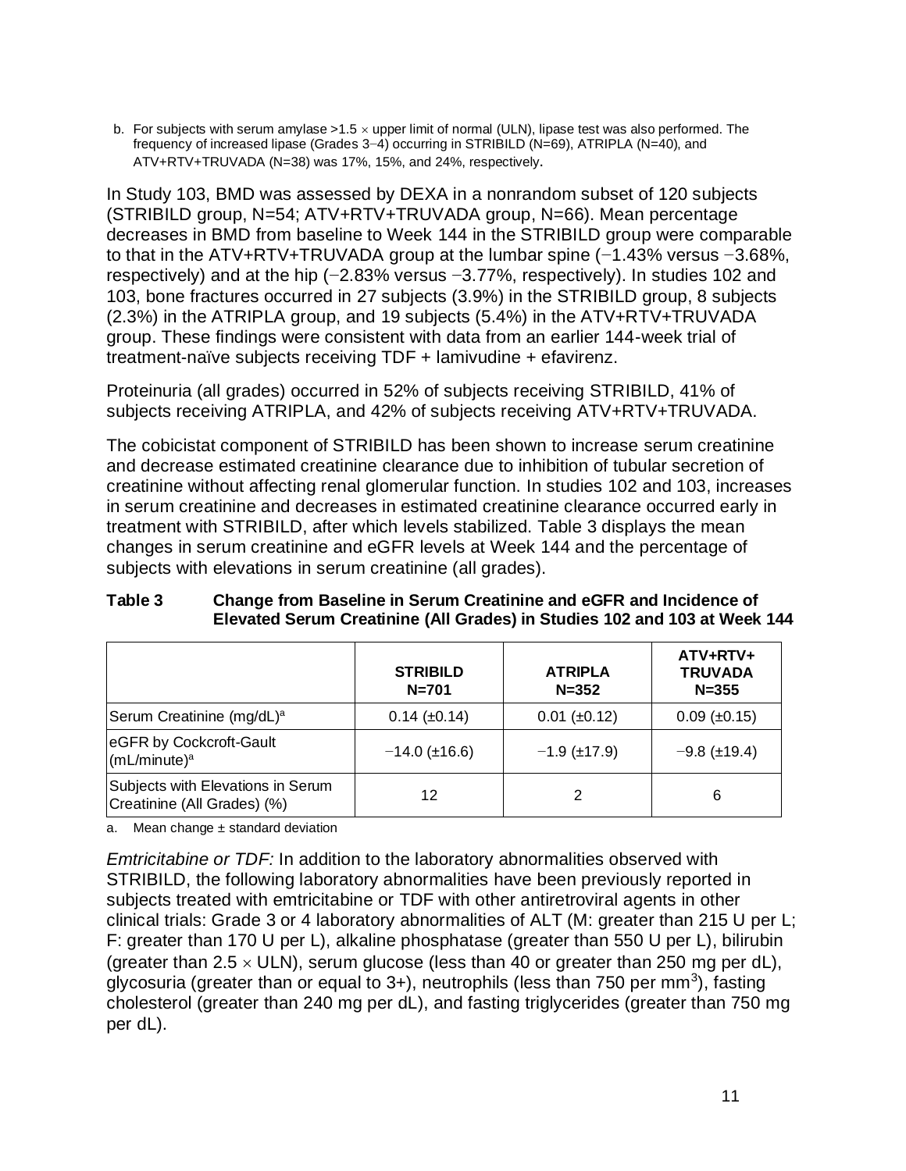b. For subjects with serum amylase >1.5  $\times$  upper limit of normal (ULN), lipase test was also performed. The frequency of increased lipase (Grades 3−4) occurring in STRIBILD (N=69), ATRIPLA (N=40), and ATV+RTV+TRUVADA (N=38) was 17%, 15%, and 24%, respectively.

In Study 103, BMD was assessed by DEXA in a nonrandom subset of 120 subjects (STRIBILD group, N=54; ATV+RTV+TRUVADA group, N=66). Mean percentage decreases in BMD from baseline to Week 144 in the STRIBILD group were comparable to that in the ATV+RTV+TRUVADA group at the lumbar spine (−1.43% versus −3.68%, respectively) and at the hip (−2.83% versus −3.77%, respectively). In studies 102 and 103, bone fractures occurred in 27 subjects (3.9%) in the STRIBILD group, 8 subjects (2.3%) in the ATRIPLA group, and 19 subjects (5.4%) in the ATV+RTV+TRUVADA group. These findings were consistent with data from an earlier 144-week trial of treatment-naïve subjects receiving TDF + lamivudine + efavirenz.

Proteinuria (all grades) occurred in 52% of subjects receiving STRIBILD, 41% of subjects receiving ATRIPLA, and 42% of subjects receiving ATV+RTV+TRUVADA.

The cobicistat component of STRIBILD has been shown to increase serum creatinine and decrease estimated creatinine clearance due to inhibition of tubular secretion of creatinine without affecting renal glomerular function. In studies 102 and 103, increases in serum creatinine and decreases in estimated creatinine clearance occurred early in treatment with STRIBILD, after which levels stabilized. Table 3 displays the mean changes in serum creatinine and eGFR levels at Week 144 and the percentage of subjects with elevations in serum creatinine (all grades).

|                                                                  | <b>STRIBILD</b><br>$N = 701$ | <b>ATRIPLA</b><br>$N = 352$ | ATV+RTV+<br><b>TRUVADA</b><br>$N = 355$ |
|------------------------------------------------------------------|------------------------------|-----------------------------|-----------------------------------------|
| Serum Creatinine (mg/dL) <sup>a</sup>                            | $0.14 \ (\pm 0.14)$          | $0.01$ ( $\pm 0.12$ )       | $0.09$ ( $\pm 0.15$ )                   |
| eGFR by Cockcroft-Gault<br>(mL/minute) <sup>a</sup>              | $-14.0$ ( $\pm$ 16.6)        | $-1.9$ (±17.9)              | $-9.8$ ( $\pm$ 19.4)                    |
| Subjects with Elevations in Serum<br>Creatinine (All Grades) (%) | 12                           | 2                           | 6                                       |

### **Table 3 Change from Baseline in Serum Creatinine and eGFR and Incidence of Elevated Serum Creatinine (All Grades) in Studies 102 and 103 at Week 144**

a. Mean change  $\pm$  standard deviation

*Emtricitabine or TDF:* In addition to the laboratory abnormalities observed with STRIBILD, the following laboratory abnormalities have been previously reported in subjects treated with emtricitabine or TDF with other antiretroviral agents in other clinical trials: Grade 3 or 4 laboratory abnormalities of ALT (M: greater than 215 U per L; F: greater than 170 U per L), alkaline phosphatase (greater than 550 U per L), bilirubin (greater than  $2.5 \times$  ULN), serum glucose (less than 40 or greater than 250 mg per dL), glycosuria (greater than or equal to  $3+$ ), neutrophils (less than 750 per mm<sup>3</sup>), fasting cholesterol (greater than 240 mg per dL), and fasting triglycerides (greater than 750 mg per dL).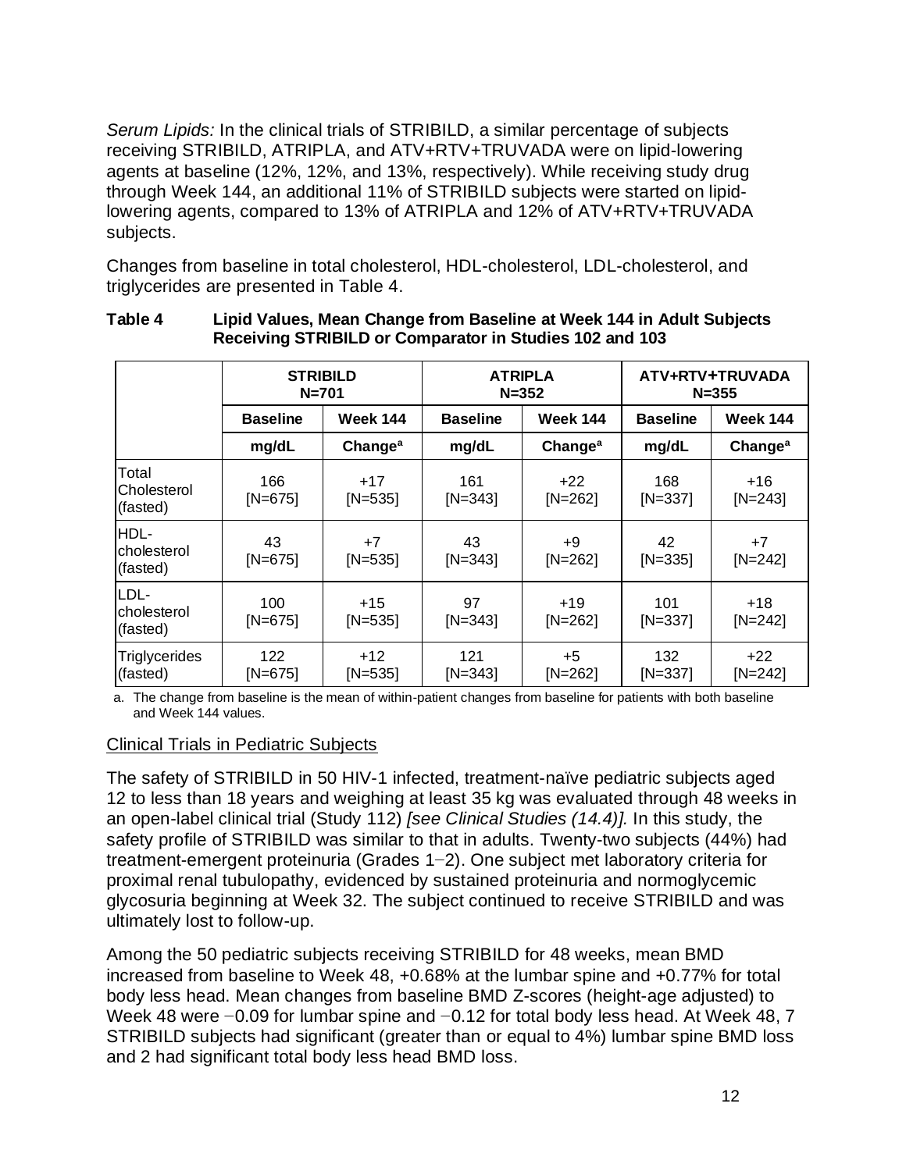*Serum Lipids:* In the clinical trials of STRIBILD, a similar percentage of subjects receiving STRIBILD, ATRIPLA, and ATV+RTV+TRUVADA were on lipid-lowering agents at baseline (12%, 12%, and 13%, respectively). While receiving study drug through Week 144, an additional 11% of STRIBILD subjects were started on lipidlowering agents, compared to 13% of ATRIPLA and 12% of ATV+RTV+TRUVADA subjects.

Changes from baseline in total cholesterol, HDL-cholesterol, LDL-cholesterol, and triglycerides are presented in Table 4.

|                                  | <b>STRIBILD</b><br>$N = 701$ |                     |                  | <b>ATRIPLA</b><br>$N = 352$ |                  | ATV+RTV+TRUVADA<br>$N = 355$ |
|----------------------------------|------------------------------|---------------------|------------------|-----------------------------|------------------|------------------------------|
|                                  | <b>Baseline</b>              | <b>Week 144</b>     | <b>Baseline</b>  | <b>Week 144</b>             | <b>Baseline</b>  | <b>Week 144</b>              |
|                                  | mg/dL                        | Change <sup>a</sup> | mg/dL            | Change <sup>a</sup>         | mg/dL            | Change <sup>a</sup>          |
| Total<br>Cholesterol<br>(fasted) | 166<br>$[N=675]$             | $+17$<br>$[N=535]$  | 161<br>$[N=343]$ | $+22$<br>$[N=262]$          | 168<br>$[N=337]$ | $+16$<br>$[N=243]$           |
| HDL-<br>cholesterol<br>(fasted)  | 43<br>$[N=675]$              | $+7$<br>$[N=535]$   | 43<br>$[N=343]$  | $+9$<br>$[N=262]$           | 42<br>$[N=335]$  | $+7$<br>$[N=242]$            |
| LDL-<br>cholesterol<br>(fasted)  | 100<br>$[N=675]$             | $+15$<br>$[N=535]$  | 97<br>$[N=343]$  | $+19$<br>$[N=262]$          | 101<br>$[N=337]$ | $+18$<br>$[N=242]$           |
| <b>Triglycerides</b><br>(fasted) | 122<br>$[N=675]$             | $+12$<br>$[N=535]$  | 121<br>$[N=343]$ | $+5$<br>$[N=262]$           | 132<br>$[N=337]$ | $+22$<br>$[N=242]$           |

#### **Table 4 Lipid Values, Mean Change from Baseline at Week 144 in Adult Subjects Receiving STRIBILD or Comparator in Studies 102 and 103**

a. The change from baseline is the mean of within-patient changes from baseline for patients with both baseline and Week 144 values.

## Clinical Trials in Pediatric Subjects

The safety of STRIBILD in 50 HIV-1 infected, treatment-naïve pediatric subjects aged 12 to less than 18 years and weighing at least 35 kg was evaluated through 48 weeks in an open-label clinical trial (Study 112) *[see Clinical Studies (14.4)].* In this study, the safety profile of STRIBILD was similar to that in adults. Twenty-two subjects (44%) had treatment-emergent proteinuria (Grades 1−2). One subject met laboratory criteria for proximal renal tubulopathy, evidenced by sustained proteinuria and normoglycemic glycosuria beginning at Week 32. The subject continued to receive STRIBILD and was ultimately lost to follow-up.

Among the 50 pediatric subjects receiving STRIBILD for 48 weeks, mean BMD increased from baseline to Week 48, +0.68% at the lumbar spine and +0.77% for total body less head. Mean changes from baseline BMD Z-scores (height-age adjusted) to Week 48 were −0.09 for lumbar spine and −0.12 for total body less head. At Week 48, 7 STRIBILD subjects had significant (greater than or equal to 4%) lumbar spine BMD loss and 2 had significant total body less head BMD loss.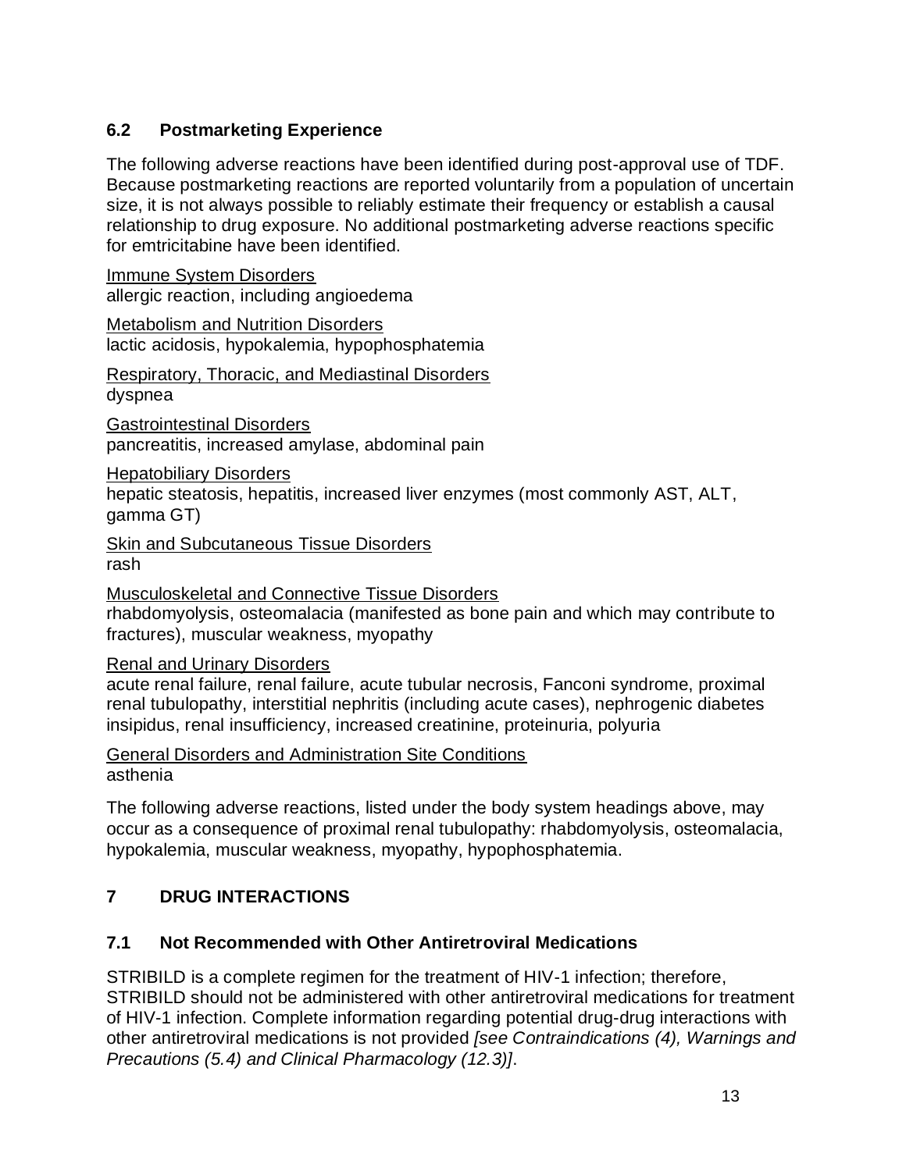# **6.2 Postmarketing Experience**

The following adverse reactions have been identified during post-approval use of TDF. Because postmarketing reactions are reported voluntarily from a population of uncertain size, it is not always possible to reliably estimate their frequency or establish a causal relationship to drug exposure. No additional postmarketing adverse reactions specific for emtricitabine have been identified.

Immune System Disorders allergic reaction, including angioedema

Metabolism and Nutrition Disorders lactic acidosis, hypokalemia, hypophosphatemia

Respiratory, Thoracic, and Mediastinal Disorders dyspnea

Gastrointestinal Disorders pancreatitis, increased amylase, abdominal pain

Hepatobiliary Disorders

hepatic steatosis, hepatitis, increased liver enzymes (most commonly AST, ALT, gamma GT)

**Skin and Subcutaneous Tissue Disorders** rash

Musculoskeletal and Connective Tissue Disorders rhabdomyolysis, osteomalacia (manifested as bone pain and which may contribute to fractures), muscular weakness, myopathy

## Renal and Urinary Disorders

acute renal failure, renal failure, acute tubular necrosis, Fanconi syndrome, proximal renal tubulopathy, interstitial nephritis (including acute cases), nephrogenic diabetes insipidus, renal insufficiency, increased creatinine, proteinuria, polyuria

General Disorders and Administration Site Conditions asthenia

The following adverse reactions, listed under the body system headings above, may occur as a consequence of proximal renal tubulopathy: rhabdomyolysis, osteomalacia, hypokalemia, muscular weakness, myopathy, hypophosphatemia.

# **7 DRUG INTERACTIONS**

# **7.1 Not Recommended with Other Antiretroviral Medications**

STRIBILD is a complete regimen for the treatment of HIV-1 infection; therefore, STRIBILD should not be administered with other antiretroviral medications for treatment of HIV-1 infection. Complete information regarding potential drug-drug interactions with other antiretroviral medications is not provided *[see Contraindications (4), Warnings and Precautions (5.4) and Clinical Pharmacology (12.3)]*.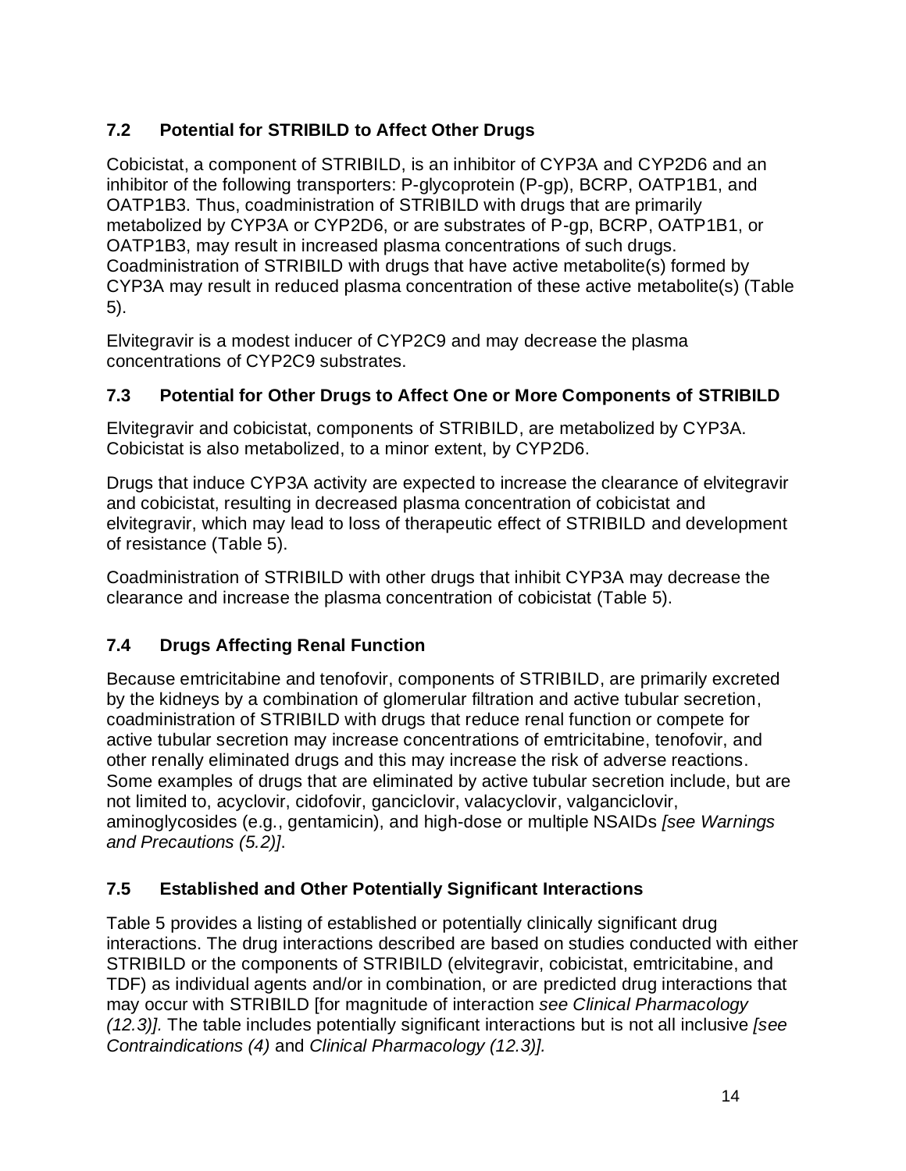# **7.2 Potential for STRIBILD to Affect Other Drugs**

Cobicistat, a component of STRIBILD, is an inhibitor of CYP3A and CYP2D6 and an inhibitor of the following transporters: P-glycoprotein (P-gp), BCRP, OATP1B1, and OATP1B3. Thus, coadministration of STRIBILD with drugs that are primarily metabolized by CYP3A or CYP2D6, or are substrates of P-gp, BCRP, OATP1B1, or OATP1B3, may result in increased plasma concentrations of such drugs. Coadministration of STRIBILD with drugs that have active metabolite(s) formed by CYP3A may result in reduced plasma concentration of these active metabolite(s) (Table 5).

Elvitegravir is a modest inducer of CYP2C9 and may decrease the plasma concentrations of CYP2C9 substrates.

# **7.3 Potential for Other Drugs to Affect One or More Components of STRIBILD**

Elvitegravir and cobicistat, components of STRIBILD, are metabolized by CYP3A. Cobicistat is also metabolized, to a minor extent, by CYP2D6.

Drugs that induce CYP3A activity are expected to increase the clearance of elvitegravir and cobicistat, resulting in decreased plasma concentration of cobicistat and elvitegravir, which may lead to loss of therapeutic effect of STRIBILD and development of resistance (Table 5).

Coadministration of STRIBILD with other drugs that inhibit CYP3A may decrease the clearance and increase the plasma concentration of cobicistat (Table 5).

# **7.4 Drugs Affecting Renal Function**

Because emtricitabine and tenofovir, components of STRIBILD, are primarily excreted by the kidneys by a combination of glomerular filtration and active tubular secretion, coadministration of STRIBILD with drugs that reduce renal function or compete for active tubular secretion may increase concentrations of emtricitabine, tenofovir, and other renally eliminated drugs and this may increase the risk of adverse reactions. Some examples of drugs that are eliminated by active tubular secretion include, but are not limited to, acyclovir, cidofovir, ganciclovir, valacyclovir, valganciclovir, aminoglycosides (e.g., gentamicin), and high-dose or multiple NSAIDs *[see Warnings and Precautions (5.2)]*.

# **7.5 Established and Other Potentially Significant Interactions**

Table 5 provides a listing of established or potentially clinically significant drug interactions. The drug interactions described are based on studies conducted with either STRIBILD or the components of STRIBILD (elvitegravir, cobicistat, emtricitabine, and TDF) as individual agents and/or in combination, or are predicted drug interactions that may occur with STRIBILD [for magnitude of interaction *see Clinical Pharmacology (12.3)].* The table includes potentially significant interactions but is not all inclusive *[see Contraindications (4)* and *Clinical Pharmacology (12.3)].*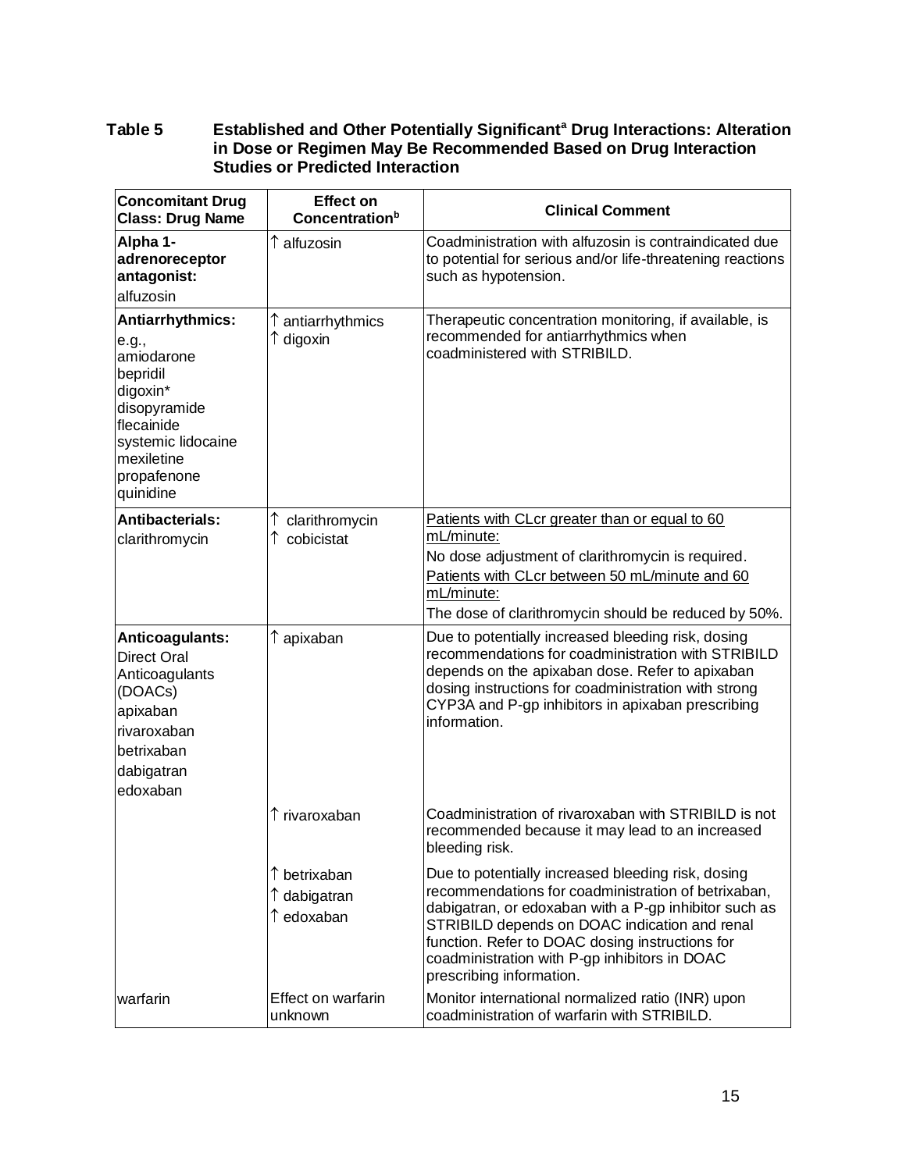#### **Table 5 Established and Other Potentially Significant<sup>a</sup> Drug Interactions: Alteration in Dose or Regimen May Be Recommended Based on Drug Interaction Studies or Predicted Interaction**

| <b>Concomitant Drug</b><br><b>Class: Drug Name</b>                                                                                                            | <b>Effect on</b><br><b>Concentration</b> <sup>b</sup> | <b>Clinical Comment</b>                                                                                                                                                                                                                                                                                                                             |
|---------------------------------------------------------------------------------------------------------------------------------------------------------------|-------------------------------------------------------|-----------------------------------------------------------------------------------------------------------------------------------------------------------------------------------------------------------------------------------------------------------------------------------------------------------------------------------------------------|
| Alpha 1-<br>adrenoreceptor<br>antagonist:<br>alfuzosin                                                                                                        | ↑ alfuzosin                                           | Coadministration with alfuzosin is contraindicated due<br>to potential for serious and/or life-threatening reactions<br>such as hypotension.                                                                                                                                                                                                        |
| Antiarrhythmics:<br>e.g.,<br>amiodarone<br>bepridil<br>digoxin*<br>disopyramide<br>flecainide<br>systemic lidocaine<br>mexiletine<br>propafenone<br>quinidine | ↑ antiarrhythmics<br>$\uparrow$ digoxin               | Therapeutic concentration monitoring, if available, is<br>recommended for antiarrhythmics when<br>coadministered with STRIBILD.                                                                                                                                                                                                                     |
| <b>Antibacterials:</b><br>clarithromycin                                                                                                                      | clarithromycin<br>cobicistat                          | Patients with CLcr greater than or equal to 60<br>mL/minute:<br>No dose adjustment of clarithromycin is required.<br>Patients with CLcr between 50 mL/minute and 60<br>mL/minute:<br>The dose of clarithromycin should be reduced by 50%.                                                                                                           |
| Anticoagulants:<br><b>Direct Oral</b><br>Anticoagulants<br>(DOACs)<br>apixaban<br>rivaroxaban<br>betrixaban<br>dabigatran<br>edoxaban                         | ↑ apixaban                                            | Due to potentially increased bleeding risk, dosing<br>recommendations for coadministration with STRIBILD<br>depends on the apixaban dose. Refer to apixaban<br>dosing instructions for coadministration with strong<br>CYP3A and P-gp inhibitors in apixaban prescribing<br>information.                                                            |
|                                                                                                                                                               | ↑ rivaroxaban                                         | Coadministration of rivaroxaban with STRIBILD is not<br>recommended because it may lead to an increased<br>bleeding risk.                                                                                                                                                                                                                           |
|                                                                                                                                                               | ↑ betrixaban<br>↑ dabigatran<br>↑ edoxaban            | Due to potentially increased bleeding risk, dosing<br>recommendations for coadministration of betrixaban,<br>dabigatran, or edoxaban with a P-gp inhibitor such as<br>STRIBILD depends on DOAC indication and renal<br>function. Refer to DOAC dosing instructions for<br>coadministration with P-gp inhibitors in DOAC<br>prescribing information. |
| warfarin                                                                                                                                                      | Effect on warfarin<br>unknown                         | Monitor international normalized ratio (INR) upon<br>coadministration of warfarin with STRIBILD.                                                                                                                                                                                                                                                    |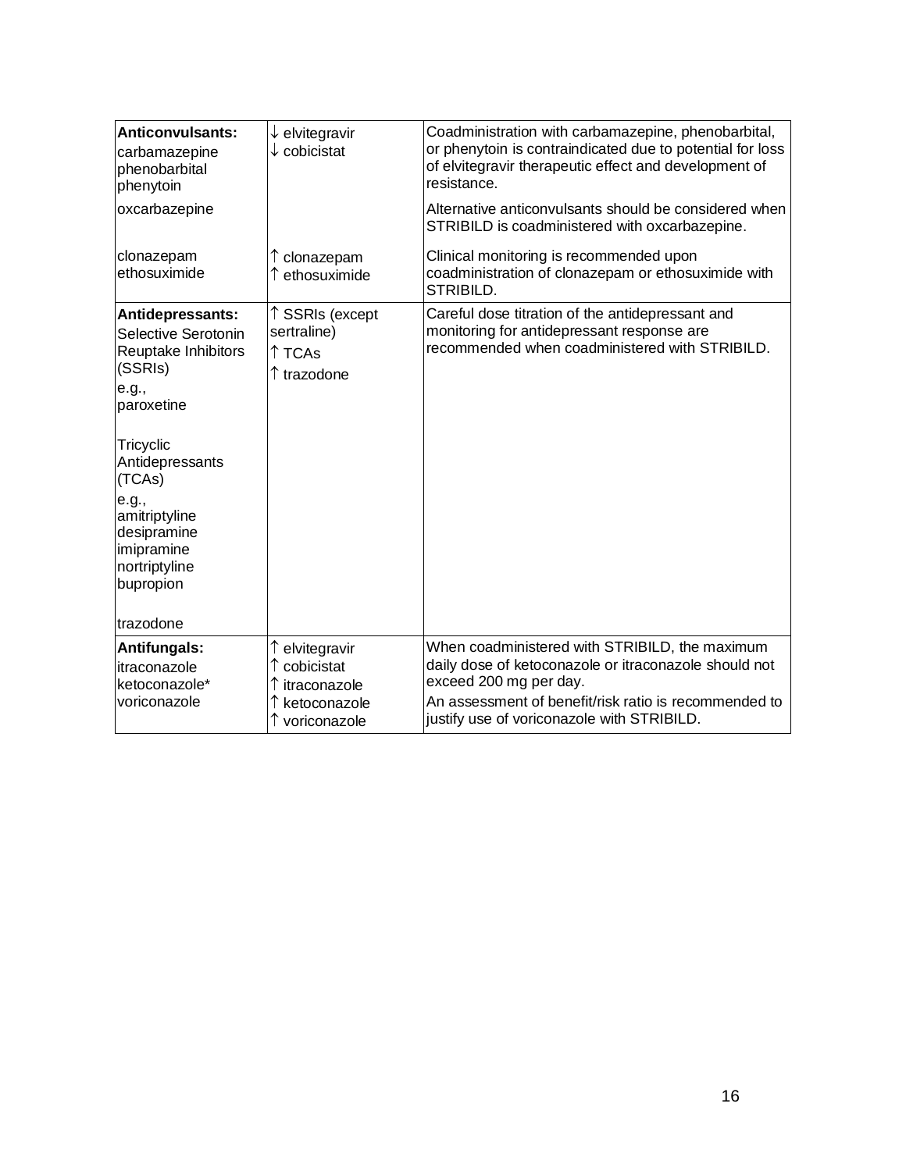| <b>Anticonvulsants:</b><br>carbamazepine<br>phenobarbital<br>phenytoin                                                                                                                                                                       | $\downarrow$ elvitegravir<br>$\downarrow$ cobicistat  | Coadministration with carbamazepine, phenobarbital,<br>or phenytoin is contraindicated due to potential for loss<br>of elvitegravir therapeutic effect and development of<br>resistance. |
|----------------------------------------------------------------------------------------------------------------------------------------------------------------------------------------------------------------------------------------------|-------------------------------------------------------|------------------------------------------------------------------------------------------------------------------------------------------------------------------------------------------|
| oxcarbazepine                                                                                                                                                                                                                                |                                                       | Alternative anticonvulsants should be considered when<br>STRIBILD is coadministered with oxcarbazepine.                                                                                  |
| clonazepam<br>ethosuximide                                                                                                                                                                                                                   | clonazepam<br>ethosuximide                            | Clinical monitoring is recommended upon<br>coadministration of clonazepam or ethosuximide with<br>STRIBILD.                                                                              |
| Antidepressants:<br>Selective Serotonin<br>Reuptake Inhibitors<br>(SSRIs)<br>e.g.,<br>paroxetine<br>Tricyclic<br>Antidepressants<br>(TCAs)<br>e.g.,<br>amitriptyline<br>desipramine<br>imipramine<br>nortriptyline<br>bupropion<br>trazodone | ↑ SSRIs (except<br>sertraline)<br>↑ TCAs<br>trazodone | Careful dose titration of the antidepressant and<br>monitoring for antidepressant response are<br>recommended when coadministered with STRIBILD.                                         |
| <b>Antifungals:</b><br>itraconazole<br>ketoconazole*                                                                                                                                                                                         | ↑ elvitegravir<br>cobicistat<br>itraconazole          | When coadministered with STRIBILD, the maximum<br>daily dose of ketoconazole or itraconazole should not<br>exceed 200 mg per day.                                                        |
| voriconazole                                                                                                                                                                                                                                 | ketoconazole<br>voriconazole                          | An assessment of benefit/risk ratio is recommended to<br>justify use of voriconazole with STRIBILD.                                                                                      |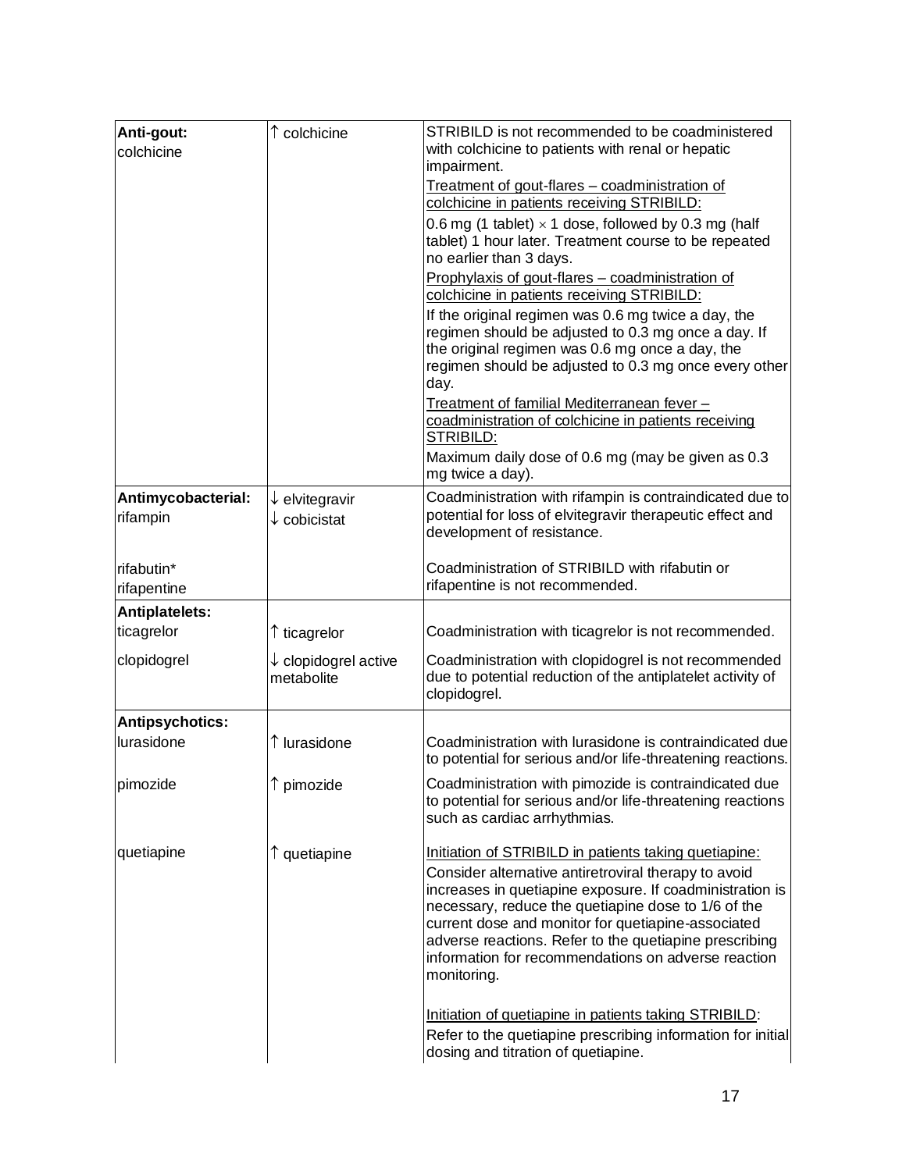| Anti-gout:<br>colchicine       | $\uparrow$ colchicine                                | STRIBILD is not recommended to be coadministered<br>with colchicine to patients with renal or hepatic<br>impairment.                                                                                                                                                                                                                                                                                                   |
|--------------------------------|------------------------------------------------------|------------------------------------------------------------------------------------------------------------------------------------------------------------------------------------------------------------------------------------------------------------------------------------------------------------------------------------------------------------------------------------------------------------------------|
|                                |                                                      | Treatment of gout-flares - coadministration of<br>colchicine in patients receiving STRIBILD:                                                                                                                                                                                                                                                                                                                           |
|                                |                                                      | 0.6 mg (1 tablet) $\times$ 1 dose, followed by 0.3 mg (half<br>tablet) 1 hour later. Treatment course to be repeated<br>no earlier than 3 days.                                                                                                                                                                                                                                                                        |
|                                |                                                      | Prophylaxis of gout-flares - coadministration of<br>colchicine in patients receiving STRIBILD:                                                                                                                                                                                                                                                                                                                         |
|                                |                                                      | If the original regimen was 0.6 mg twice a day, the<br>regimen should be adjusted to 0.3 mg once a day. If<br>the original regimen was 0.6 mg once a day, the<br>regimen should be adjusted to 0.3 mg once every other<br>day.                                                                                                                                                                                         |
|                                |                                                      | Treatment of familial Mediterranean fever-<br>coadministration of colchicine in patients receiving<br>STRIBILD:                                                                                                                                                                                                                                                                                                        |
|                                |                                                      | Maximum daily dose of 0.6 mg (may be given as 0.3<br>mg twice a day).                                                                                                                                                                                                                                                                                                                                                  |
| Antimycobacterial:<br>rifampin | $\downarrow$ elvitegravir<br>$\downarrow$ cobicistat | Coadministration with rifampin is contraindicated due to<br>potential for loss of elvitegravir therapeutic effect and<br>development of resistance.                                                                                                                                                                                                                                                                    |
| rifabutin*<br>rifapentine      |                                                      | Coadministration of STRIBILD with rifabutin or<br>rifapentine is not recommended.                                                                                                                                                                                                                                                                                                                                      |
| <b>Antiplatelets:</b>          |                                                      |                                                                                                                                                                                                                                                                                                                                                                                                                        |
| ticagrelor                     | ↑ ticagrelor                                         | Coadministration with ticagrelor is not recommended.                                                                                                                                                                                                                                                                                                                                                                   |
| clopidogrel                    | $\downarrow$ clopidogrel active<br>metabolite        | Coadministration with clopidogrel is not recommended<br>due to potential reduction of the antiplatelet activity of<br>clopidogrel.                                                                                                                                                                                                                                                                                     |
| Antipsychotics:                |                                                      |                                                                                                                                                                                                                                                                                                                                                                                                                        |
| lurasidone                     | $\uparrow$ lurasidone                                | Coadministration with lurasidone is contraindicated due<br>to potential for serious and/or life-threatening reactions.                                                                                                                                                                                                                                                                                                 |
| pimozide                       | pimozide                                             | Coadministration with pimozide is contraindicated due<br>to potential for serious and/or life-threatening reactions<br>such as cardiac arrhythmias.                                                                                                                                                                                                                                                                    |
| quetiapine                     | ↑ quetiapine                                         | Initiation of STRIBILD in patients taking quetiapine:<br>Consider alternative antiretroviral therapy to avoid<br>increases in quetiapine exposure. If coadministration is<br>necessary, reduce the quetiapine dose to 1/6 of the<br>current dose and monitor for quetiapine-associated<br>adverse reactions. Refer to the quetiapine prescribing<br>information for recommendations on adverse reaction<br>monitoring. |
|                                |                                                      | Initiation of quetiapine in patients taking STRIBILD:<br>Refer to the quetiapine prescribing information for initial<br>dosing and titration of quetiapine.                                                                                                                                                                                                                                                            |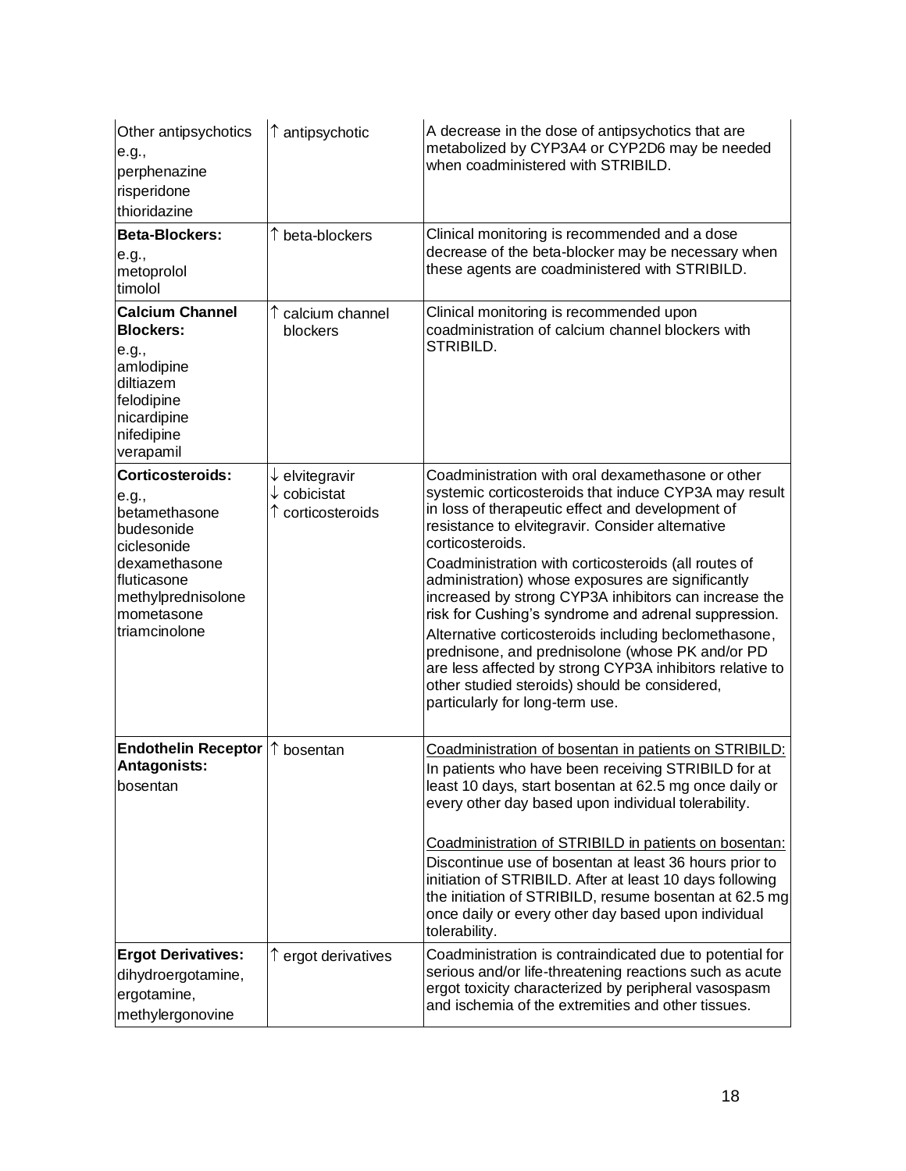| Other antipsychotics<br>e.g.,<br>perphenazine<br>risperidone<br>thioridazine                                                                                 | $\uparrow$ antipsychotic                                   | A decrease in the dose of antipsychotics that are<br>metabolized by CYP3A4 or CYP2D6 may be needed<br>when coadministered with STRIBILD.                                                                                                                                                                                                                                                                                                                                                                                                                                                                                                                                                                                          |
|--------------------------------------------------------------------------------------------------------------------------------------------------------------|------------------------------------------------------------|-----------------------------------------------------------------------------------------------------------------------------------------------------------------------------------------------------------------------------------------------------------------------------------------------------------------------------------------------------------------------------------------------------------------------------------------------------------------------------------------------------------------------------------------------------------------------------------------------------------------------------------------------------------------------------------------------------------------------------------|
| <b>Beta-Blockers:</b><br>e.g.,<br>metoprolol<br>timolol                                                                                                      | beta-blockers                                              | Clinical monitoring is recommended and a dose<br>decrease of the beta-blocker may be necessary when<br>these agents are coadministered with STRIBILD.                                                                                                                                                                                                                                                                                                                                                                                                                                                                                                                                                                             |
| <b>Calcium Channel</b><br><b>Blockers:</b><br>e.g.,<br>amlodipine<br>diltiazem<br>felodipine<br>nicardipine<br>nifedipine<br>verapamil                       | calcium channel<br>blockers                                | Clinical monitoring is recommended upon<br>coadministration of calcium channel blockers with<br>STRIBILD.                                                                                                                                                                                                                                                                                                                                                                                                                                                                                                                                                                                                                         |
| Corticosteroids:<br>e.g.,<br>betamethasone<br>budesonide<br>ciclesonide<br>dexamethasone<br>fluticasone<br>methylprednisolone<br>mometasone<br>triamcinolone | $\downarrow$ elvitegravir<br>cobicistat<br>corticosteroids | Coadministration with oral dexamethasone or other<br>systemic corticosteroids that induce CYP3A may result<br>in loss of therapeutic effect and development of<br>resistance to elvitegravir. Consider alternative<br>corticosteroids.<br>Coadministration with corticosteroids (all routes of<br>administration) whose exposures are significantly<br>increased by strong CYP3A inhibitors can increase the<br>risk for Cushing's syndrome and adrenal suppression.<br>Alternative corticosteroids including beclomethasone,<br>prednisone, and prednisolone (whose PK and/or PD<br>are less affected by strong CYP3A inhibitors relative to<br>other studied steroids) should be considered,<br>particularly for long-term use. |
| <b>Endothelin Receptor</b><br>Antagonists:<br>bosentan                                                                                                       | ↑<br>bosentan                                              | Coadministration of bosentan in patients on STRIBILD:<br>In patients who have been receiving STRIBILD for at<br>least 10 days, start bosentan at 62.5 mg once daily or<br>every other day based upon individual tolerability.<br>Coadministration of STRIBILD in patients on bosentan:<br>Discontinue use of bosentan at least 36 hours prior to<br>initiation of STRIBILD. After at least 10 days following<br>the initiation of STRIBILD, resume bosentan at 62.5 mg<br>once daily or every other day based upon individual<br>tolerability.                                                                                                                                                                                    |
| <b>Ergot Derivatives:</b><br>dihydroergotamine,<br>ergotamine,<br>methylergonovine                                                                           | ↑ ergot derivatives                                        | Coadministration is contraindicated due to potential for<br>serious and/or life-threatening reactions such as acute<br>ergot toxicity characterized by peripheral vasospasm<br>and ischemia of the extremities and other tissues.                                                                                                                                                                                                                                                                                                                                                                                                                                                                                                 |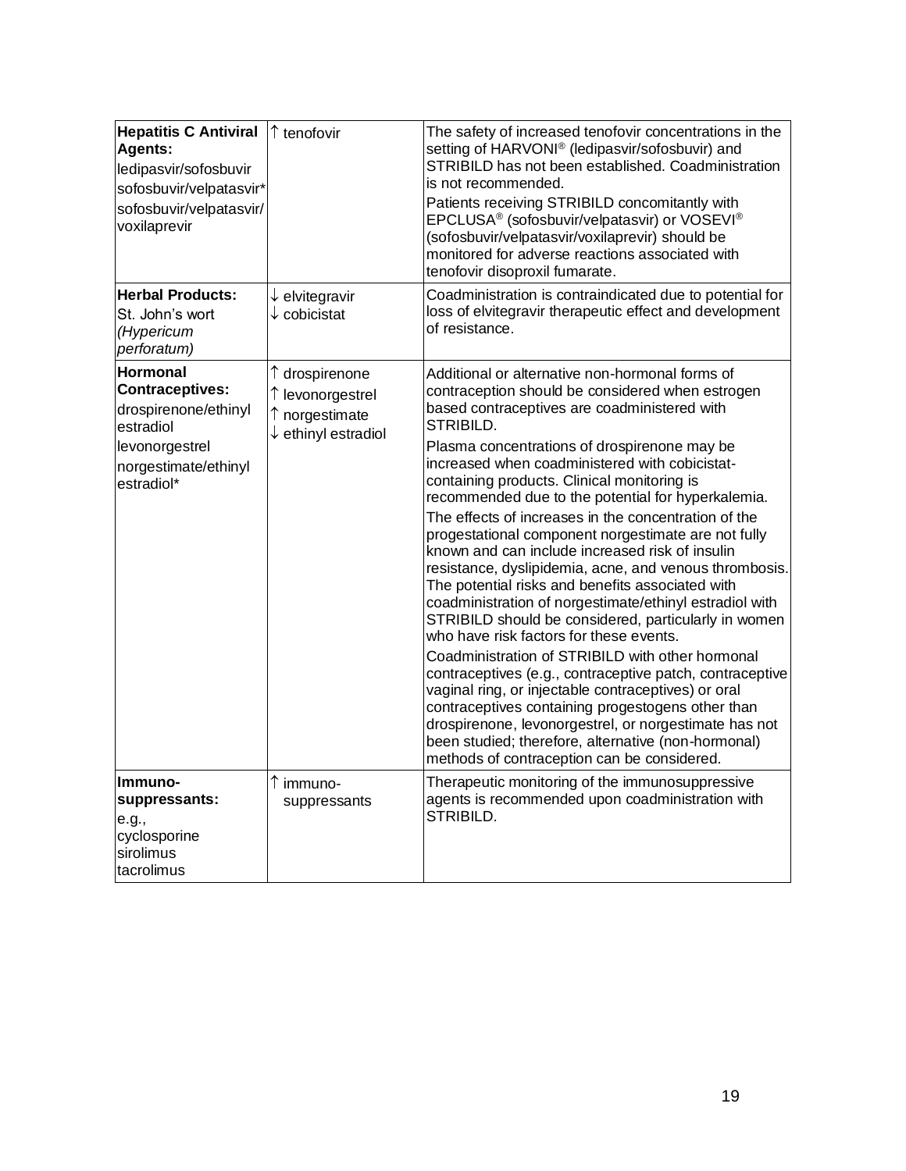| <b>Hepatitis C Antiviral</b><br>Agents:<br>ledipasvir/sofosbuvir<br>sofosbuvir/velpatasvir*<br>sofosbuvir/velpatasvir/<br>voxilaprevir | ↑ tenofovir                                                                            | The safety of increased tenofovir concentrations in the<br>setting of HARVONI® (ledipasvir/sofosbuvir) and<br>STRIBILD has not been established. Coadministration<br>is not recommended.<br>Patients receiving STRIBILD concomitantly with<br>EPCLUSA <sup>®</sup> (sofosbuvir/velpatasvir) or VOSEVI <sup>®</sup><br>(sofosbuvir/velpatasvir/voxilaprevir) should be<br>monitored for adverse reactions associated with<br>tenofovir disoproxil fumarate.                                                                                                                                                                                                                                                                                                                                                                                                                                                                                                                                                                                                                                                                                                                                                       |
|----------------------------------------------------------------------------------------------------------------------------------------|----------------------------------------------------------------------------------------|------------------------------------------------------------------------------------------------------------------------------------------------------------------------------------------------------------------------------------------------------------------------------------------------------------------------------------------------------------------------------------------------------------------------------------------------------------------------------------------------------------------------------------------------------------------------------------------------------------------------------------------------------------------------------------------------------------------------------------------------------------------------------------------------------------------------------------------------------------------------------------------------------------------------------------------------------------------------------------------------------------------------------------------------------------------------------------------------------------------------------------------------------------------------------------------------------------------|
| <b>Herbal Products:</b><br>St. John's wort<br>(Hypericum<br>perforatum)                                                                | $\downarrow$ elvitegravir<br>$\downarrow$ cobicistat                                   | Coadministration is contraindicated due to potential for<br>loss of elvitegravir therapeutic effect and development<br>of resistance.                                                                                                                                                                                                                                                                                                                                                                                                                                                                                                                                                                                                                                                                                                                                                                                                                                                                                                                                                                                                                                                                            |
| Hormonal<br><b>Contraceptives:</b><br>drospirenone/ethinyl<br>estradiol<br>levonorgestrel<br>norgestimate/ethinyl<br>estradiol*        | ↑ drospirenone<br>↑ levonorgestrel<br>↑ norgestimate<br>$\downarrow$ ethinyl estradiol | Additional or alternative non-hormonal forms of<br>contraception should be considered when estrogen<br>based contraceptives are coadministered with<br>STRIBILD.<br>Plasma concentrations of drospirenone may be<br>increased when coadministered with cobicistat-<br>containing products. Clinical monitoring is<br>recommended due to the potential for hyperkalemia.<br>The effects of increases in the concentration of the<br>progestational component norgestimate are not fully<br>known and can include increased risk of insulin<br>resistance, dyslipidemia, acne, and venous thrombosis.<br>The potential risks and benefits associated with<br>coadministration of norgestimate/ethinyl estradiol with<br>STRIBILD should be considered, particularly in women<br>who have risk factors for these events.<br>Coadministration of STRIBILD with other hormonal<br>contraceptives (e.g., contraceptive patch, contraceptive<br>vaginal ring, or injectable contraceptives) or oral<br>contraceptives containing progestogens other than<br>drospirenone, levonorgestrel, or norgestimate has not<br>been studied; therefore, alternative (non-hormonal)<br>methods of contraception can be considered. |
| Immuno-<br>suppressants:<br>e.g.,<br>cyclosporine<br>sirolimus<br>tacrolimus                                                           | ↑ immuno-<br>suppressants                                                              | Therapeutic monitoring of the immunosuppressive<br>agents is recommended upon coadministration with<br>STRIBILD.                                                                                                                                                                                                                                                                                                                                                                                                                                                                                                                                                                                                                                                                                                                                                                                                                                                                                                                                                                                                                                                                                                 |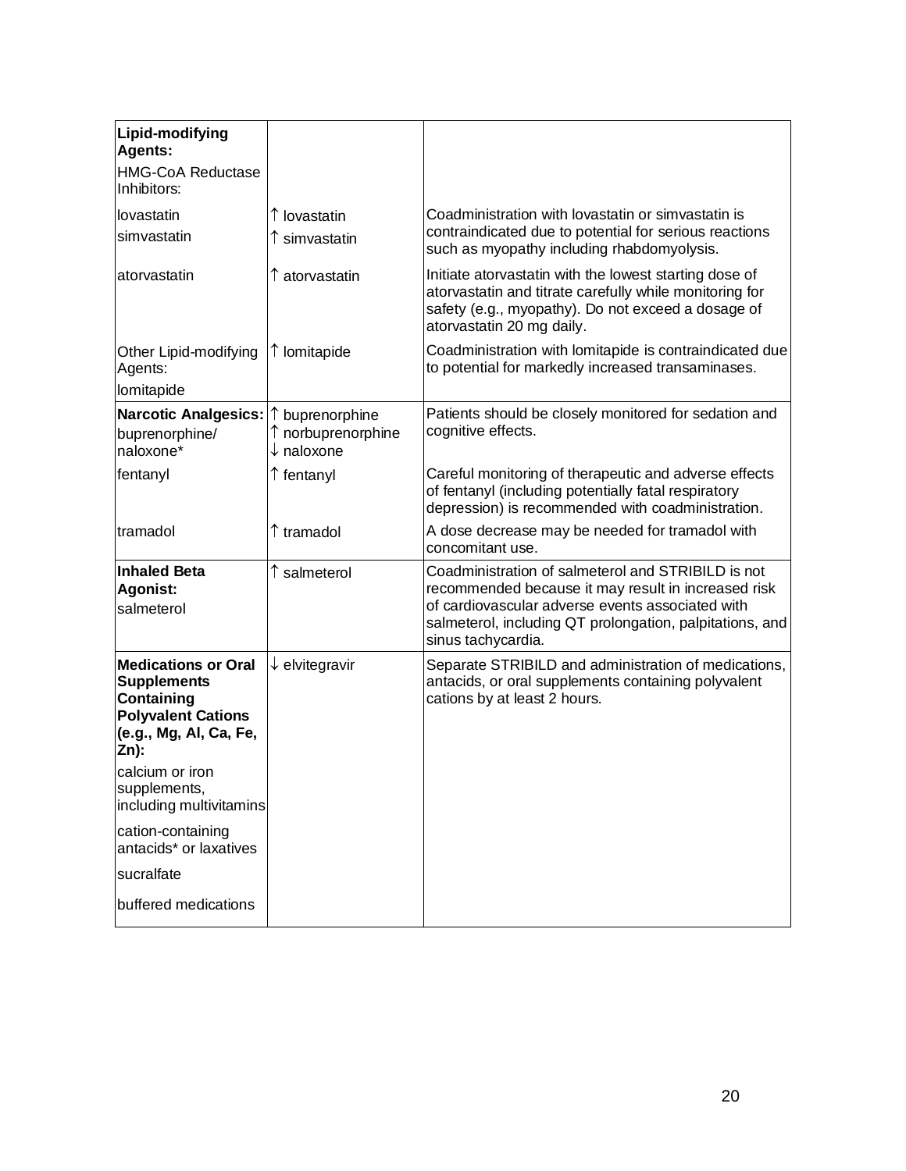| Lipid-modifying<br>Agents:                                                                                                    |                                                                         |                                                                                                                                                                                                                                                 |
|-------------------------------------------------------------------------------------------------------------------------------|-------------------------------------------------------------------------|-------------------------------------------------------------------------------------------------------------------------------------------------------------------------------------------------------------------------------------------------|
| <b>HMG-CoA Reductase</b><br>Inhibitors:                                                                                       |                                                                         |                                                                                                                                                                                                                                                 |
| lovastatin<br>simvastatin                                                                                                     | ↑ lovastatin<br>$\uparrow$ simvastatin                                  | Coadministration with lovastatin or simvastatin is<br>contraindicated due to potential for serious reactions<br>such as myopathy including rhabdomyolysis.                                                                                      |
| atorvastatin                                                                                                                  | $\uparrow$ atorvastatin                                                 | Initiate atorvastatin with the lowest starting dose of<br>atorvastatin and titrate carefully while monitoring for<br>safety (e.g., myopathy). Do not exceed a dosage of<br>atorvastatin 20 mg daily.                                            |
| Other Lipid-modifying<br>Agents:<br>lomitapide                                                                                | ↑ lomitapide                                                            | Coadministration with lomitapide is contraindicated due<br>to potential for markedly increased transaminases.                                                                                                                                   |
| <b>Narcotic Analgesics:</b><br>buprenorphine/<br>naloxone*                                                                    | ↑ buprenorphine<br>$\uparrow$ norbuprenorphine<br>$\downarrow$ naloxone | Patients should be closely monitored for sedation and<br>cognitive effects.                                                                                                                                                                     |
| fentanyl                                                                                                                      | ↑ fentanyl                                                              | Careful monitoring of therapeutic and adverse effects<br>of fentanyl (including potentially fatal respiratory<br>depression) is recommended with coadministration.                                                                              |
| tramadol                                                                                                                      | ↑ tramadol                                                              | A dose decrease may be needed for tramadol with<br>concomitant use.                                                                                                                                                                             |
| <b>Inhaled Beta</b><br><b>Agonist:</b><br>salmeterol                                                                          | ↑ salmeterol                                                            | Coadministration of salmeterol and STRIBILD is not<br>recommended because it may result in increased risk<br>of cardiovascular adverse events associated with<br>salmeterol, including QT prolongation, palpitations, and<br>sinus tachycardia. |
| <b>Medications or Oral</b><br><b>Supplements</b><br>Containing<br><b>Polyvalent Cations</b><br>(e.g., Mg, Al, Ca, Fe,<br>Zn): | $\downarrow$ elvitegravir                                               | Separate STRIBILD and administration of medications,<br>antacids, or oral supplements containing polyvalent<br>cations by at least 2 hours.                                                                                                     |
| calcium or iron<br>supplements,<br>including multivitamins                                                                    |                                                                         |                                                                                                                                                                                                                                                 |
| cation-containing<br>antacids* or laxatives                                                                                   |                                                                         |                                                                                                                                                                                                                                                 |
| sucralfate                                                                                                                    |                                                                         |                                                                                                                                                                                                                                                 |
|                                                                                                                               |                                                                         |                                                                                                                                                                                                                                                 |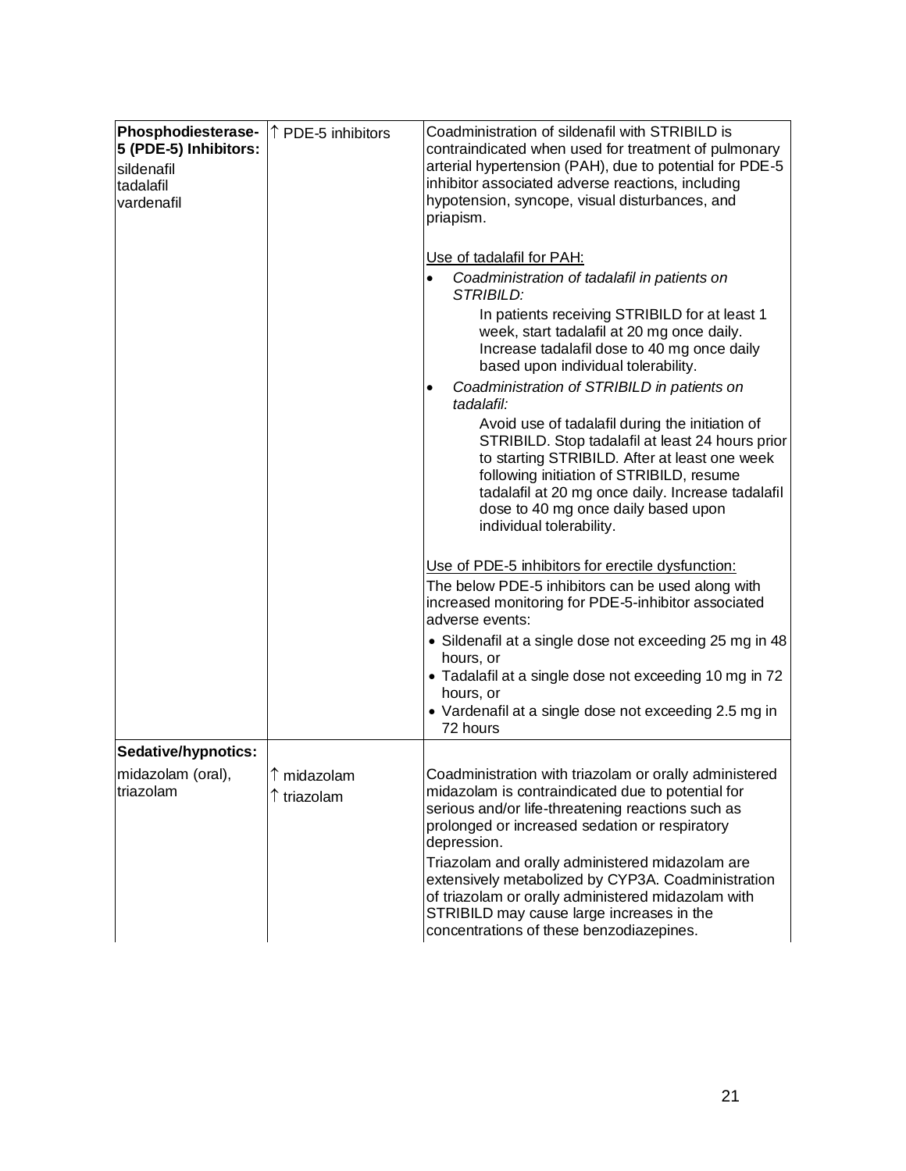| Phosphodiesterase-<br>5 (PDE-5) Inhibitors:<br>sildenafil<br>tadalafil<br>vardenafil | ↑ PDE-5 inhibitors                  | Coadministration of sildenafil with STRIBILD is<br>contraindicated when used for treatment of pulmonary<br>arterial hypertension (PAH), due to potential for PDE-5<br>inhibitor associated adverse reactions, including<br>hypotension, syncope, visual disturbances, and<br>priapism.                                                                                                                                                                                                                                                                                                                                |
|--------------------------------------------------------------------------------------|-------------------------------------|-----------------------------------------------------------------------------------------------------------------------------------------------------------------------------------------------------------------------------------------------------------------------------------------------------------------------------------------------------------------------------------------------------------------------------------------------------------------------------------------------------------------------------------------------------------------------------------------------------------------------|
|                                                                                      |                                     | Use of tadalafil for PAH:<br>Coadministration of tadalafil in patients on<br><b>STRIBILD:</b><br>In patients receiving STRIBILD for at least 1<br>week, start tadalafil at 20 mg once daily.<br>Increase tadalafil dose to 40 mg once daily<br>based upon individual tolerability.<br>Coadministration of STRIBILD in patients on<br>$\bullet$<br>tadalafil:<br>Avoid use of tadalafil during the initiation of<br>STRIBILD. Stop tadalafil at least 24 hours prior<br>to starting STRIBILD. After at least one week<br>following initiation of STRIBILD, resume<br>tadalafil at 20 mg once daily. Increase tadalafil |
|                                                                                      |                                     | dose to 40 mg once daily based upon<br>individual tolerability.<br>Use of PDE-5 inhibitors for erectile dysfunction:<br>The below PDE-5 inhibitors can be used along with<br>increased monitoring for PDE-5-inhibitor associated<br>adverse events:<br>• Sildenafil at a single dose not exceeding 25 mg in 48<br>hours, or<br>• Tadalafil at a single dose not exceeding 10 mg in 72<br>hours, or<br>• Vardenafil at a single dose not exceeding 2.5 mg in<br>72 hours                                                                                                                                               |
| Sedative/hypnotics:<br>midazolam (oral),<br>triazolam                                | $\uparrow$ midazolam<br>↑ triazolam | Coadministration with triazolam or orally administered<br>midazolam is contraindicated due to potential for<br>serious and/or life-threatening reactions such as<br>prolonged or increased sedation or respiratory<br>depression.<br>Triazolam and orally administered midazolam are<br>extensively metabolized by CYP3A. Coadministration<br>of triazolam or orally administered midazolam with<br>STRIBILD may cause large increases in the<br>concentrations of these benzodiazepines.                                                                                                                             |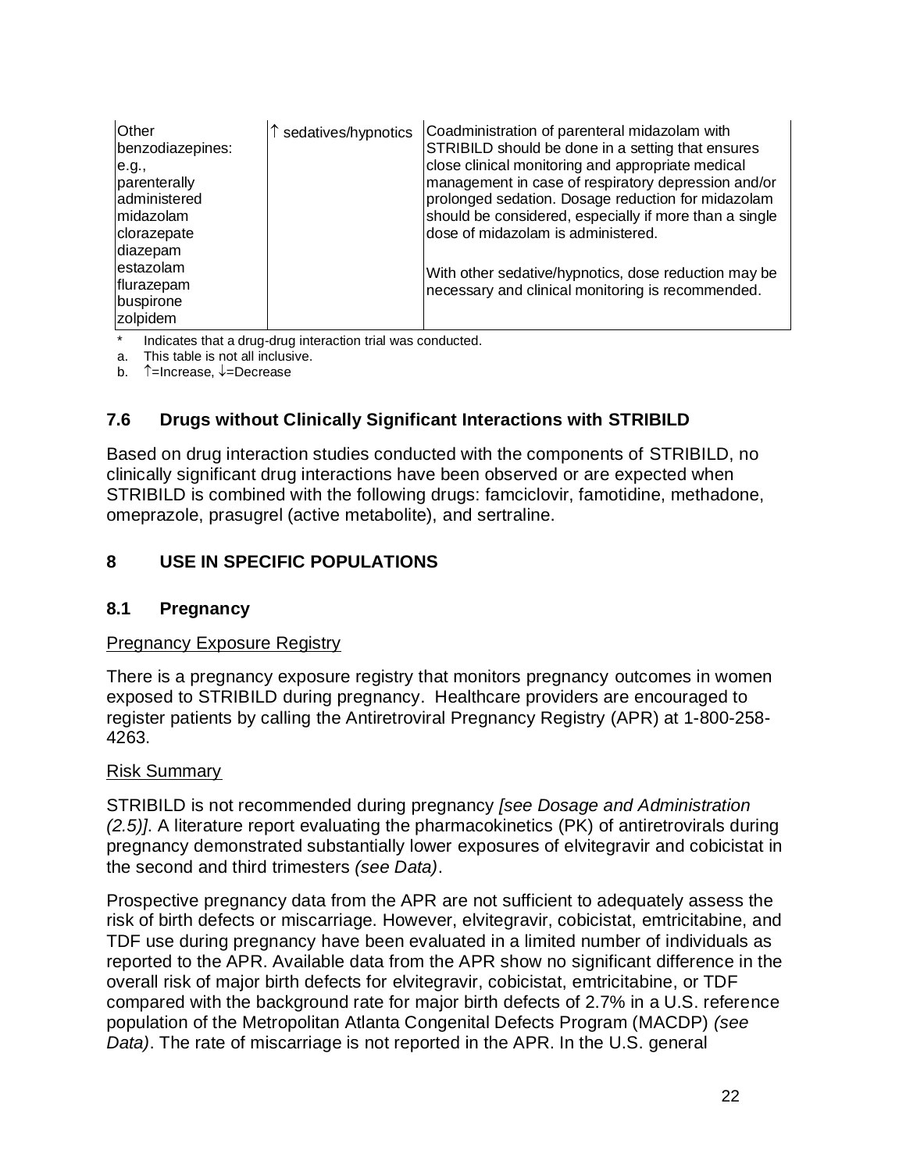| Other<br>benzodiazepines:<br>e.g.,<br>parenterally<br>administered<br>Imidazolam<br>clorazepate<br>diazepam | sedatives/hypnotics | Coadministration of parenteral midazolam with<br>STRIBILD should be done in a setting that ensures<br>close clinical monitoring and appropriate medical<br>management in case of respiratory depression and/or<br>prolonged sedation. Dosage reduction for midazolam<br>should be considered, especially if more than a single<br>dose of midazolam is administered. |
|-------------------------------------------------------------------------------------------------------------|---------------------|----------------------------------------------------------------------------------------------------------------------------------------------------------------------------------------------------------------------------------------------------------------------------------------------------------------------------------------------------------------------|
| lestazolam<br>flurazepam<br>buspirone<br>zolpidem                                                           |                     | With other sedative/hypnotics, dose reduction may be<br>necessary and clinical monitoring is recommended.                                                                                                                                                                                                                                                            |

Indicates that a drug-drug interaction trial was conducted.

a. This table is not all inclusive.

b.  $\uparrow$ =Increase,  $\downarrow$ =Decrease

# **7.6 Drugs without Clinically Significant Interactions with STRIBILD**

Based on drug interaction studies conducted with the components of STRIBILD, no clinically significant drug interactions have been observed or are expected when STRIBILD is combined with the following drugs: famciclovir, famotidine, methadone, omeprazole, prasugrel (active metabolite), and sertraline.

## **8 USE IN SPECIFIC POPULATIONS**

### **8.1 Pregnancy**

### Pregnancy Exposure Registry

There is a pregnancy exposure registry that monitors pregnancy outcomes in women exposed to STRIBILD during pregnancy. Healthcare providers are encouraged to register patients by calling the Antiretroviral Pregnancy Registry (APR) at 1-800-258- 4263.

#### Risk Summary

STRIBILD is not recommended during pregnancy *[see Dosage and Administration (2.5)]*. A literature report evaluating the pharmacokinetics (PK) of antiretrovirals during pregnancy demonstrated substantially lower exposures of elvitegravir and cobicistat in the second and third trimesters *(see Data)*.

Prospective pregnancy data from the APR are not sufficient to adequately assess the risk of birth defects or miscarriage. However, elvitegravir, cobicistat, emtricitabine, and TDF use during pregnancy have been evaluated in a limited number of individuals as reported to the APR. Available data from the APR show no significant difference in the overall risk of major birth defects for elvitegravir, cobicistat, emtricitabine, or TDF compared with the background rate for major birth defects of 2.7% in a U.S. reference population of the Metropolitan Atlanta Congenital Defects Program (MACDP) *(see Data)*. The rate of miscarriage is not reported in the APR. In the U.S. general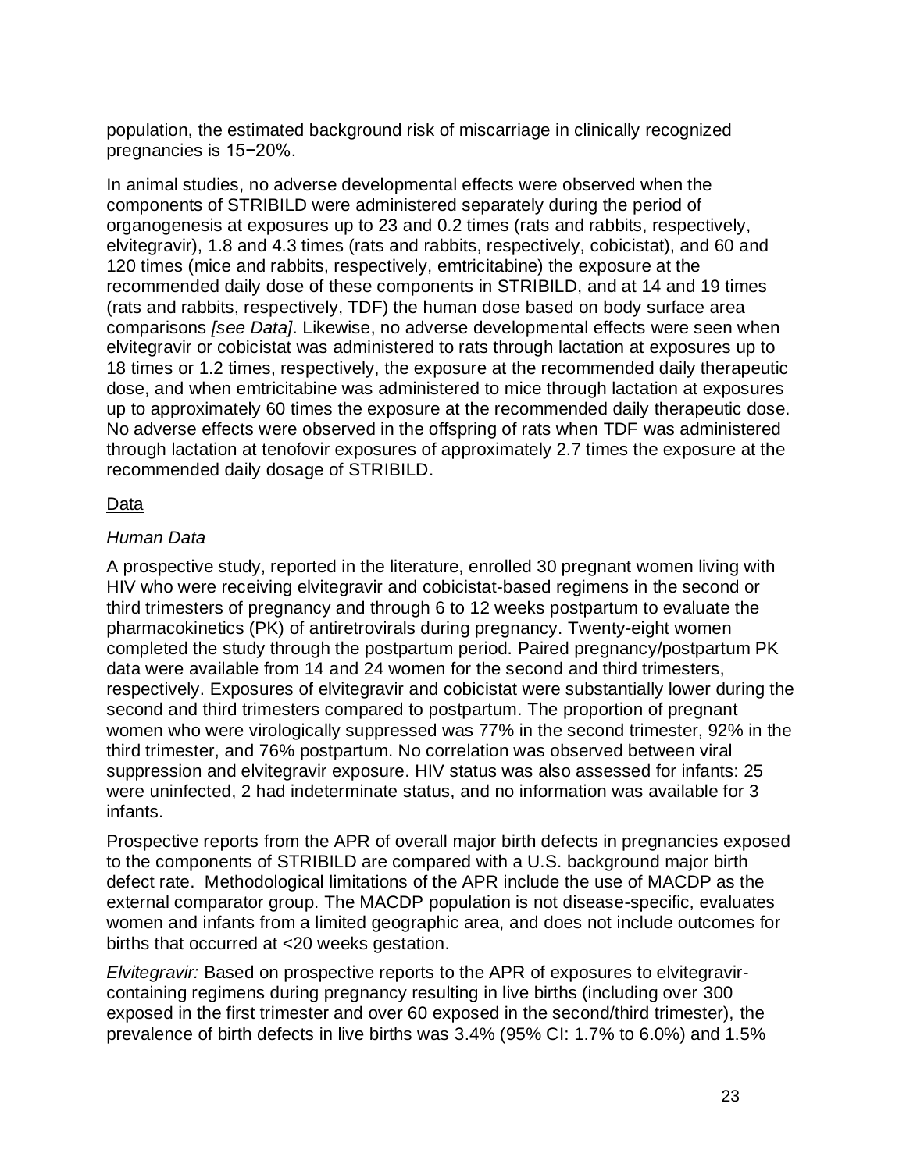population, the estimated background risk of miscarriage in clinically recognized pregnancies is 15−20%.

In animal studies, no adverse developmental effects were observed when the components of STRIBILD were administered separately during the period of organogenesis at exposures up to 23 and 0.2 times (rats and rabbits, respectively, elvitegravir), 1.8 and 4.3 times (rats and rabbits, respectively, cobicistat), and 60 and 120 times (mice and rabbits, respectively, emtricitabine) the exposure at the recommended daily dose of these components in STRIBILD, and at 14 and 19 times (rats and rabbits, respectively, TDF) the human dose based on body surface area comparisons *[see Data]*. Likewise, no adverse developmental effects were seen when elvitegravir or cobicistat was administered to rats through lactation at exposures up to 18 times or 1.2 times, respectively, the exposure at the recommended daily therapeutic dose, and when emtricitabine was administered to mice through lactation at exposures up to approximately 60 times the exposure at the recommended daily therapeutic dose. No adverse effects were observed in the offspring of rats when TDF was administered through lactation at tenofovir exposures of approximately 2.7 times the exposure at the recommended daily dosage of STRIBILD.

## Data

## *Human Data*

A prospective study, reported in the literature, enrolled 30 pregnant women living with HIV who were receiving elvitegravir and cobicistat-based regimens in the second or third trimesters of pregnancy and through 6 to 12 weeks postpartum to evaluate the pharmacokinetics (PK) of antiretrovirals during pregnancy. Twenty-eight women completed the study through the postpartum period. Paired pregnancy/postpartum PK data were available from 14 and 24 women for the second and third trimesters, respectively. Exposures of elvitegravir and cobicistat were substantially lower during the second and third trimesters compared to postpartum. The proportion of pregnant women who were virologically suppressed was 77% in the second trimester, 92% in the third trimester, and 76% postpartum. No correlation was observed between viral suppression and elvitegravir exposure. HIV status was also assessed for infants: 25 were uninfected, 2 had indeterminate status, and no information was available for 3 infants.

Prospective reports from the APR of overall major birth defects in pregnancies exposed to the components of STRIBILD are compared with a U.S. background major birth defect rate. Methodological limitations of the APR include the use of MACDP as the external comparator group. The MACDP population is not disease-specific, evaluates women and infants from a limited geographic area, and does not include outcomes for births that occurred at <20 weeks gestation.

*Elvitegravir:* Based on prospective reports to the APR of exposures to elvitegravircontaining regimens during pregnancy resulting in live births (including over 300 exposed in the first trimester and over 60 exposed in the second/third trimester), the prevalence of birth defects in live births was 3.4% (95% CI: 1.7% to 6.0%) and 1.5%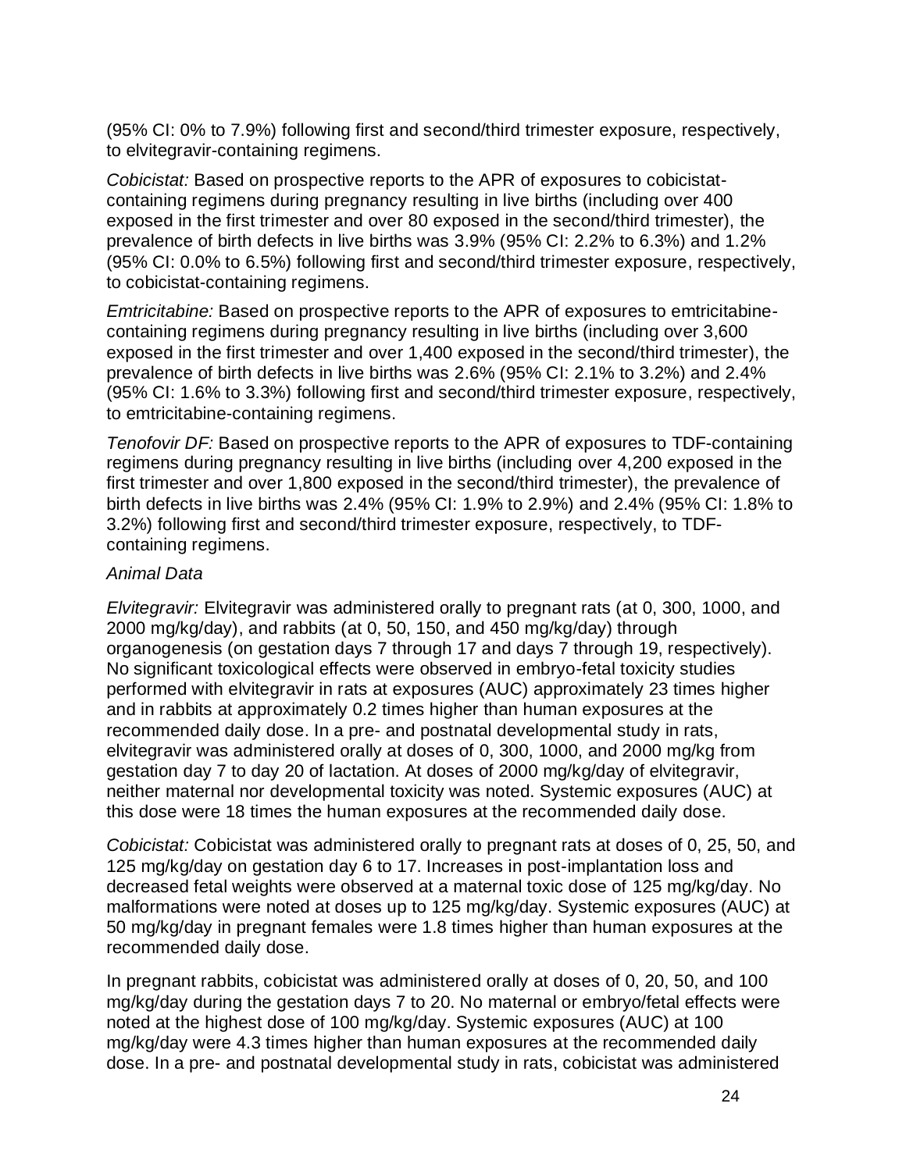(95% CI: 0% to 7.9%) following first and second/third trimester exposure, respectively, to elvitegravir-containing regimens.

*Cobicistat:* Based on prospective reports to the APR of exposures to cobicistatcontaining regimens during pregnancy resulting in live births (including over 400 exposed in the first trimester and over 80 exposed in the second/third trimester), the prevalence of birth defects in live births was 3.9% (95% CI: 2.2% to 6.3%) and 1.2% (95% CI: 0.0% to 6.5%) following first and second/third trimester exposure, respectively, to cobicistat-containing regimens.

*Emtricitabine:* Based on prospective reports to the APR of exposures to emtricitabinecontaining regimens during pregnancy resulting in live births (including over 3,600 exposed in the first trimester and over 1,400 exposed in the second/third trimester), the prevalence of birth defects in live births was 2.6% (95% CI: 2.1% to 3.2%) and 2.4% (95% CI: 1.6% to 3.3%) following first and second/third trimester exposure, respectively, to emtricitabine-containing regimens.

*Tenofovir DF:* Based on prospective reports to the APR of exposures to TDF-containing regimens during pregnancy resulting in live births (including over 4,200 exposed in the first trimester and over 1,800 exposed in the second/third trimester), the prevalence of birth defects in live births was 2.4% (95% CI: 1.9% to 2.9%) and 2.4% (95% CI: 1.8% to 3.2%) following first and second/third trimester exposure, respectively, to TDFcontaining regimens.

### *Animal Data*

*Elvitegravir:* Elvitegravir was administered orally to pregnant rats (at 0, 300, 1000, and 2000 mg/kg/day), and rabbits (at 0, 50, 150, and 450 mg/kg/day) through organogenesis (on gestation days 7 through 17 and days 7 through 19, respectively). No significant toxicological effects were observed in embryo-fetal toxicity studies performed with elvitegravir in rats at exposures (AUC) approximately 23 times higher and in rabbits at approximately 0.2 times higher than human exposures at the recommended daily dose. In a pre- and postnatal developmental study in rats, elvitegravir was administered orally at doses of 0, 300, 1000, and 2000 mg/kg from gestation day 7 to day 20 of lactation. At doses of 2000 mg/kg/day of elvitegravir, neither maternal nor developmental toxicity was noted. Systemic exposures (AUC) at this dose were 18 times the human exposures at the recommended daily dose.

*Cobicistat:* Cobicistat was administered orally to pregnant rats at doses of 0, 25, 50, and 125 mg/kg/day on gestation day 6 to 17. Increases in post-implantation loss and decreased fetal weights were observed at a maternal toxic dose of 125 mg/kg/day. No malformations were noted at doses up to 125 mg/kg/day. Systemic exposures (AUC) at 50 mg/kg/day in pregnant females were 1.8 times higher than human exposures at the recommended daily dose.

In pregnant rabbits, cobicistat was administered orally at doses of 0, 20, 50, and 100 mg/kg/day during the gestation days 7 to 20. No maternal or embryo/fetal effects were noted at the highest dose of 100 mg/kg/day. Systemic exposures (AUC) at 100 mg/kg/day were 4.3 times higher than human exposures at the recommended daily dose. In a pre- and postnatal developmental study in rats, cobicistat was administered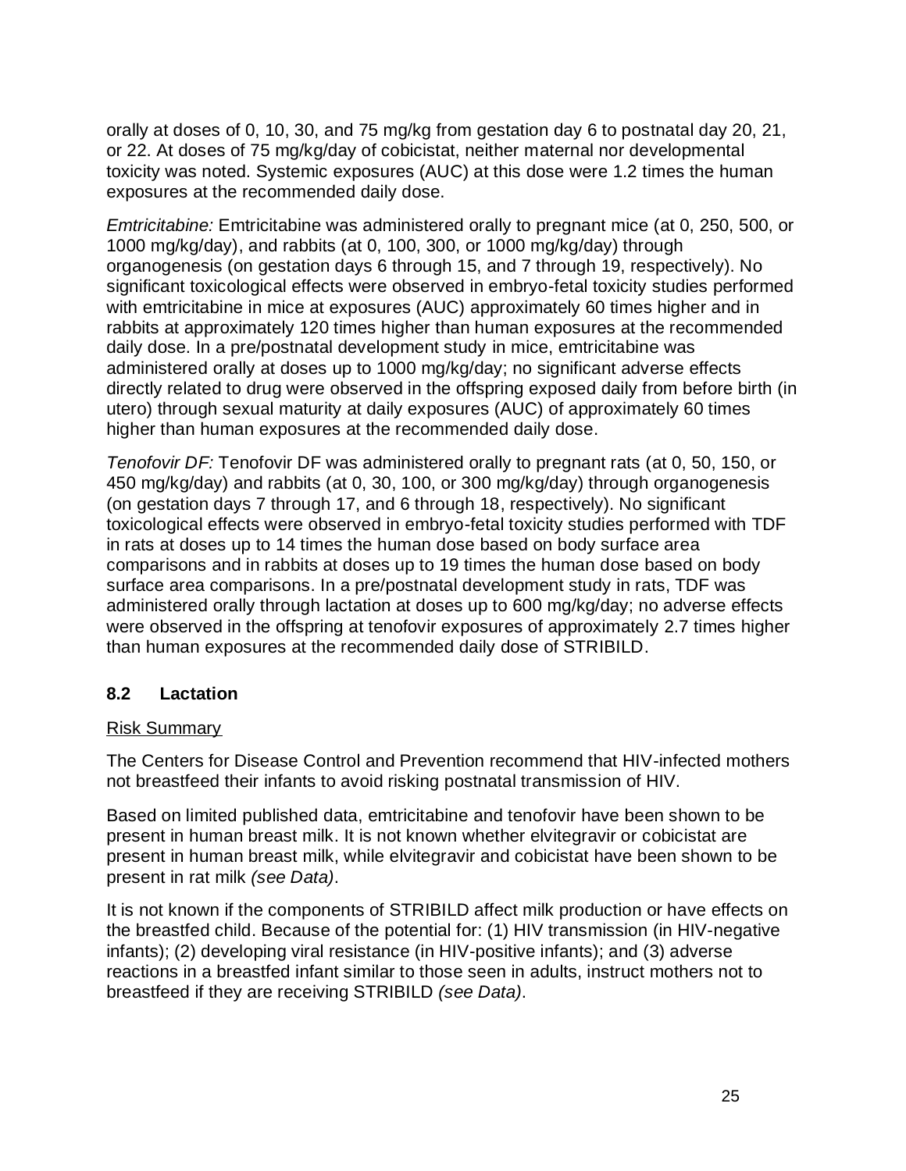orally at doses of 0, 10, 30, and 75 mg/kg from gestation day 6 to postnatal day 20, 21, or 22. At doses of 75 mg/kg/day of cobicistat, neither maternal nor developmental toxicity was noted. Systemic exposures (AUC) at this dose were 1.2 times the human exposures at the recommended daily dose.

*Emtricitabine:* Emtricitabine was administered orally to pregnant mice (at 0, 250, 500, or 1000 mg/kg/day), and rabbits (at 0, 100, 300, or 1000 mg/kg/day) through organogenesis (on gestation days 6 through 15, and 7 through 19, respectively). No significant toxicological effects were observed in embryo-fetal toxicity studies performed with emtricitabine in mice at exposures (AUC) approximately 60 times higher and in rabbits at approximately 120 times higher than human exposures at the recommended daily dose. In a pre/postnatal development study in mice, emtricitabine was administered orally at doses up to 1000 mg/kg/day; no significant adverse effects directly related to drug were observed in the offspring exposed daily from before birth (in utero) through sexual maturity at daily exposures (AUC) of approximately 60 times higher than human exposures at the recommended daily dose.

*Tenofovir DF:* Tenofovir DF was administered orally to pregnant rats (at 0, 50, 150, or 450 mg/kg/day) and rabbits (at 0, 30, 100, or 300 mg/kg/day) through organogenesis (on gestation days 7 through 17, and 6 through 18, respectively). No significant toxicological effects were observed in embryo-fetal toxicity studies performed with TDF in rats at doses up to 14 times the human dose based on body surface area comparisons and in rabbits at doses up to 19 times the human dose based on body surface area comparisons. In a pre/postnatal development study in rats, TDF was administered orally through lactation at doses up to 600 mg/kg/day; no adverse effects were observed in the offspring at tenofovir exposures of approximately 2.7 times higher than human exposures at the recommended daily dose of STRIBILD.

## **8.2 Lactation**

### Risk Summary

The Centers for Disease Control and Prevention recommend that HIV-infected mothers not breastfeed their infants to avoid risking postnatal transmission of HIV.

Based on limited published data, emtricitabine and tenofovir have been shown to be present in human breast milk. It is not known whether elvitegravir or cobicistat are present in human breast milk, while elvitegravir and cobicistat have been shown to be present in rat milk *(see Data)*.

It is not known if the components of STRIBILD affect milk production or have effects on the breastfed child. Because of the potential for: (1) HIV transmission (in HIV-negative infants); (2) developing viral resistance (in HIV-positive infants); and (3) adverse reactions in a breastfed infant similar to those seen in adults, instruct mothers not to breastfeed if they are receiving STRIBILD *(see Data)*.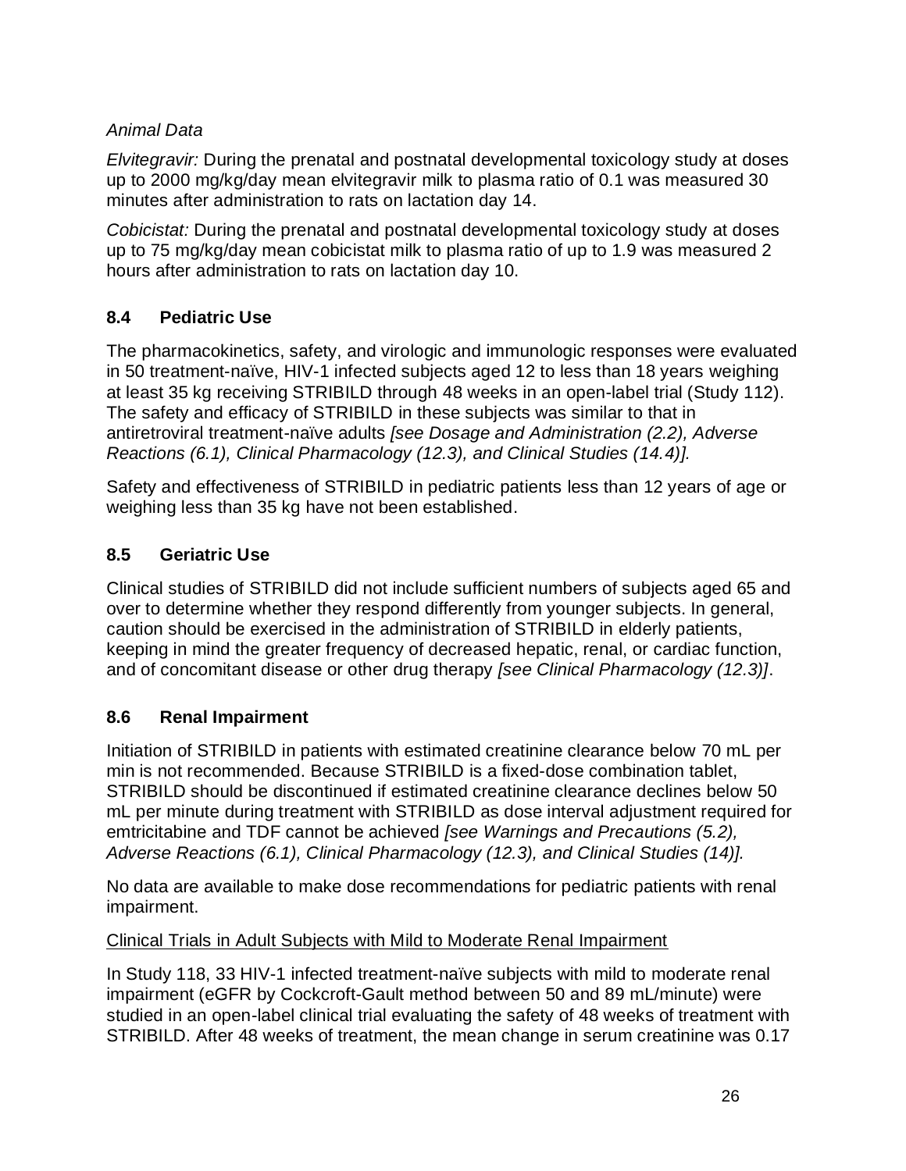# *Animal Data*

*Elvitegravir:* During the prenatal and postnatal developmental toxicology study at doses up to 2000 mg/kg/day mean elvitegravir milk to plasma ratio of 0.1 was measured 30 minutes after administration to rats on lactation day 14.

*Cobicistat:* During the prenatal and postnatal developmental toxicology study at doses up to 75 mg/kg/day mean cobicistat milk to plasma ratio of up to 1.9 was measured 2 hours after administration to rats on lactation day 10.

# **8.4 Pediatric Use**

The pharmacokinetics, safety, and virologic and immunologic responses were evaluated in 50 treatment-naïve, HIV-1 infected subjects aged 12 to less than 18 years weighing at least 35 kg receiving STRIBILD through 48 weeks in an open-label trial (Study 112). The safety and efficacy of STRIBILD in these subjects was similar to that in antiretroviral treatment-naïve adults *[see Dosage and Administration (2.2), Adverse Reactions (6.1), Clinical Pharmacology (12.3), and Clinical Studies (14.4)].*

Safety and effectiveness of STRIBILD in pediatric patients less than 12 years of age or weighing less than 35 kg have not been established.

# **8.5 Geriatric Use**

Clinical studies of STRIBILD did not include sufficient numbers of subjects aged 65 and over to determine whether they respond differently from younger subjects. In general, caution should be exercised in the administration of STRIBILD in elderly patients, keeping in mind the greater frequency of decreased hepatic, renal, or cardiac function, and of concomitant disease or other drug therapy *[see Clinical Pharmacology (12.3)]*.

# **8.6 Renal Impairment**

Initiation of STRIBILD in patients with estimated creatinine clearance below 70 mL per min is not recommended. Because STRIBILD is a fixed-dose combination tablet, STRIBILD should be discontinued if estimated creatinine clearance declines below 50 mL per minute during treatment with STRIBILD as dose interval adjustment required for emtricitabine and TDF cannot be achieved *[see Warnings and Precautions (5.2), Adverse Reactions (6.1), Clinical Pharmacology (12.3), and Clinical Studies (14)].*

No data are available to make dose recommendations for pediatric patients with renal impairment.

# Clinical Trials in Adult Subjects with Mild to Moderate Renal Impairment

In Study 118, 33 HIV-1 infected treatment-naïve subjects with mild to moderate renal impairment (eGFR by Cockcroft-Gault method between 50 and 89 mL/minute) were studied in an open-label clinical trial evaluating the safety of 48 weeks of treatment with STRIBILD. After 48 weeks of treatment, the mean change in serum creatinine was 0.17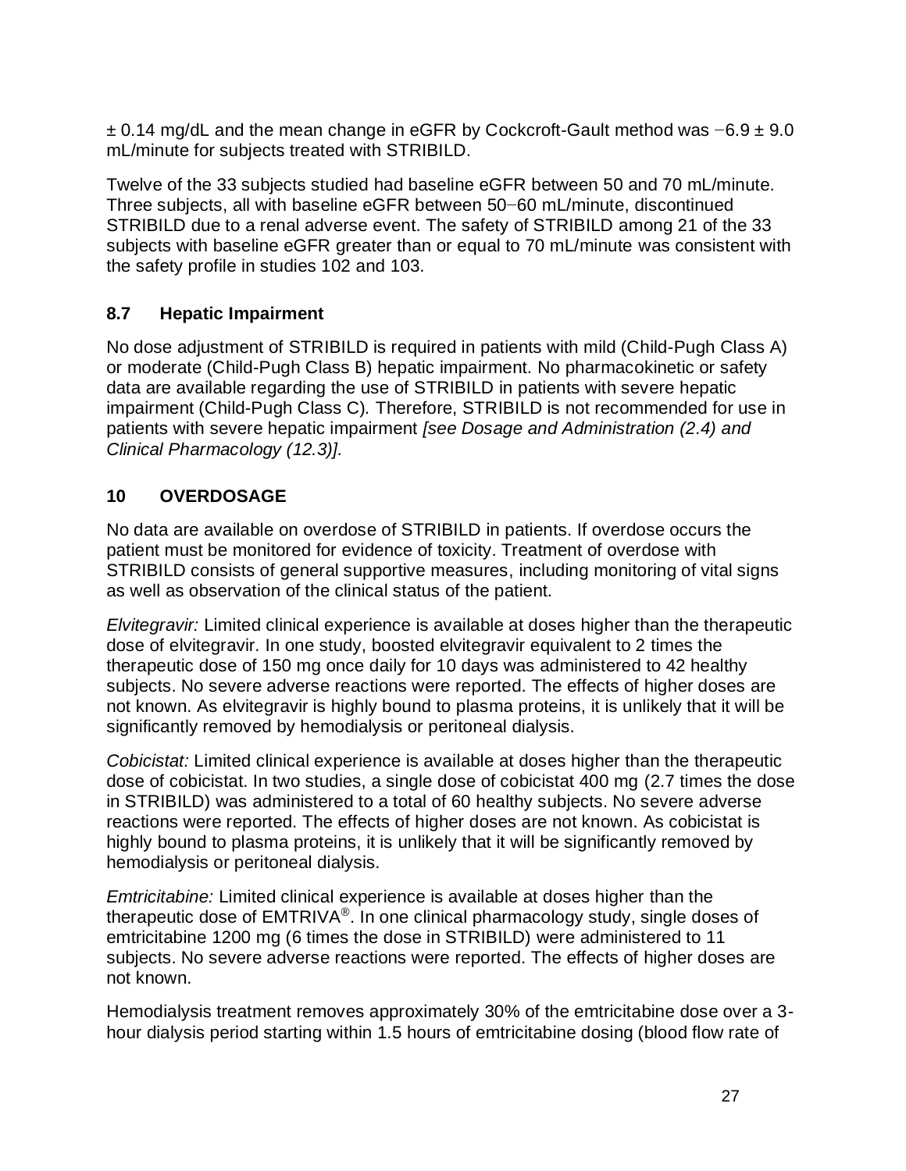± 0.14 mg/dL and the mean change in eGFR by Cockcroft-Gault method was −6.9 ± 9.0 mL/minute for subjects treated with STRIBILD.

Twelve of the 33 subjects studied had baseline eGFR between 50 and 70 mL/minute. Three subjects, all with baseline eGFR between 50−60 mL/minute, discontinued STRIBILD due to a renal adverse event. The safety of STRIBILD among 21 of the 33 subjects with baseline eGFR greater than or equal to 70 mL/minute was consistent with the safety profile in studies 102 and 103.

# **8.7 Hepatic Impairment**

No dose adjustment of STRIBILD is required in patients with mild (Child-Pugh Class A) or moderate (Child-Pugh Class B) hepatic impairment. No pharmacokinetic or safety data are available regarding the use of STRIBILD in patients with severe hepatic impairment (Child-Pugh Class C)*.* Therefore, STRIBILD is not recommended for use in patients with severe hepatic impairment *[see Dosage and Administration (2.4) and Clinical Pharmacology (12.3)].*

# **10 OVERDOSAGE**

No data are available on overdose of STRIBILD in patients. If overdose occurs the patient must be monitored for evidence of toxicity. Treatment of overdose with STRIBILD consists of general supportive measures, including monitoring of vital signs as well as observation of the clinical status of the patient.

*Elvitegravir:* Limited clinical experience is available at doses higher than the therapeutic dose of elvitegravir. In one study, boosted elvitegravir equivalent to 2 times the therapeutic dose of 150 mg once daily for 10 days was administered to 42 healthy subjects. No severe adverse reactions were reported. The effects of higher doses are not known. As elvitegravir is highly bound to plasma proteins, it is unlikely that it will be significantly removed by hemodialysis or peritoneal dialysis.

*Cobicistat:* Limited clinical experience is available at doses higher than the therapeutic dose of cobicistat. In two studies, a single dose of cobicistat 400 mg (2.7 times the dose in STRIBILD) was administered to a total of 60 healthy subjects. No severe adverse reactions were reported. The effects of higher doses are not known. As cobicistat is highly bound to plasma proteins, it is unlikely that it will be significantly removed by hemodialysis or peritoneal dialysis.

*Emtricitabine:* Limited clinical experience is available at doses higher than the therapeutic dose of EMTRIVA®. In one clinical pharmacology study, single doses of emtricitabine 1200 mg (6 times the dose in STRIBILD) were administered to 11 subjects. No severe adverse reactions were reported. The effects of higher doses are not known.

Hemodialysis treatment removes approximately 30% of the emtricitabine dose over a 3 hour dialysis period starting within 1.5 hours of emtricitabine dosing (blood flow rate of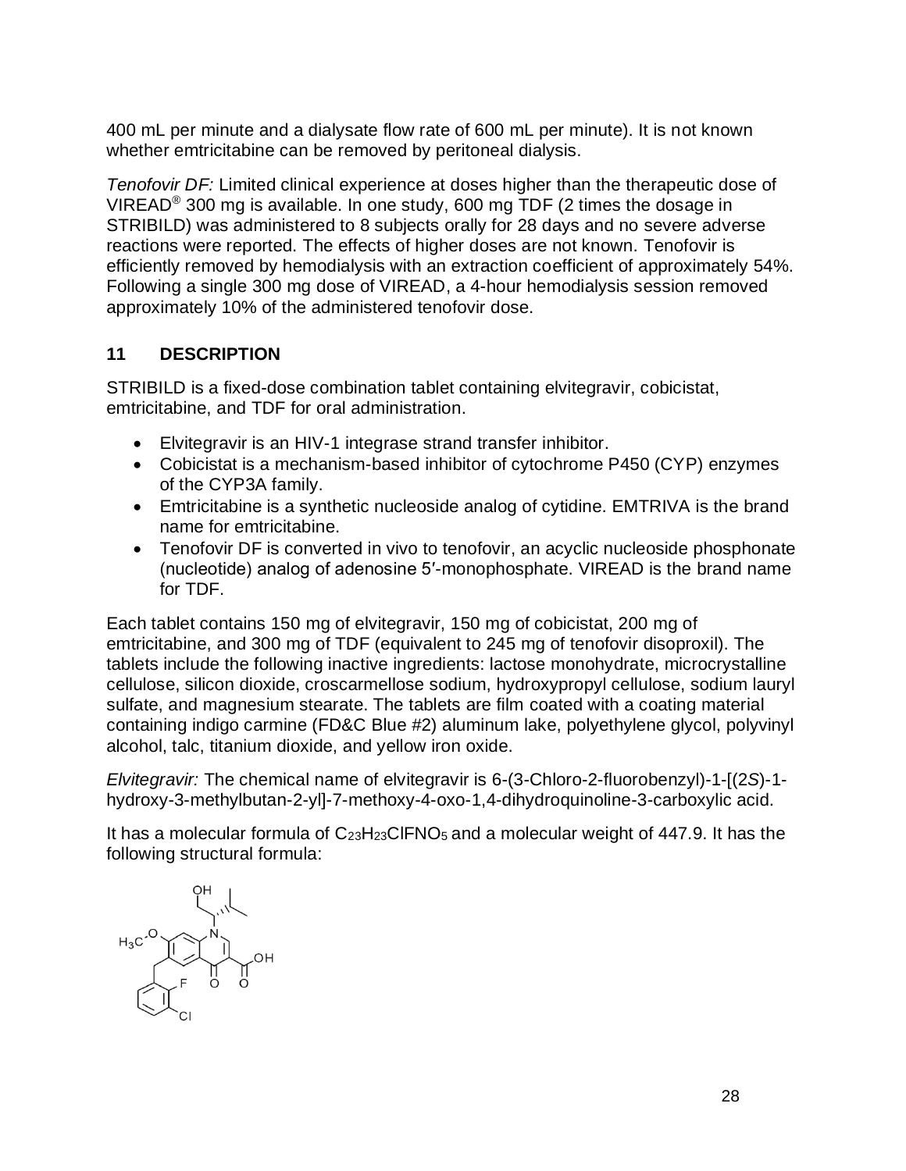400 mL per minute and a dialysate flow rate of 600 mL per minute). It is not known whether emtricitabine can be removed by peritoneal dialysis.

*Tenofovir DF:* Limited clinical experience at doses higher than the therapeutic dose of VIREAD® 300 mg is available. In one study, 600 mg TDF (2 times the dosage in STRIBILD) was administered to 8 subjects orally for 28 days and no severe adverse reactions were reported. The effects of higher doses are not known. Tenofovir is efficiently removed by hemodialysis with an extraction coefficient of approximately 54%. Following a single 300 mg dose of VIREAD, a 4-hour hemodialysis session removed approximately 10% of the administered tenofovir dose.

# **11 DESCRIPTION**

STRIBILD is a fixed-dose combination tablet containing elvitegravir, cobicistat, emtricitabine, and TDF for oral administration.

- Elvitegravir is an HIV-1 integrase strand transfer inhibitor.
- Cobicistat is a mechanism-based inhibitor of cytochrome P450 (CYP) enzymes of the CYP3A family.
- Emtricitabine is a synthetic nucleoside analog of cytidine. EMTRIVA is the brand name for emtricitabine.
- Tenofovir DF is converted in vivo to tenofovir, an acyclic nucleoside phosphonate (nucleotide) analog of adenosine 5′-monophosphate. VIREAD is the brand name for TDF.

Each tablet contains 150 mg of elvitegravir, 150 mg of cobicistat, 200 mg of emtricitabine, and 300 mg of TDF (equivalent to 245 mg of tenofovir disoproxil). The tablets include the following inactive ingredients: lactose monohydrate, microcrystalline cellulose, silicon dioxide, croscarmellose sodium, hydroxypropyl cellulose, sodium lauryl sulfate, and magnesium stearate. The tablets are film coated with a coating material containing indigo carmine (FD&C Blue #2) aluminum lake, polyethylene glycol, polyvinyl alcohol, talc, titanium dioxide, and yellow iron oxide.

*Elvitegravir:* The chemical name of elvitegravir is 6-(3-Chloro-2-fluorobenzyl)-1-[(2*S*)-1 hydroxy-3-methylbutan-2-yl]-7-methoxy-4-oxo-1,4-dihydroquinoline-3-carboxylic acid.

It has a molecular formula of C23H23ClFNO5 and a molecular weight of 447.9. It has the following structural formula:

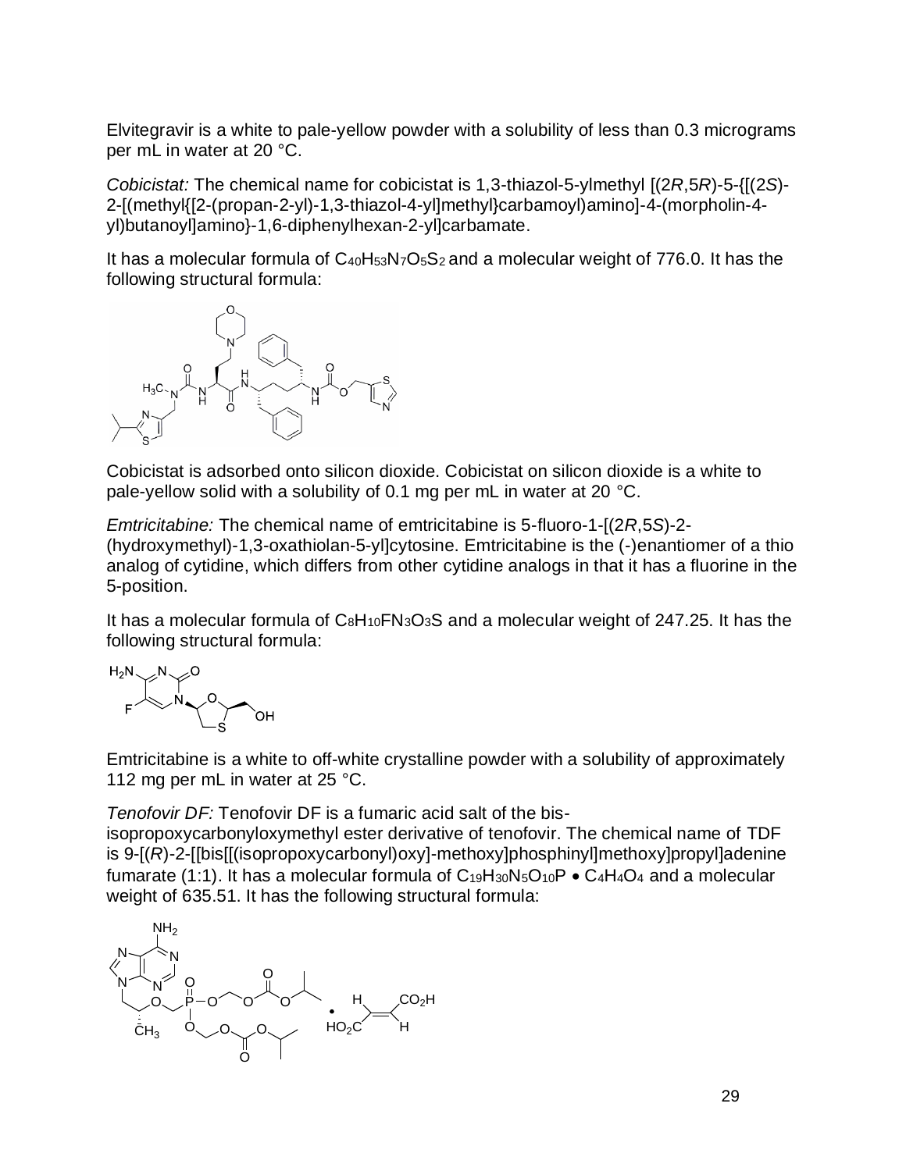Elvitegravir is a white to pale-yellow powder with a solubility of less than 0.3 micrograms per mL in water at 20 °C.

*Cobicistat:* The chemical name for cobicistat is 1,3-thiazol-5-ylmethyl [(2*R*,5*R*)-5-{[(2*S*)- 2-[(methyl{[2-(propan-2-yl)-1,3-thiazol-4-yl]methyl}carbamoyl)amino]-4-(morpholin-4 yl)butanoyl]amino}-1,6-diphenylhexan-2-yl]carbamate.

It has a molecular formula of  $C_{40}H_{53}N<sub>7</sub>O<sub>5</sub>S<sub>2</sub>$  and a molecular weight of 776.0. It has the following structural formula:



Cobicistat is adsorbed onto silicon dioxide. Cobicistat on silicon dioxide is a white to pale-yellow solid with a solubility of 0.1 mg per mL in water at 20 °C.

*Emtricitabine:* The chemical name of emtricitabine is 5-fluoro-1-[(2*R*,5*S*)-2- (hydroxymethyl)-1,3-oxathiolan-5-yl]cytosine. Emtricitabine is the (-)enantiomer of a thio analog of cytidine, which differs from other cytidine analogs in that it has a fluorine in the 5-position.

It has a molecular formula of  $C_8H_{10}FN_3O_3S$  and a molecular weight of 247.25. It has the following structural formula:



Emtricitabine is a white to off-white crystalline powder with a solubility of approximately 112 mg per mL in water at 25 °C.

*Tenofovir DF:* Tenofovir DF is a fumaric acid salt of the bis-

isopropoxycarbonyloxymethyl ester derivative of tenofovir. The chemical name of TDF is 9-[(*R*)-2-[[bis[[(isopropoxycarbonyl)oxy]-methoxy]phosphinyl]methoxy]propyl]adenine fumarate (1:1). It has a molecular formula of  $C_1 \oplus H_3 \oplus C_1 \oplus P \bullet C_4 H_4 O_4$  and a molecular weight of 635.51. It has the following structural formula:

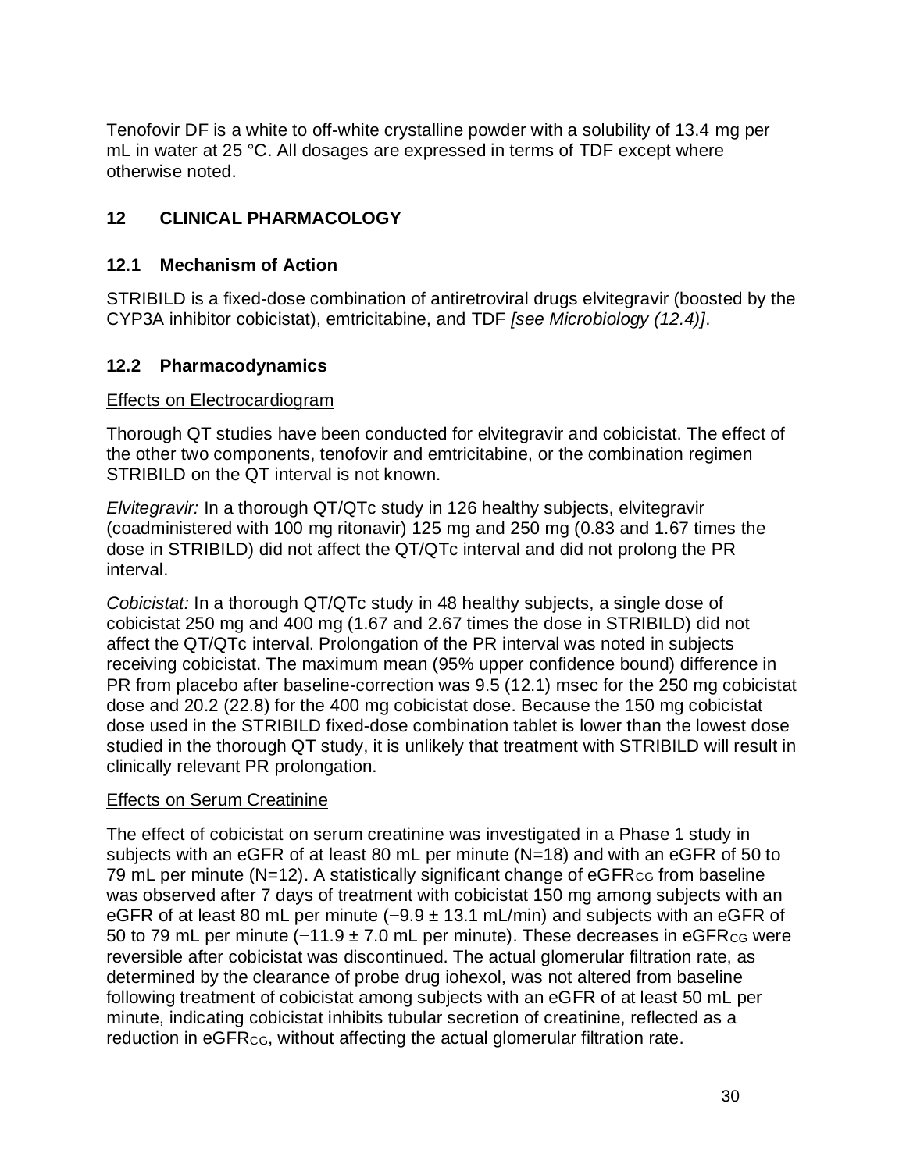Tenofovir DF is a white to off-white crystalline powder with a solubility of 13.4 mg per mL in water at 25 °C. All dosages are expressed in terms of TDF except where otherwise noted.

# **12 CLINICAL PHARMACOLOGY**

### **12.1 Mechanism of Action**

STRIBILD is a fixed-dose combination of antiretroviral drugs elvitegravir (boosted by the CYP3A inhibitor cobicistat), emtricitabine, and TDF *[see Microbiology (12.4)]*.

## **12.2 Pharmacodynamics**

### Effects on Electrocardiogram

Thorough QT studies have been conducted for elvitegravir and cobicistat. The effect of the other two components, tenofovir and emtricitabine, or the combination regimen STRIBILD on the QT interval is not known.

*Elvitegravir:* In a thorough QT/QTc study in 126 healthy subjects, elvitegravir (coadministered with 100 mg ritonavir) 125 mg and 250 mg (0.83 and 1.67 times the dose in STRIBILD) did not affect the QT/QTc interval and did not prolong the PR interval.

*Cobicistat:* In a thorough QT/QTc study in 48 healthy subjects, a single dose of cobicistat 250 mg and 400 mg (1.67 and 2.67 times the dose in STRIBILD) did not affect the QT/QTc interval. Prolongation of the PR interval was noted in subjects receiving cobicistat. The maximum mean (95% upper confidence bound) difference in PR from placebo after baseline-correction was 9.5 (12.1) msec for the 250 mg cobicistat dose and 20.2 (22.8) for the 400 mg cobicistat dose. Because the 150 mg cobicistat dose used in the STRIBILD fixed-dose combination tablet is lower than the lowest dose studied in the thorough QT study, it is unlikely that treatment with STRIBILD will result in clinically relevant PR prolongation.

### Effects on Serum Creatinine

The effect of cobicistat on serum creatinine was investigated in a Phase 1 study in subjects with an eGFR of at least 80 mL per minute (N=18) and with an eGFR of 50 to 79 mL per minute  $(N=12)$ . A statistically significant change of  $eGFR_{CG}$  from baseline was observed after 7 days of treatment with cobicistat 150 mg among subjects with an eGFR of at least 80 mL per minute (−9.9 ± 13.1 mL/min) and subjects with an eGFR of 50 to 79 mL per minute (−11.9 ± 7.0 mL per minute). These decreases in eGFR<sub>CG</sub> were reversible after cobicistat was discontinued. The actual glomerular filtration rate, as determined by the clearance of probe drug iohexol, was not altered from baseline following treatment of cobicistat among subjects with an eGFR of at least 50 mL per minute, indicating cobicistat inhibits tubular secretion of creatinine, reflected as a reduction in eGFR<sub>CG</sub>, without affecting the actual glomerular filtration rate.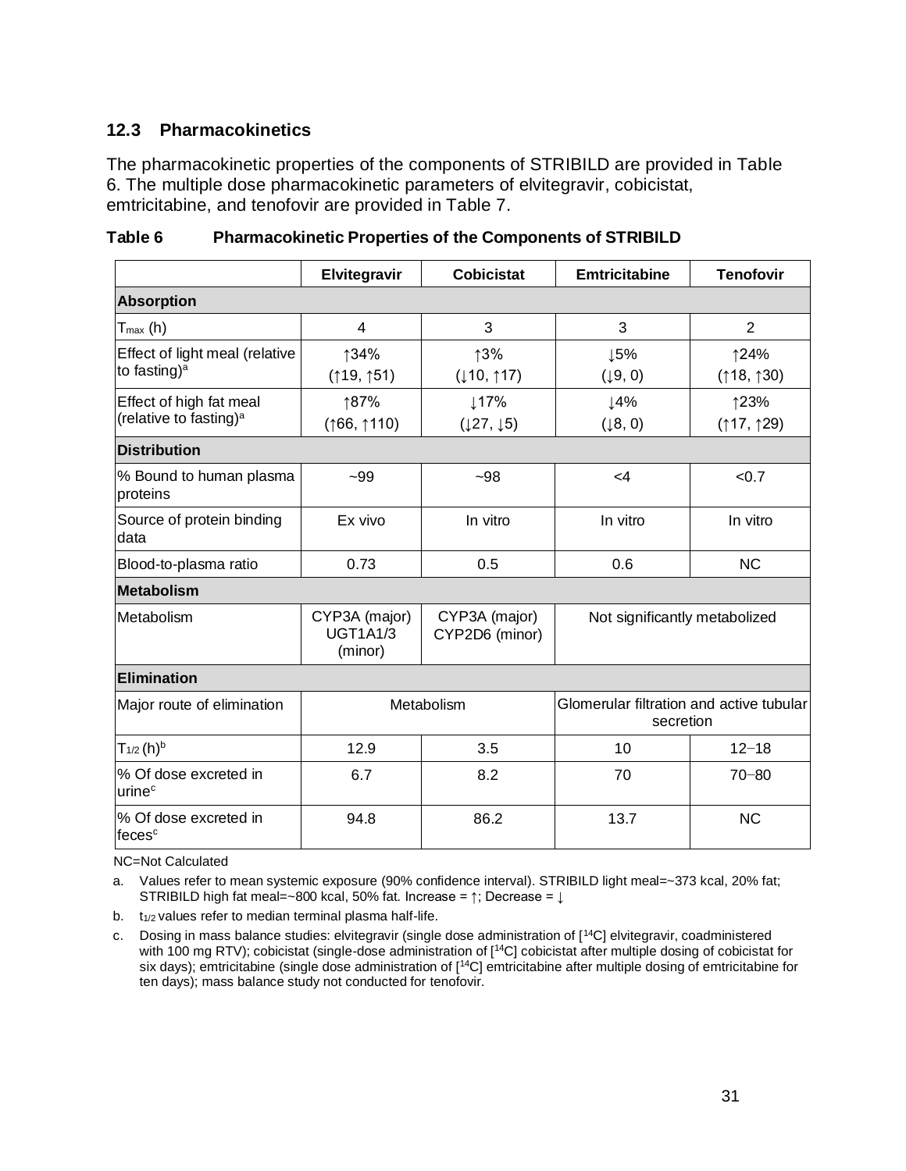### **12.3 Pharmacokinetics**

The pharmacokinetic properties of the components of STRIBILD are provided in Table 6. The multiple dose pharmacokinetic parameters of elvitegravir, cobicistat, emtricitabine, and tenofovir are provided in Table 7.

|                                                               | Elvitegravir                                | <b>Cobicistat</b>               | <b>Emtricitabine</b>                                  | <b>Tenofovir</b>  |  |  |  |  |  |
|---------------------------------------------------------------|---------------------------------------------|---------------------------------|-------------------------------------------------------|-------------------|--|--|--|--|--|
| <b>Absorption</b>                                             |                                             |                                 |                                                       |                   |  |  |  |  |  |
| $T_{max}$ (h)                                                 | 4                                           | 3                               | 3                                                     | $\overline{2}$    |  |  |  |  |  |
| Effect of light meal (relative<br>to fasting) <sup>a</sup>    | ↑34%<br>(19, 151)                           | ↑3%<br>(110, 117)               | 15%<br>(19, 0)                                        | ↑24%<br>(18, 130) |  |  |  |  |  |
| Effect of high fat meal<br>(relative to fasting) <sup>a</sup> | ↑87%<br>(166, 1110)                         | ↓17%<br>(127, 15)               | 14%<br>(18, 0)                                        | ↑23%<br>(17, 129) |  |  |  |  |  |
| <b>Distribution</b>                                           |                                             |                                 |                                                       |                   |  |  |  |  |  |
| % Bound to human plasma<br>proteins                           | $-99$                                       | $-98$                           | $\leq 4$                                              | < 0.7             |  |  |  |  |  |
| Source of protein binding<br>data                             | Ex vivo                                     | In vitro                        | In vitro                                              | In vitro          |  |  |  |  |  |
| Blood-to-plasma ratio                                         | 0.73                                        | 0.5                             | 0.6                                                   | <b>NC</b>         |  |  |  |  |  |
| <b>Metabolism</b>                                             |                                             |                                 |                                                       |                   |  |  |  |  |  |
| Metabolism                                                    | CYP3A (major)<br><b>UGT1A1/3</b><br>(minor) | CYP3A (major)<br>CYP2D6 (minor) | Not significantly metabolized                         |                   |  |  |  |  |  |
| <b>Elimination</b>                                            |                                             |                                 |                                                       |                   |  |  |  |  |  |
| Major route of elimination                                    |                                             | Metabolism                      | Glomerular filtration and active tubular<br>secretion |                   |  |  |  |  |  |
| $T_{1/2}$ (h) <sup>b</sup>                                    | 12.9                                        | 3.5                             | 10                                                    | $12 - 18$         |  |  |  |  |  |
| % Of dose excreted in<br>urine <sup>c</sup>                   | 6.7                                         | 8.2                             | 70                                                    | $70 - 80$         |  |  |  |  |  |
| % Of dose excreted in<br>feces <sup>c</sup>                   | 94.8                                        | 86.2                            | 13.7                                                  | <b>NC</b>         |  |  |  |  |  |

**Table 6 Pharmacokinetic Properties of the Components of STRIBILD**

NC=Not Calculated

a. Values refer to mean systemic exposure (90% confidence interval). STRIBILD light meal=~373 kcal, 20% fat; STRIBILD high fat meal=~800 kcal, 50% fat. Increase =  $\uparrow$ ; Decrease =  $\downarrow$ 

b. t<sub>1/2</sub> values refer to median terminal plasma half-life.

c. Dosing in mass balance studies: elvitegravir (single dose administration of [<sup>14</sup>C] elvitegravir, coadministered with 100 mg RTV); cobicistat (single-dose administration of [<sup>14</sup>C] cobicistat after multiple dosing of cobicistat for six days); emtricitabine (single dose administration of [<sup>14</sup>C] emtricitabine after multiple dosing of emtricitabine for ten days); mass balance study not conducted for tenofovir.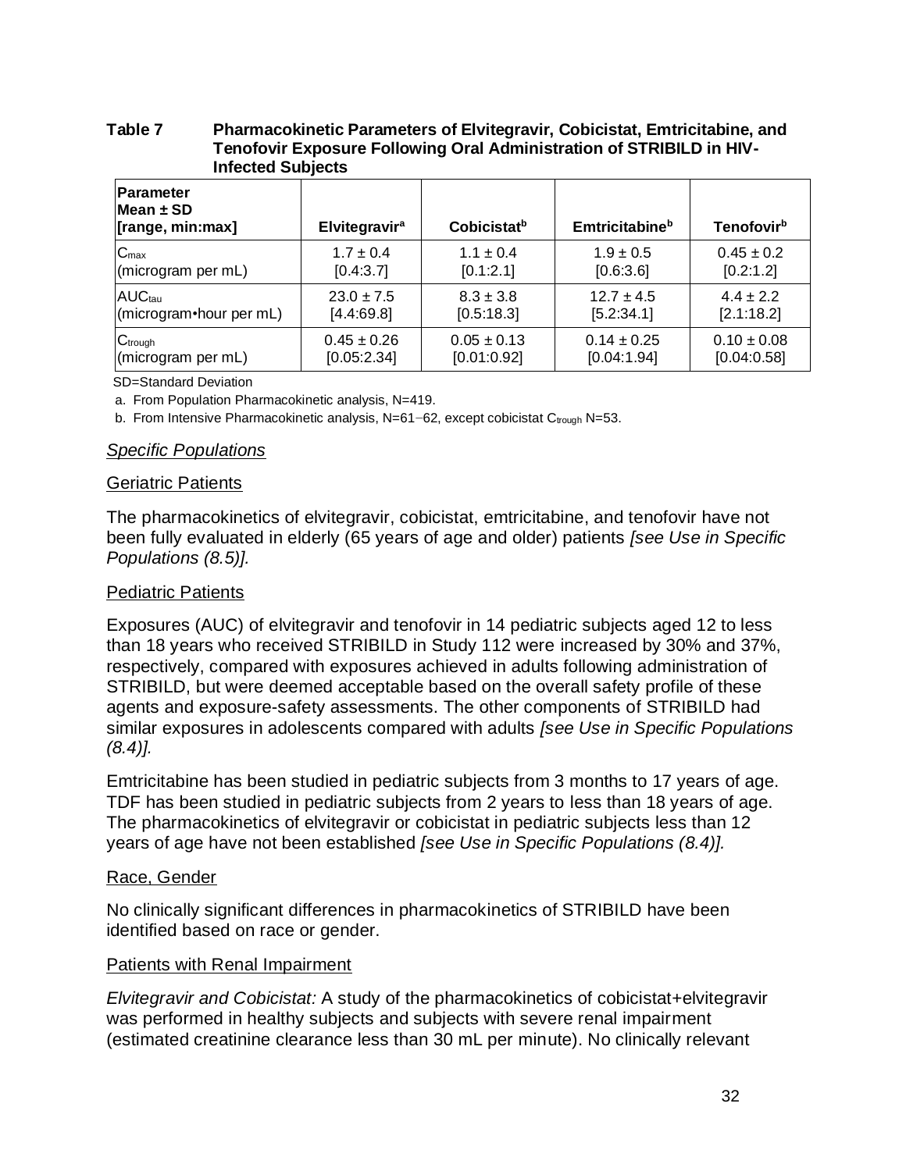#### **Table 7 Pharmacokinetic Parameters of Elvitegravir, Cobicistat, Emtricitabine, and Tenofovir Exposure Following Oral Administration of STRIBILD in HIV-Infected Subjects**

| <b>Parameter</b><br>Mean ± SD<br>[range, min:max] | <b>Elvitegravir<sup>a</sup></b> | Cobicistat <sup>b</sup> | <b>Emtricitabine</b> <sup>b</sup> | Tenofovir <sup>b</sup> |
|---------------------------------------------------|---------------------------------|-------------------------|-----------------------------------|------------------------|
| $C_{\text{max}}$                                  | $1.7 \pm 0.4$                   | $1.1 \pm 0.4$           | $1.9 \pm 0.5$                     | $0.45 \pm 0.2$         |
| (microgram per mL)                                | [0.4:3.7]                       | [0.1:2.1]               | [0.6:3.6]                         | [0.2:1.2]              |
| <b>AUCtau</b>                                     | $23.0 \pm 7.5$                  | $8.3 \pm 3.8$           | $12.7 \pm 4.5$                    | $4.4 + 2.2$            |
| (microgram • hour per mL)                         | [4.4:69.8]                      | [0.5:18.3]              | [5.2:34.1]                        | [2.1:18.2]             |
| $C$ trough                                        | $0.45 \pm 0.26$                 | $0.05 \pm 0.13$         | $0.14 \pm 0.25$                   | $0.10 \pm 0.08$        |
| (microgram per mL)                                | [0.05:2.34]                     | [0.01:0.92]             | [0.04:1.94]                       | [0.04:0.58]            |

SD=Standard Deviation

a. From Population Pharmacokinetic analysis, N=419.

b. From Intensive Pharmacokinetic analysis, N=61−62, except cobicistat Ctrough N=53.

#### *Specific Populations*

#### Geriatric Patients

The pharmacokinetics of elvitegravir, cobicistat, emtricitabine, and tenofovir have not been fully evaluated in elderly (65 years of age and older) patients *[see Use in Specific Populations (8.5)].*

#### Pediatric Patients

Exposures (AUC) of elvitegravir and tenofovir in 14 pediatric subjects aged 12 to less than 18 years who received STRIBILD in Study 112 were increased by 30% and 37%, respectively, compared with exposures achieved in adults following administration of STRIBILD, but were deemed acceptable based on the overall safety profile of these agents and exposure-safety assessments. The other components of STRIBILD had similar exposures in adolescents compared with adults *[see Use in Specific Populations (8.4)].*

Emtricitabine has been studied in pediatric subjects from 3 months to 17 years of age. TDF has been studied in pediatric subjects from 2 years to less than 18 years of age. The pharmacokinetics of elvitegravir or cobicistat in pediatric subjects less than 12 years of age have not been established *[see Use in Specific Populations (8.4)].*

#### Race, Gender

No clinically significant differences in pharmacokinetics of STRIBILD have been identified based on race or gender.

#### Patients with Renal Impairment

*Elvitegravir and Cobicistat:* A study of the pharmacokinetics of cobicistat+elvitegravir was performed in healthy subjects and subjects with severe renal impairment (estimated creatinine clearance less than 30 mL per minute). No clinically relevant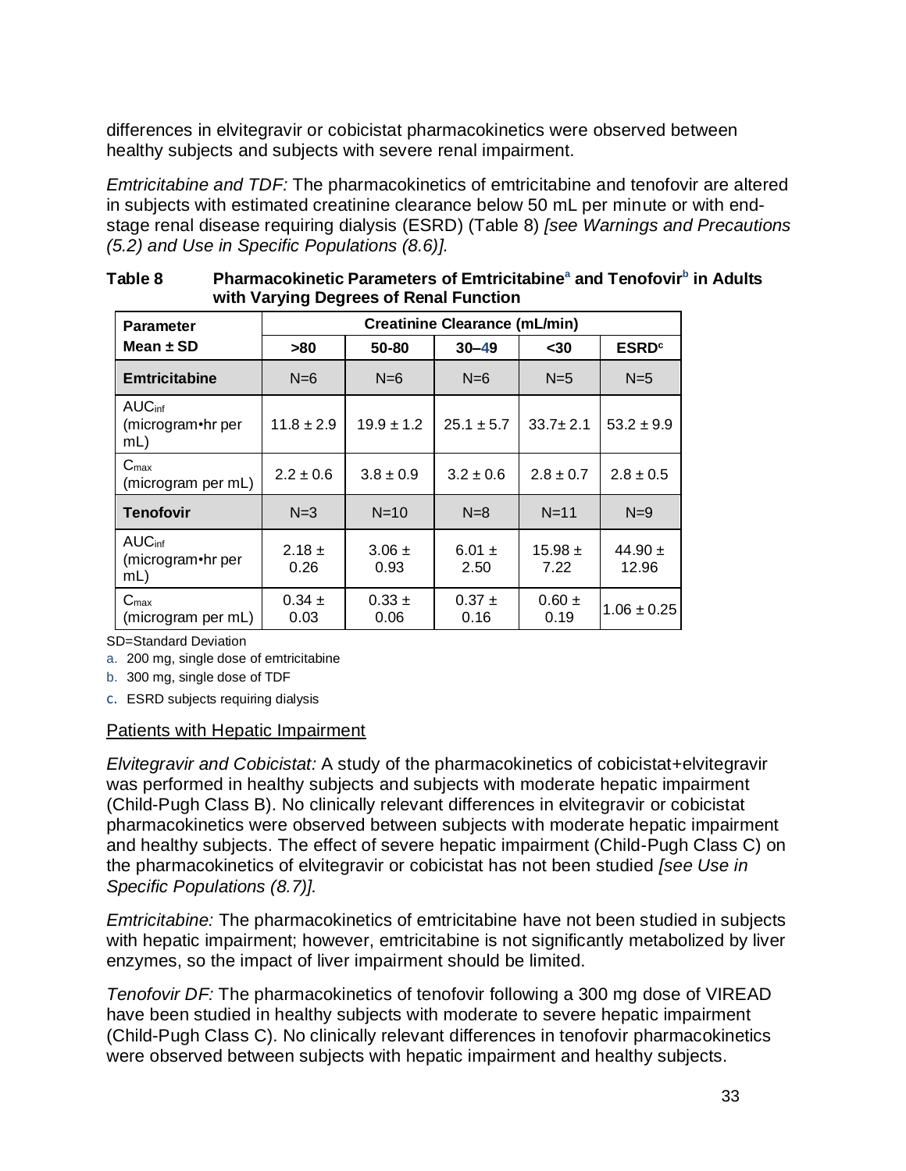differences in elvitegravir or cobicistat pharmacokinetics were observed between healthy subjects and subjects with severe renal impairment.

*Emtricitabine and TDF:* The pharmacokinetics of emtricitabine and tenofovir are altered in subjects with estimated creatinine clearance below 50 mL per minute or with endstage renal disease requiring dialysis (ESRD) (Table 8) *[see Warnings and Precautions (5.2) and Use in Specific Populations (8.6)].*

| <b>Parameter</b>                              |                           | <b>Creatinine Clearance (mL/min)</b> |                    |                         |                      |  |  |  |  |  |  |
|-----------------------------------------------|---------------------------|--------------------------------------|--------------------|-------------------------|----------------------|--|--|--|--|--|--|
| Mean $\pm$ SD                                 | 50-80<br>$30 - 49$<br>>80 |                                      | $30$               | <b>ESRD<sup>c</sup></b> |                      |  |  |  |  |  |  |
| <b>Emtricitabine</b>                          | $N=6$                     | $N=6$                                | $N=6$              | $N=5$                   | $N=5$                |  |  |  |  |  |  |
| <b>AUC</b> inf<br>(microgram•hr per<br>$mL$ ) | $11.8 \pm 2.9$            | $19.9 \pm 1.2$                       | $25.1 \pm 5.7$     | $33.7 \pm 2.1$          | $53.2 \pm 9.9$       |  |  |  |  |  |  |
| $C_{\text{max}}$<br>(microgram per mL)        | $2.2 \pm 0.6$             | $3.8 \pm 0.9$                        | $3.2 \pm 0.6$      | $2.8 \pm 0.7$           | $2.8 \pm 0.5$        |  |  |  |  |  |  |
| <b>Tenofovir</b>                              | $N=3$                     | $N=10$                               | $N=8$              | $N=11$                  | $N=9$                |  |  |  |  |  |  |
| <b>AUC</b> inf<br>(microgram•hr per<br>mL)    | $2.18 \pm$<br>0.26        | $3.06 \pm$<br>0.93                   | 6.01 $\pm$<br>2.50 | $15.98 \pm$<br>7.22     | 44.90 $\pm$<br>12.96 |  |  |  |  |  |  |
| $C_{\text{max}}$<br>(microgram per mL)        | $0.34 \pm$<br>0.03        | $0.33 \pm$<br>0.06                   | $0.37 \pm$<br>0.16 | $0.60 \pm$<br>0.19      | $1.06 \pm 0.25$      |  |  |  |  |  |  |

**Table 8 Pharmacokinetic Parameters of Emtricitabine<sup>a</sup> and Tenofovir<sup>b</sup> in Adults with Varying Degrees of Renal Function**

SD=Standard Deviation

a. 200 mg, single dose of emtricitabine

b. 300 mg, single dose of TDF

c. ESRD subjects requiring dialysis

#### Patients with Hepatic Impairment

*Elvitegravir and Cobicistat:* A study of the pharmacokinetics of cobicistat+elvitegravir was performed in healthy subjects and subjects with moderate hepatic impairment (Child-Pugh Class B). No clinically relevant differences in elvitegravir or cobicistat pharmacokinetics were observed between subjects with moderate hepatic impairment and healthy subjects. The effect of severe hepatic impairment (Child-Pugh Class C) on the pharmacokinetics of elvitegravir or cobicistat has not been studied *[see Use in Specific Populations (8.7)].*

*Emtricitabine:* The pharmacokinetics of emtricitabine have not been studied in subjects with hepatic impairment; however, emtricitabine is not significantly metabolized by liver enzymes, so the impact of liver impairment should be limited.

*Tenofovir DF:* The pharmacokinetics of tenofovir following a 300 mg dose of VIREAD have been studied in healthy subjects with moderate to severe hepatic impairment (Child-Pugh Class C). No clinically relevant differences in tenofovir pharmacokinetics were observed between subjects with hepatic impairment and healthy subjects.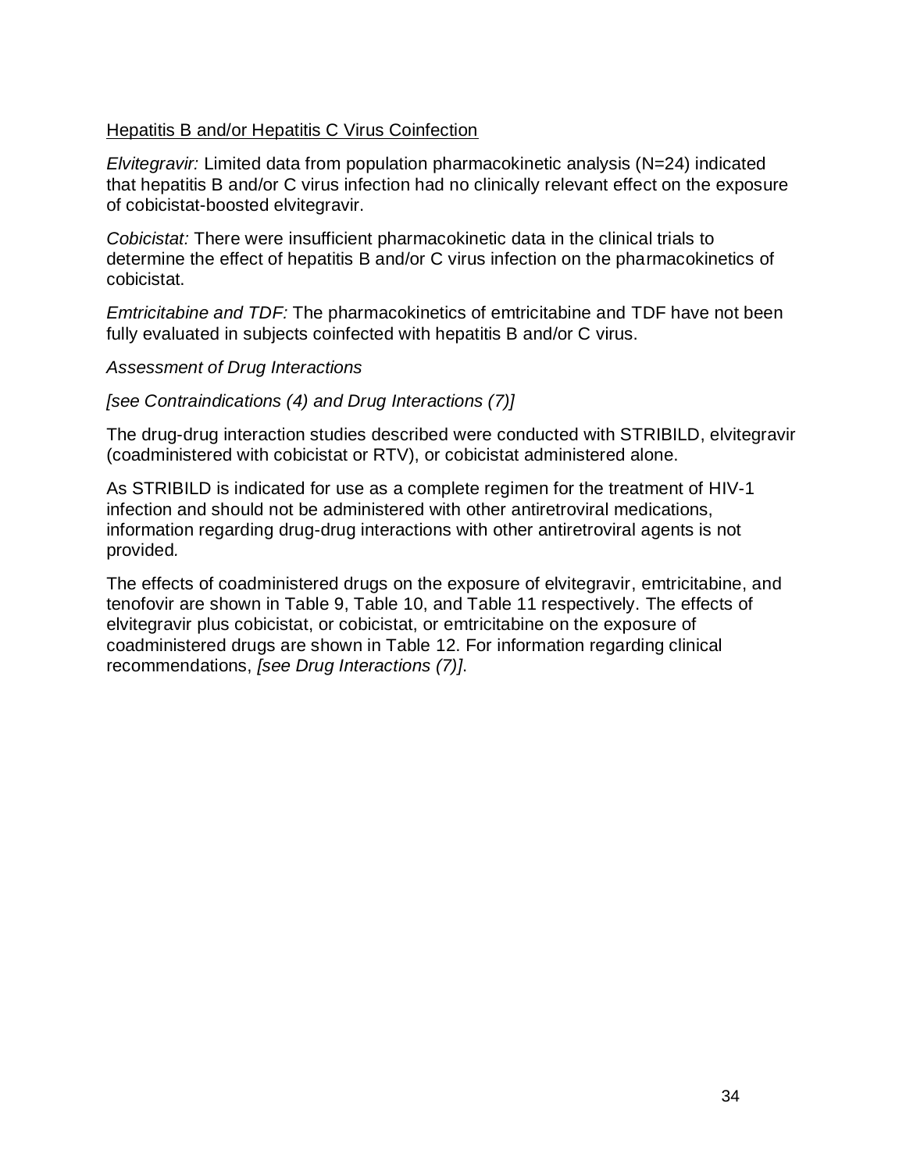### Hepatitis B and/or Hepatitis C Virus Coinfection

*Elvitegravir:* Limited data from population pharmacokinetic analysis (N=24) indicated that hepatitis B and/or C virus infection had no clinically relevant effect on the exposure of cobicistat-boosted elvitegravir.

*Cobicistat:* There were insufficient pharmacokinetic data in the clinical trials to determine the effect of hepatitis B and/or C virus infection on the pharmacokinetics of cobicistat.

*Emtricitabine and TDF:* The pharmacokinetics of emtricitabine and TDF have not been fully evaluated in subjects coinfected with hepatitis B and/or C virus.

*Assessment of Drug Interactions*

### *[see Contraindications (4) and Drug Interactions (7)]*

The drug-drug interaction studies described were conducted with STRIBILD, elvitegravir (coadministered with cobicistat or RTV), or cobicistat administered alone.

As STRIBILD is indicated for use as a complete regimen for the treatment of HIV-1 infection and should not be administered with other antiretroviral medications, information regarding drug-drug interactions with other antiretroviral agents is not provided*.*

The effects of coadministered drugs on the exposure of elvitegravir, emtricitabine, and tenofovir are shown in Table 9, Table 10, and Table 11 respectively. The effects of elvitegravir plus cobicistat, or cobicistat, or emtricitabine on the exposure of coadministered drugs are shown in Table 12. For information regarding clinical recommendations, *[see Drug Interactions (7)]*.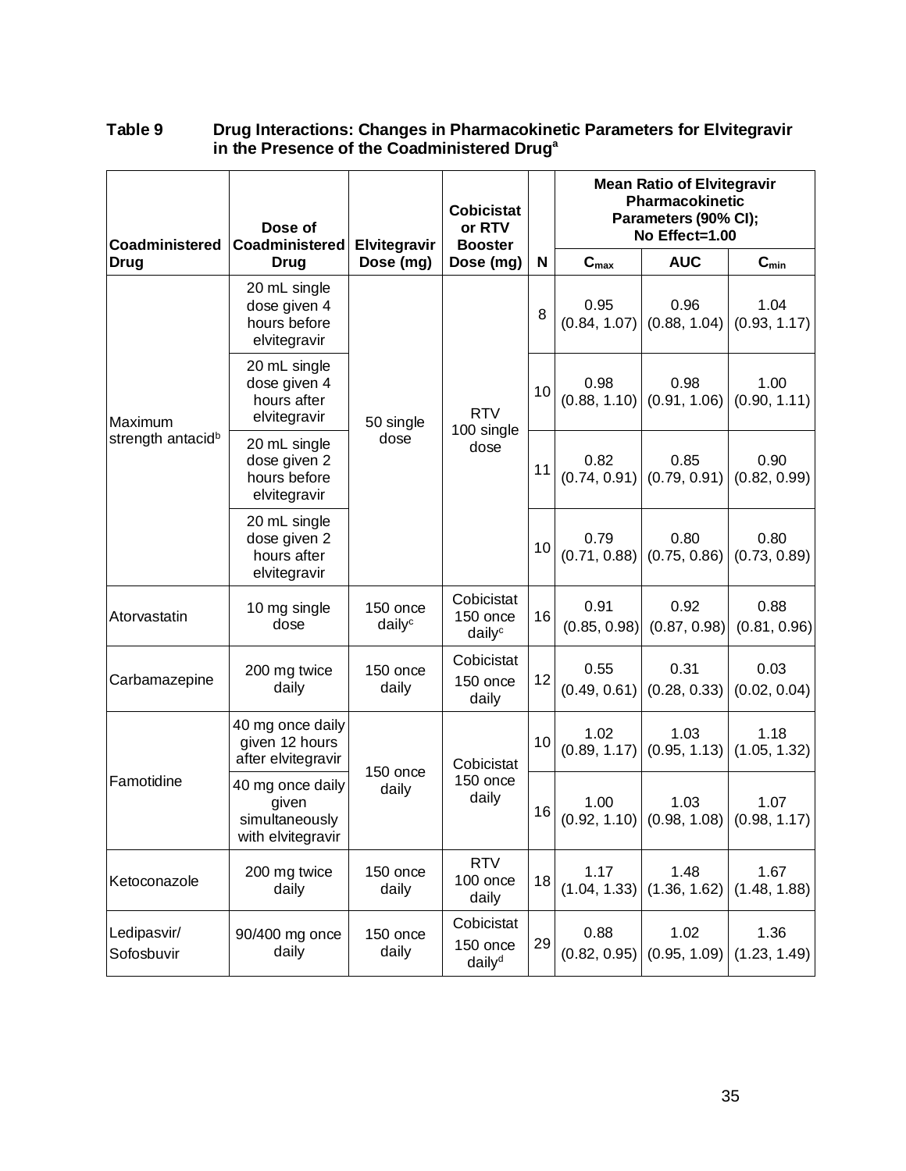| Coadministered                           | Dose of<br>Coadministered                                        | or RTV<br>Elvitegravir<br><b>Booster</b> |                                                 | <b>Cobicistat</b> |                           | <b>Mean Ratio of Elvitegravir</b><br>Pharmacokinetic<br>Parameters (90% CI);<br>No Effect=1.00 |                      |  |  |
|------------------------------------------|------------------------------------------------------------------|------------------------------------------|-------------------------------------------------|-------------------|---------------------------|------------------------------------------------------------------------------------------------|----------------------|--|--|
| <b>Drug</b>                              | <b>Drug</b>                                                      | Dose (mg)                                | Dose (mg)                                       | N                 | $\mathbf{C}_{\text{max}}$ | <b>AUC</b>                                                                                     | $C_{min}$            |  |  |
| Maximum<br>strength antacid <sup>b</sup> | 20 mL single<br>dose given 4<br>hours before<br>elvitegravir     |                                          |                                                 | 8                 | 0.95<br>(0.84, 1.07)      | 0.96<br>(0.88, 1.04)                                                                           | 1.04<br>(0.93, 1.17) |  |  |
|                                          | 20 mL single<br>dose given 4<br>hours after<br>elvitegravir      | 50 single                                | <b>RTV</b><br>100 single<br>dose                | 10                | 0.98<br>(0.88, 1.10)      | 0.98<br>(0.91, 1.06)                                                                           | 1.00<br>(0.90, 1.11) |  |  |
|                                          | 20 mL single<br>dose given 2<br>hours before<br>elvitegravir     | dose                                     |                                                 | 11                | 0.82<br>(0.74, 0.91)      | 0.85<br>(0.79, 0.91)                                                                           | 0.90<br>(0.82, 0.99) |  |  |
|                                          | 20 mL single<br>dose given 2<br>hours after<br>elvitegravir      |                                          |                                                 | 10                | 0.79<br>(0.71, 0.88)      | 0.80<br>(0.75, 0.86)                                                                           | 0.80<br>(0.73, 0.89) |  |  |
| Atorvastatin                             | 10 mg single<br>dose                                             | 150 once<br>daily <sup>c</sup>           | Cobicistat<br>150 once<br>$d$ aily <sup>c</sup> | 16                | 0.91<br>(0.85, 0.98)      | 0.92<br>(0.87, 0.98)                                                                           | 0.88<br>(0.81, 0.96) |  |  |
| Carbamazepine                            | 200 mg twice<br>daily                                            | 150 once<br>daily                        | Cobicistat<br>150 once<br>daily                 | 12                | 0.55<br>(0.49, 0.61)      | 0.31<br>(0.28, 0.33)                                                                           | 0.03<br>(0.02, 0.04) |  |  |
|                                          | 40 mg once daily<br>given 12 hours<br>after elvitegravir         | 150 once                                 | Cobicistat                                      | 10                | 1.02<br>(0.89, 1.17)      | 1.03<br>(0.95, 1.13)                                                                           | 1.18<br>(1.05, 1.32) |  |  |
| Famotidine                               | 40 mg once daily<br>given<br>simultaneously<br>with elvitegravir | daily                                    | 150 once<br>daily                               | 16                | 1.00<br>(0.92, 1.10)      | 1.03<br>(0.98, 1.08)                                                                           | 1.07<br>(0.98, 1.17) |  |  |
| Ketoconazole                             | 200 mg twice<br>daily                                            | 150 once<br>daily                        | <b>RTV</b><br>100 once<br>daily                 | 18                | 1.17<br>(1.04, 1.33)      | 1.48<br>(1.36, 1.62)                                                                           | 1.67<br>(1.48, 1.88) |  |  |
| Ledipasvir/<br>Sofosbuvir                | 90/400 mg once<br>daily                                          | 150 once<br>daily                        | Cobicistat<br>150 once<br>daily <sup>d</sup>    | 29                | 0.88<br>(0.82, 0.95)      | 1.02<br>(0.95, 1.09)                                                                           | 1.36<br>(1.23, 1.49) |  |  |

### **Table 9 Drug Interactions: Changes in Pharmacokinetic Parameters for Elvitegravir in the Presence of the Coadministered Drug<sup>a</sup>**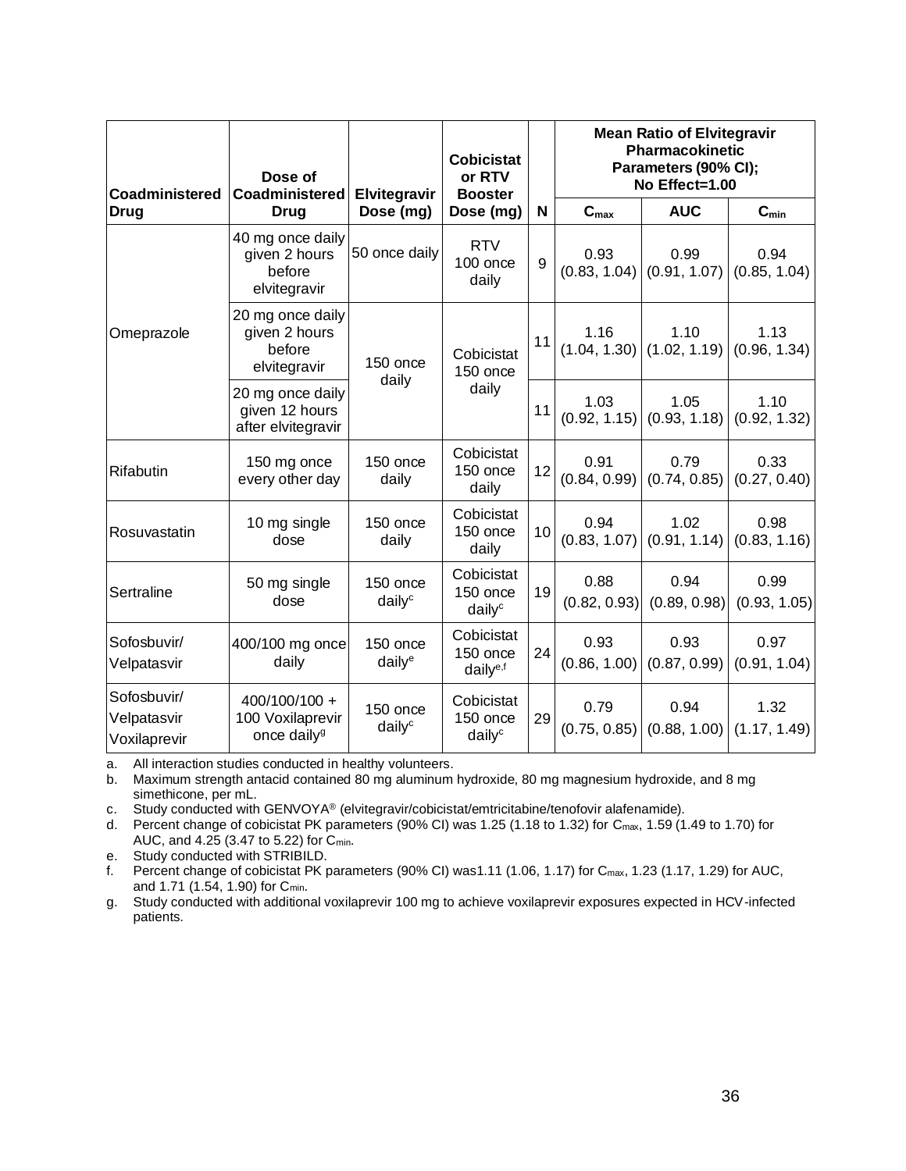| Coadministered                             | Dose of<br>Coadministered                                    | Elvitegravir                   | <b>Cobicistat</b><br>or RTV<br><b>Booster</b>   |    | <b>Mean Ratio of Elvitegravir</b><br><b>Pharmacokinetic</b><br>Parameters (90% CI);<br>No Effect=1.00 |                      |                      |  |
|--------------------------------------------|--------------------------------------------------------------|--------------------------------|-------------------------------------------------|----|-------------------------------------------------------------------------------------------------------|----------------------|----------------------|--|
| <b>Drug</b>                                | <b>Drug</b>                                                  | Dose (mg)                      | Dose (mg)                                       | N  | $\mathbf{C}_{\text{max}}$                                                                             | <b>AUC</b>           | $C_{min}$            |  |
| Omeprazole                                 | 40 mg once daily<br>given 2 hours<br>before<br>elvitegravir  | 50 once daily                  | <b>RTV</b><br>$100$ once<br>daily               | 9  | 0.93<br>(0.83, 1.04)                                                                                  | 0.99<br>(0.91, 1.07) | 0.94<br>(0.85, 1.04) |  |
|                                            | 20 mg once daily<br>given 2 hours<br>before<br>elvitegravir  | 150 once<br>daily              | Cobicistat<br>150 once                          | 11 | 1.16<br>(1.04, 1.30)                                                                                  | 1.10<br>(1.02, 1.19) | 1.13<br>(0.96, 1.34) |  |
|                                            | 20 mg once daily<br>given 12 hours<br>after elvitegravir     |                                | daily                                           | 11 | 1.03<br>(0.92, 1.15)                                                                                  | 1.05<br>(0.93, 1.18) | 1.10<br>(0.92, 1.32) |  |
| Rifabutin                                  | 150 mg once<br>every other day                               | 150 once<br>daily              | Cobicistat<br>150 once<br>daily                 | 12 | 0.91<br>(0.84, 0.99)                                                                                  | 0.79<br>(0.74, 0.85) | 0.33<br>(0.27, 0.40) |  |
| Rosuvastatin                               | 10 mg single<br>dose                                         | 150 once<br>daily              | Cobicistat<br>150 once<br>daily                 | 10 | 0.94<br>(0.83, 1.07)                                                                                  | 1.02<br>(0.91, 1.14) | 0.98<br>(0.83, 1.16) |  |
| Sertraline                                 | 50 mg single<br>dose                                         | 150 once<br>daily <sup>c</sup> | Cobicistat<br>150 once<br>daily <sup>c</sup>    | 19 | 0.88<br>(0.82, 0.93)                                                                                  | 0.94<br>(0.89, 0.98) | 0.99<br>(0.93, 1.05) |  |
| Sofosbuvir/<br>Velpatasvir                 | 400/100 mg once<br>daily                                     | 150 once<br>daily <sup>e</sup> | Cobicistat<br>150 once<br>daily <sup>e,f</sup>  | 24 | 0.93<br>(0.86, 1.00)                                                                                  | 0.93<br>(0.87, 0.99) | 0.97<br>(0.91, 1.04) |  |
| Sofosbuvir/<br>Velpatasvir<br>Voxilaprevir | 400/100/100 +<br>100 Voxilaprevir<br>once daily <sup>g</sup> | 150 once<br>daily <sup>c</sup> | Cobicistat<br>150 once<br>$d$ aily <sup>c</sup> | 29 | 0.79<br>(0.75, 0.85)                                                                                  | 0.94<br>(0.88, 1.00) | 1.32<br>(1.17, 1.49) |  |

a. All interaction studies conducted in healthy volunteers.

b. Maximum strength antacid contained 80 mg aluminum hydroxide, 80 mg magnesium hydroxide, and 8 mg simethicone, per mL.

c. Study conducted with GENVOYA® (elvitegravir/cobicistat/emtricitabine/tenofovir alafenamide).

d. Percent change of cobicistat PK parameters (90% CI) was 1.25 (1.18 to 1.32) for Cmax, 1.59 (1.49 to 1.70) for AUC, and 4.25 (3.47 to 5.22) for Cmin.

e. Study conducted with STRIBILD.

f. Percent change of cobicistat PK parameters (90% CI) was1.11 (1.06, 1.17) for Cmax, 1.23 (1.17, 1.29) for AUC, and 1.71 (1.54, 1.90) for Cmin.

g. Study conducted with additional voxilaprevir 100 mg to achieve voxilaprevir exposures expected in HCV-infected patients.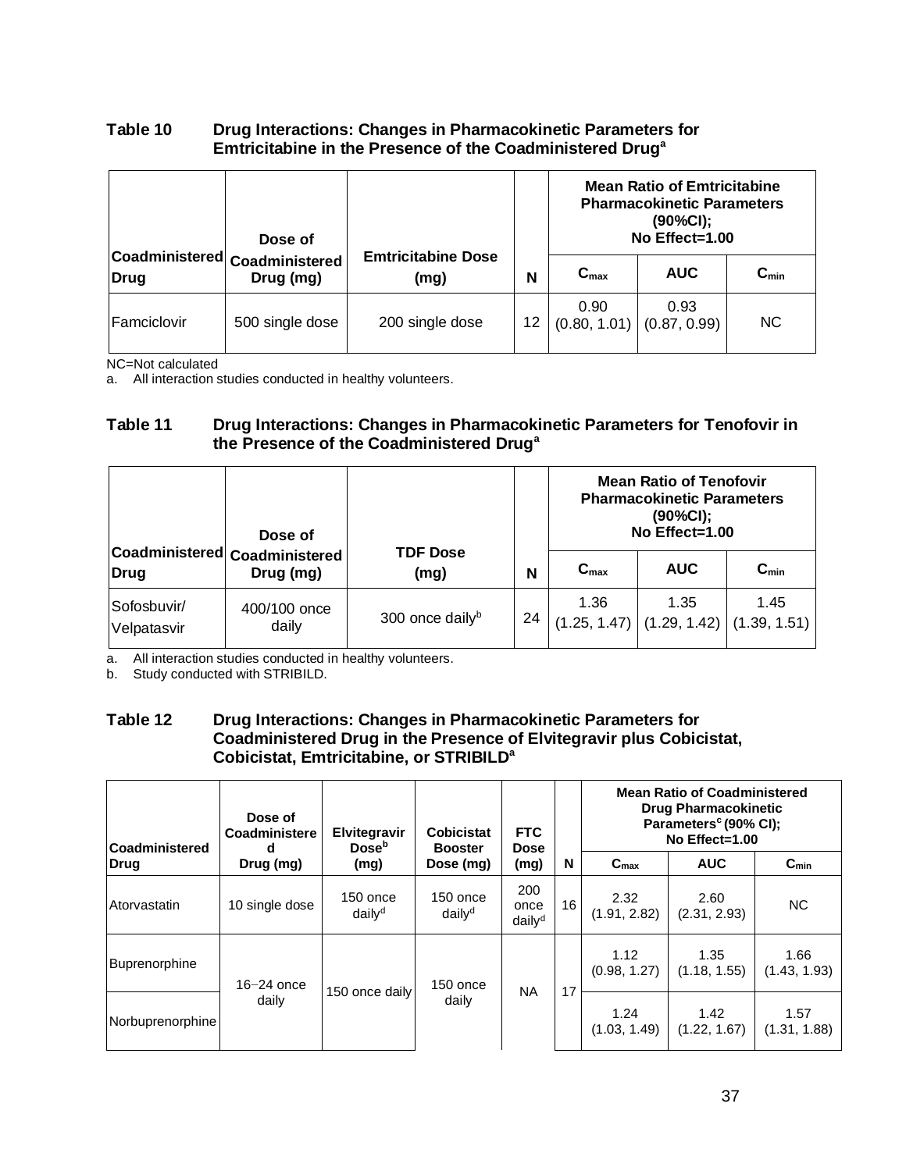### **Table 10 Drug Interactions: Changes in Pharmacokinetic Parameters for Emtricitabine in the Presence of the Coadministered Drug<sup>a</sup>**

|             | Dose of                                     |                                   |    | <b>Mean Ratio of Emtricitabine</b><br><b>Pharmacokinetic Parameters</b><br>(90%CI);<br>No Effect=1.00 |                      |                        |
|-------------|---------------------------------------------|-----------------------------------|----|-------------------------------------------------------------------------------------------------------|----------------------|------------------------|
| <b>Drug</b> | Coadministered  Coadministered<br>Drug (mg) | <b>Emtricitabine Dose</b><br>(mg) | N  | $C_{\text{max}}$                                                                                      | <b>AUC</b>           | $\mathtt{C}_{\sf min}$ |
| Famciclovir | 500 single dose                             | 200 single dose                   | 12 | 0.90<br>(0.80, 1.01)                                                                                  | 0.93<br>(0.87, 0.99) | NC.                    |

NC=Not calculated

a. All interaction studies conducted in healthy volunteers.

#### **Table 11 Drug Interactions: Changes in Pharmacokinetic Parameters for Tenofovir in the Presence of the Coadministered Drug<sup>a</sup>**

|                            | Dose of                                    |                             |    | <b>Mean Ratio of Tenofovir</b><br><b>Pharmacokinetic Parameters</b><br>$(90\%CI);$<br>No Effect=1.00 |                                       |                      |  |
|----------------------------|--------------------------------------------|-----------------------------|----|------------------------------------------------------------------------------------------------------|---------------------------------------|----------------------|--|
| Drug                       | Coadministered Coadministered<br>Drug (mg) | <b>TDF Dose</b><br>(mg)     | N  | $C_{\text{max}}$                                                                                     | <b>AUC</b>                            | $C_{min}$            |  |
| Sofosbuvir/<br>Velpatasvir | 400/100 once<br>daily                      | 300 once daily <sup>b</sup> | 24 | 1.36                                                                                                 | 1.35<br>$(1.25, 1.47)$ $(1.29, 1.42)$ | 1.45<br>(1.39, 1.51) |  |

a. All interaction studies conducted in healthy volunteers.

b. Study conducted with STRIBILD.

#### **Table 12 Drug Interactions: Changes in Pharmacokinetic Parameters for Coadministered Drug in the Presence of Elvitegravir plus Cobicistat, Cobicistat, Emtricitabine, or STRIBILD<sup>a</sup>**

| Coadministered       | Dose of<br>Coadministere<br>d | Elvitegravir<br><b>Dose</b> <sup>b</sup> | <b>Mean Ratio of Coadministered</b><br><b>Drug Pharmacokinetic</b><br>Parameters <sup>c</sup> (90% CI);<br><b>FTC</b><br>Cobicistat<br>No $Effect=1.00$<br><b>Dose</b><br><b>Booster</b> |                                   |                      |                      |                      |                      |
|----------------------|-------------------------------|------------------------------------------|------------------------------------------------------------------------------------------------------------------------------------------------------------------------------------------|-----------------------------------|----------------------|----------------------|----------------------|----------------------|
| Drug                 | Drug (mg)                     | Dose (mg)<br>(mg)<br>(mg)                |                                                                                                                                                                                          | N                                 | C <sub>max</sub>     | <b>AUC</b>           | $C_{min}$            |                      |
| Atorvastatin         | 10 single dose                | $150$ once<br>daily <sup>d</sup>         | 150 once<br>daily <sup>d</sup>                                                                                                                                                           | 200<br>once<br>daily <sup>d</sup> | 16                   | 2.32<br>(1.91, 2.82) | 2.60<br>(2.31, 2.93) | <b>NC</b>            |
| <b>Buprenorphine</b> | $16-24$ once<br>150 once      |                                          |                                                                                                                                                                                          | 1.12<br>(0.98, 1.27)              | 1.35<br>(1.18, 1.55) | 1.66<br>(1.43, 1.93) |                      |                      |
| Norbuprenorphine     | daily                         | 150 once daily                           | daily                                                                                                                                                                                    | <b>NA</b>                         | 17                   | 1.24<br>(1.03, 1.49) | 1.42<br>(1.22, 1.67) | 1.57<br>(1.31, 1.88) |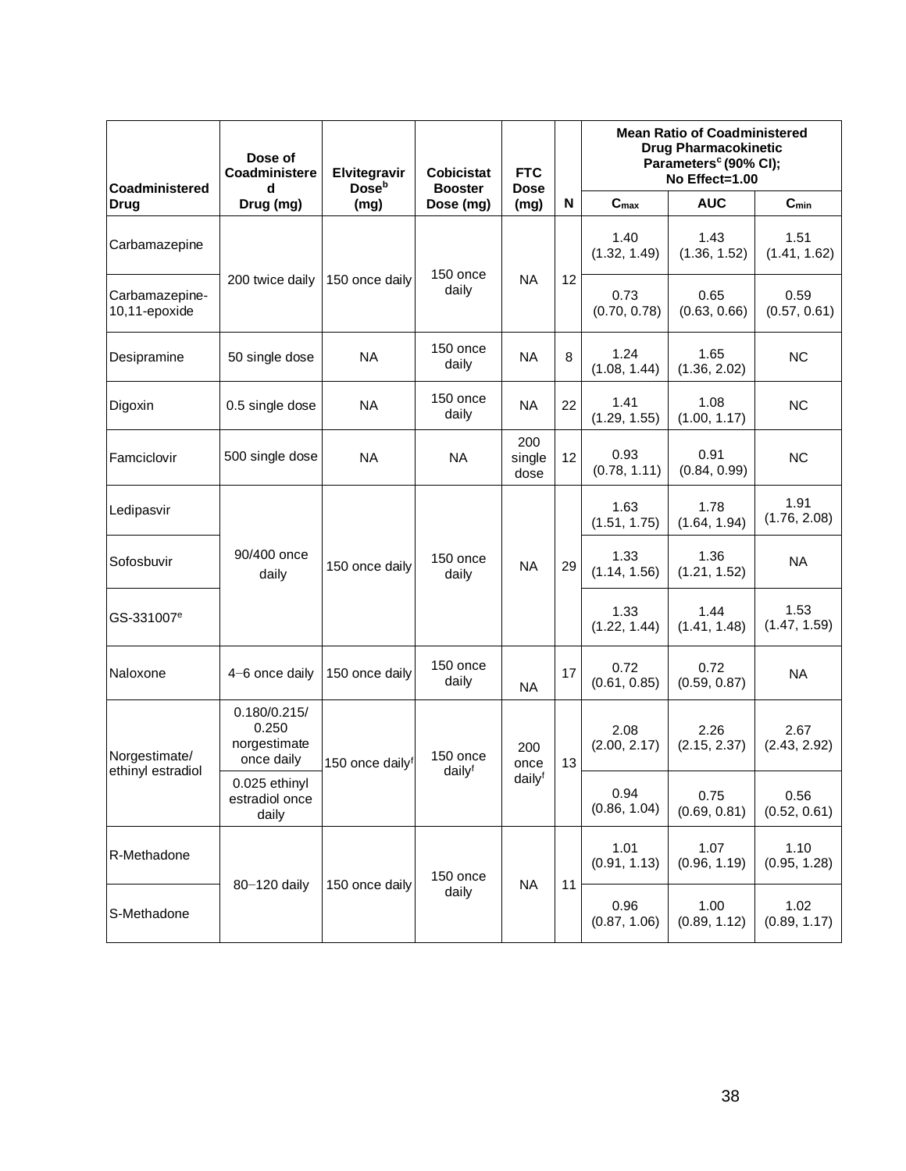| <b>Coadministered</b>           | Dose of<br>Coadministere<br>d                       | Elvitegravir<br><b>Dose</b> <sup>b</sup> | <b>Cobicistat</b><br><b>Booster</b> | <b>FTC</b><br><b>Dose</b> |                 | <b>Mean Ratio of Coadministered</b><br><b>Drug Pharmacokinetic</b><br>Parameters <sup>c</sup> (90% CI);<br>No Effect=1.00 |                      |                      |  |
|---------------------------------|-----------------------------------------------------|------------------------------------------|-------------------------------------|---------------------------|-----------------|---------------------------------------------------------------------------------------------------------------------------|----------------------|----------------------|--|
| <b>Drug</b>                     | Drug (mg)                                           | (mg)                                     | Dose (mg)                           | (mg)                      | N               | C <sub>max</sub>                                                                                                          | <b>AUC</b>           | $C_{min}$            |  |
| Carbamazepine                   |                                                     |                                          | 150 once                            |                           |                 | 1.40<br>(1.32, 1.49)                                                                                                      | 1.43<br>(1.36, 1.52) | 1.51<br>(1.41, 1.62) |  |
| Carbamazepine-<br>10,11-epoxide | 200 twice daily                                     | 150 once daily                           | daily                               | <b>NA</b>                 | 12              | 0.73<br>(0.70, 0.78)                                                                                                      | 0.65<br>(0.63, 0.66) | 0.59<br>(0.57, 0.61) |  |
| Desipramine                     | 50 single dose                                      | <b>NA</b>                                | 150 once<br>daily                   | <b>NA</b>                 | 8               | 1.24<br>(1.08, 1.44)                                                                                                      | 1.65<br>(1.36, 2.02) | <b>NC</b>            |  |
| Digoxin                         | 0.5 single dose                                     | <b>NA</b>                                | 150 once<br>daily                   | <b>NA</b>                 | 22              | 1.41<br>(1.29, 1.55)                                                                                                      | 1.08<br>(1.00, 1.17) | <b>NC</b>            |  |
| Famciclovir                     | 500 single dose                                     | <b>NA</b>                                | <b>NA</b>                           | 200<br>single<br>dose     | 12              | 0.93<br>(0.78, 1.11)                                                                                                      | 0.91<br>(0.84, 0.99) | <b>NC</b>            |  |
| Ledipasvir                      |                                                     | 150 once daily                           | 150 once<br>daily                   | <b>NA</b>                 |                 | 1.63<br>(1.51, 1.75)                                                                                                      | 1.78<br>(1.64, 1.94) | 1.91<br>(1.76, 2.08) |  |
| Sofosbuvir                      | 90/400 once<br>daily                                |                                          |                                     |                           | 29              | 1.33<br>(1.14, 1.56)                                                                                                      | 1.36<br>(1.21, 1.52) | <b>NA</b>            |  |
| GS-331007 <sup>e</sup>          |                                                     |                                          |                                     |                           |                 | 1.33<br>(1.22, 1.44)                                                                                                      | 1.44<br>(1.41, 1.48) | 1.53<br>(1.47, 1.59) |  |
| Naloxone                        | $4-6$ once daily                                    | 150 once daily                           | 150 once<br>daily                   | <b>NA</b>                 | 17              | 0.72<br>(0.61, 0.85)                                                                                                      | 0.72<br>(0.59, 0.87) | <b>NA</b>            |  |
| Norgestimate/                   | 0.180/0.215/<br>0.250<br>norgestimate<br>once daily | 150 once dailyf                          | 150 once                            | 200<br>once               | 13              | 2.08<br>(2.00, 2.17)                                                                                                      | 2.26<br>(2.15, 2.37) | 2.67<br>(2.43, 2.92) |  |
| ethinyl estradiol               | 0.025 ethinyl<br>estradiol once<br>daily            |                                          | dailyf                              | dailyf                    |                 | 0.94<br>(0.86, 1.04)                                                                                                      | 0.75<br>(0.69, 0.81) | 0.56<br>(0.52, 0.61) |  |
| R-Methadone                     |                                                     |                                          | 150 once                            |                           | <b>NA</b><br>11 | 1.01<br>(0.91, 1.13)                                                                                                      | 1.07<br>(0.96, 1.19) | 1.10<br>(0.95, 1.28) |  |
| S-Methadone                     | 80-120 daily                                        | 150 once daily                           | daily                               |                           |                 | 0.96<br>(0.87, 1.06)                                                                                                      | 1.00<br>(0.89, 1.12) | 1.02<br>(0.89, 1.17) |  |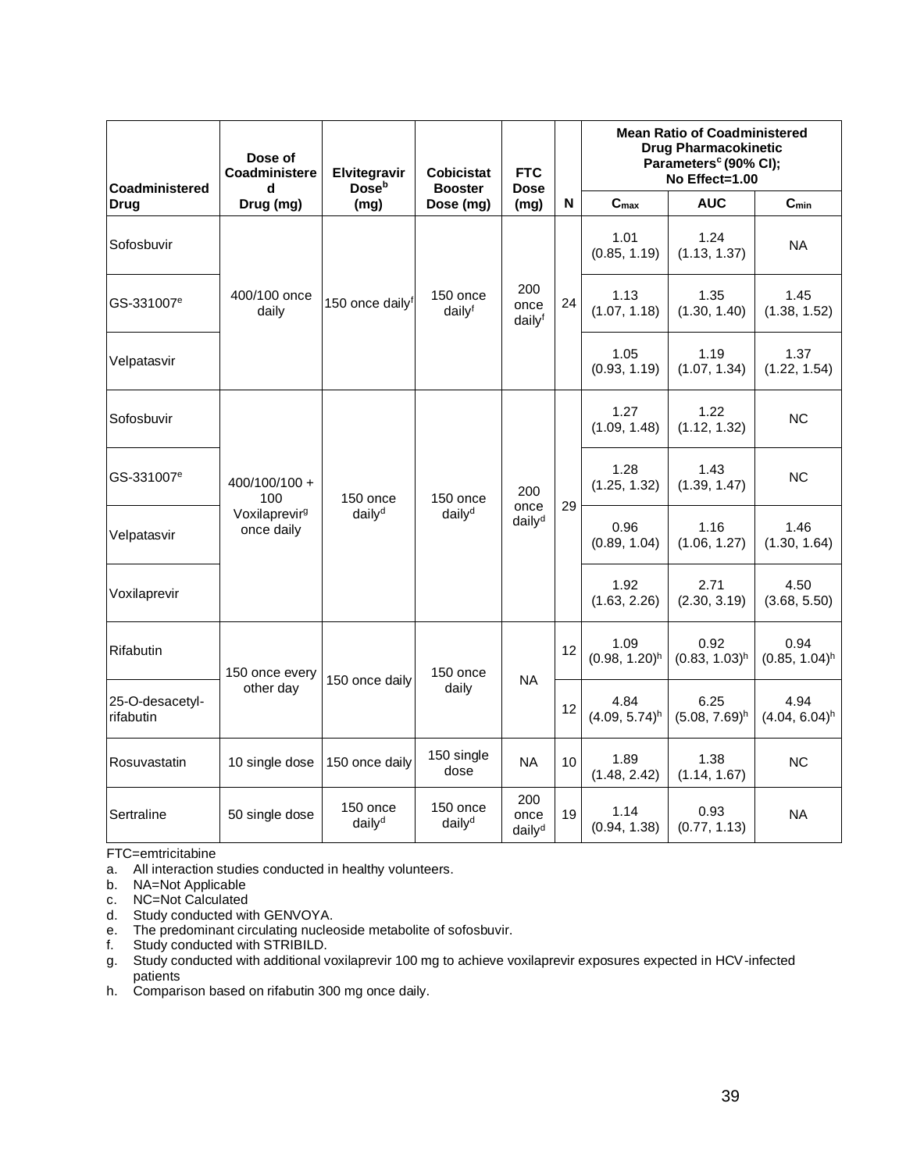| Coadministered               | Dose of<br>Coadministere                | Elvitegravir<br>Dose <sup>b</sup> | Cobicistat<br><b>Booster</b>     | <b>FTC</b><br><b>Dose</b>         | <b>Mean Ratio of Coadministered</b><br><b>Drug Pharmacokinetic</b><br>Parameters <sup>c</sup> (90% CI);<br>No Effect=1.00 |                                     |                          |                          |
|------------------------------|-----------------------------------------|-----------------------------------|----------------------------------|-----------------------------------|---------------------------------------------------------------------------------------------------------------------------|-------------------------------------|--------------------------|--------------------------|
| <b>Drug</b>                  | Drug (mg)                               | (mg)                              | Dose (mg)                        | (mg)                              | N                                                                                                                         | C <sub>max</sub>                    | <b>AUC</b>               | $C_{min}$                |
| Sofosbuvir                   |                                         |                                   |                                  |                                   |                                                                                                                           | 1.01<br>(0.85, 1.19)                | 1.24<br>(1.13, 1.37)     | <b>NA</b>                |
| GS-331007 <sup>e</sup>       | 400/100 once<br>daily                   | 150 once dailyf                   | $150$ once<br>dailyf             | 200<br>once<br>dailyf             | 24                                                                                                                        | 1.13<br>(1.07, 1.18)                | 1.35<br>(1.30, 1.40)     | 1.45<br>(1.38, 1.52)     |
| Velpatasvir                  |                                         |                                   |                                  |                                   |                                                                                                                           | 1.05<br>(0.93, 1.19)                | 1.19<br>(1.07, 1.34)     | 1.37<br>(1.22, 1.54)     |
| Sofosbuvir                   |                                         | $150$ once<br>daily <sup>d</sup>  | $150$ once<br>daily <sup>d</sup> | 200<br>once<br>daily <sup>d</sup> | 29                                                                                                                        | 1.27<br>(1.09, 1.48)                | 1.22<br>(1.12, 1.32)     | <b>NC</b>                |
| GS-331007 <sup>e</sup>       | 400/100/100 +<br>100                    |                                   |                                  |                                   |                                                                                                                           | 1.28<br>(1.25, 1.32)                | 1.43<br>(1.39, 1.47)     | ΝC                       |
| Velpatasvir                  | Voxilaprevir <sup>g</sup><br>once daily |                                   |                                  |                                   |                                                                                                                           | 0.96<br>(0.89, 1.04)                | 1.16<br>(1.06, 1.27)     | 1.46<br>(1.30, 1.64)     |
| Voxilaprevir                 |                                         |                                   |                                  |                                   |                                                                                                                           | 1.92<br>(1.63, 2.26)                | 2.71<br>(2.30, 3.19)     | 4.50<br>(3.68, 5.50)     |
| Rifabutin                    | 150 once every                          | 150 once daily                    | 150 once                         | <b>NA</b>                         | 12                                                                                                                        | 1.09<br>$(0.98, 1.20)^h$            | 0.92<br>$(0.83, 1.03)^h$ | 0.94<br>$(0.85, 1.04)^h$ |
| 25-O-desacetyl-<br>rifabutin | other day                               |                                   | daily                            |                                   | 12                                                                                                                        | 4.84<br>$(4.09, 5.74)$ <sup>h</sup> | 6.25<br>$(5.08, 7.69)^h$ | 4.94<br>$(4.04, 6.04)^h$ |
| Rosuvastatin                 | 10 single dose                          | 150 once daily                    | 150 single<br>dose               | <b>NA</b>                         | 10                                                                                                                        | 1.89<br>(1.48, 2.42)                | 1.38<br>(1.14, 1.67)     | <b>NC</b>                |
| Sertraline                   | 50 single dose                          | 150 once<br>daily <sup>d</sup>    | 150 once<br>daily <sup>d</sup>   | 200<br>once<br>daily <sup>d</sup> | 19                                                                                                                        | 1.14<br>(0.94, 1.38)                | 0.93<br>(0.77, 1.13)     | <b>NA</b>                |

FTC=emtricitabine

- a. All interaction studies conducted in healthy volunteers.
- b. NA=Not Applicable
- c. NC=Not Calculated
- d. Study conducted with GENVOYA.
- e. The predominant circulating nucleoside metabolite of sofosbuvir.
- f. Study conducted with STRIBILD.
- g. Study conducted with additional voxilaprevir 100 mg to achieve voxilaprevir exposures expected in HCV-infected patients
- h. Comparison based on rifabutin 300 mg once daily.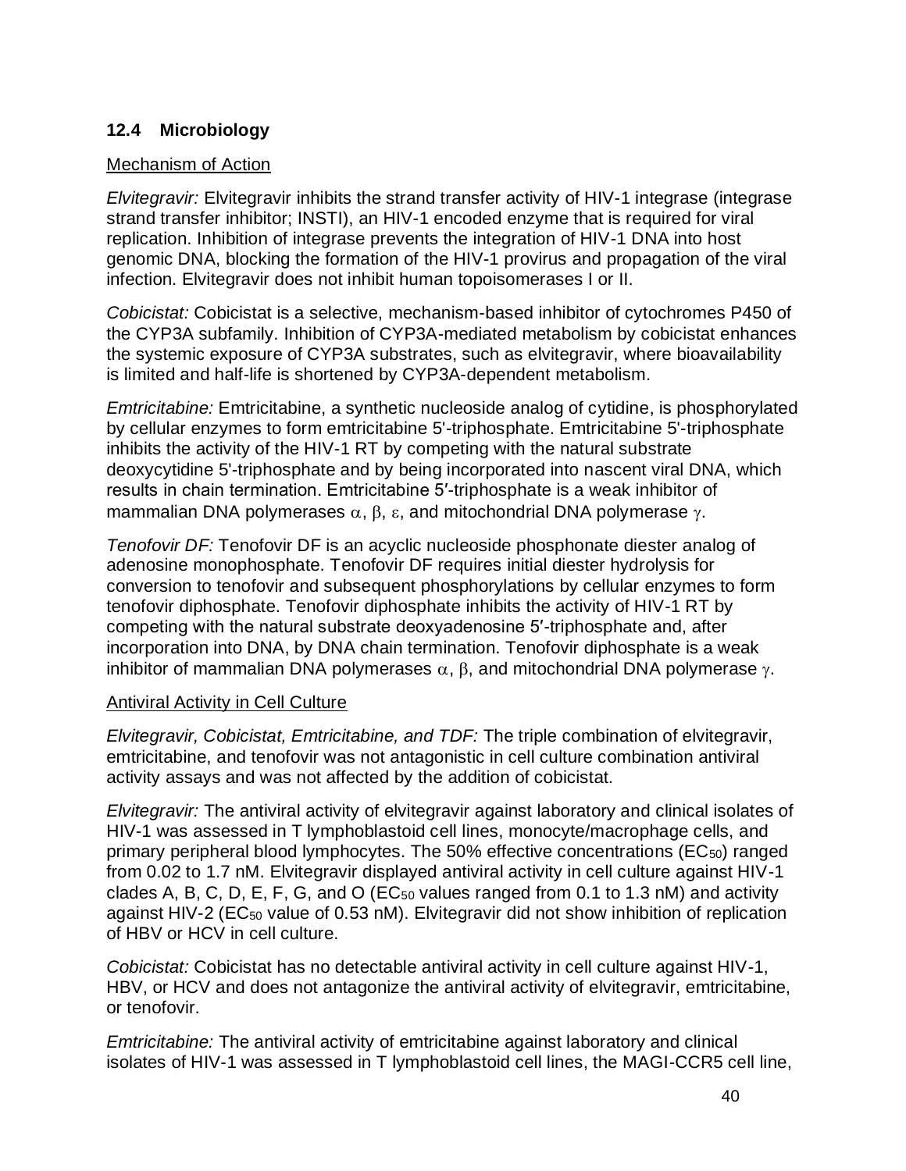## **12.4 Microbiology**

### Mechanism of Action

*Elvitegravir:* Elvitegravir inhibits the strand transfer activity of HIV-1 integrase (integrase strand transfer inhibitor; INSTI), an HIV-1 encoded enzyme that is required for viral replication. Inhibition of integrase prevents the integration of HIV-1 DNA into host genomic DNA, blocking the formation of the HIV-1 provirus and propagation of the viral infection. Elvitegravir does not inhibit human topoisomerases I or II.

*Cobicistat:* Cobicistat is a selective, mechanism-based inhibitor of cytochromes P450 of the CYP3A subfamily. Inhibition of CYP3A-mediated metabolism by cobicistat enhances the systemic exposure of CYP3A substrates, such as elvitegravir, where bioavailability is limited and half-life is shortened by CYP3A-dependent metabolism.

*Emtricitabine:* Emtricitabine, a synthetic nucleoside analog of cytidine, is phosphorylated by cellular enzymes to form emtricitabine 5'-triphosphate. Emtricitabine 5'-triphosphate inhibits the activity of the HIV-1 RT by competing with the natural substrate deoxycytidine 5'-triphosphate and by being incorporated into nascent viral DNA, which results in chain termination. Emtricitabine 5′-triphosphate is a weak inhibitor of mammalian DNA polymerases  $\alpha$ ,  $\beta$ ,  $\epsilon$ , and mitochondrial DNA polymerase  $\gamma$ .

*Tenofovir DF:* Tenofovir DF is an acyclic nucleoside phosphonate diester analog of adenosine monophosphate. Tenofovir DF requires initial diester hydrolysis for conversion to tenofovir and subsequent phosphorylations by cellular enzymes to form tenofovir diphosphate. Tenofovir diphosphate inhibits the activity of HIV-1 RT by competing with the natural substrate deoxyadenosine 5′-triphosphate and, after incorporation into DNA, by DNA chain termination. Tenofovir diphosphate is a weak inhibitor of mammalian DNA polymerases  $\alpha$ ,  $\beta$ , and mitochondrial DNA polymerase  $\gamma$ .

### Antiviral Activity in Cell Culture

*Elvitegravir, Cobicistat, Emtricitabine, and TDF:* The triple combination of elvitegravir, emtricitabine, and tenofovir was not antagonistic in cell culture combination antiviral activity assays and was not affected by the addition of cobicistat.

*Elvitegravir:* The antiviral activity of elvitegravir against laboratory and clinical isolates of HIV-1 was assessed in T lymphoblastoid cell lines, monocyte/macrophage cells, and primary peripheral blood lymphocytes. The 50% effective concentrations (EC50) ranged from 0.02 to 1.7 nM. Elvitegravir displayed antiviral activity in cell culture against HIV-1 clades A, B, C, D, E, F, G, and O ( $EC_{50}$  values ranged from 0.1 to 1.3 nM) and activity against HIV-2 (EC<sub>50</sub> value of 0.53 nM). Elvitegravir did not show inhibition of replication of HBV or HCV in cell culture.

*Cobicistat:* Cobicistat has no detectable antiviral activity in cell culture against HIV-1, HBV, or HCV and does not antagonize the antiviral activity of elvitegravir, emtricitabine, or tenofovir.

*Emtricitabine:* The antiviral activity of emtricitabine against laboratory and clinical isolates of HIV-1 was assessed in T lymphoblastoid cell lines, the MAGI-CCR5 cell line,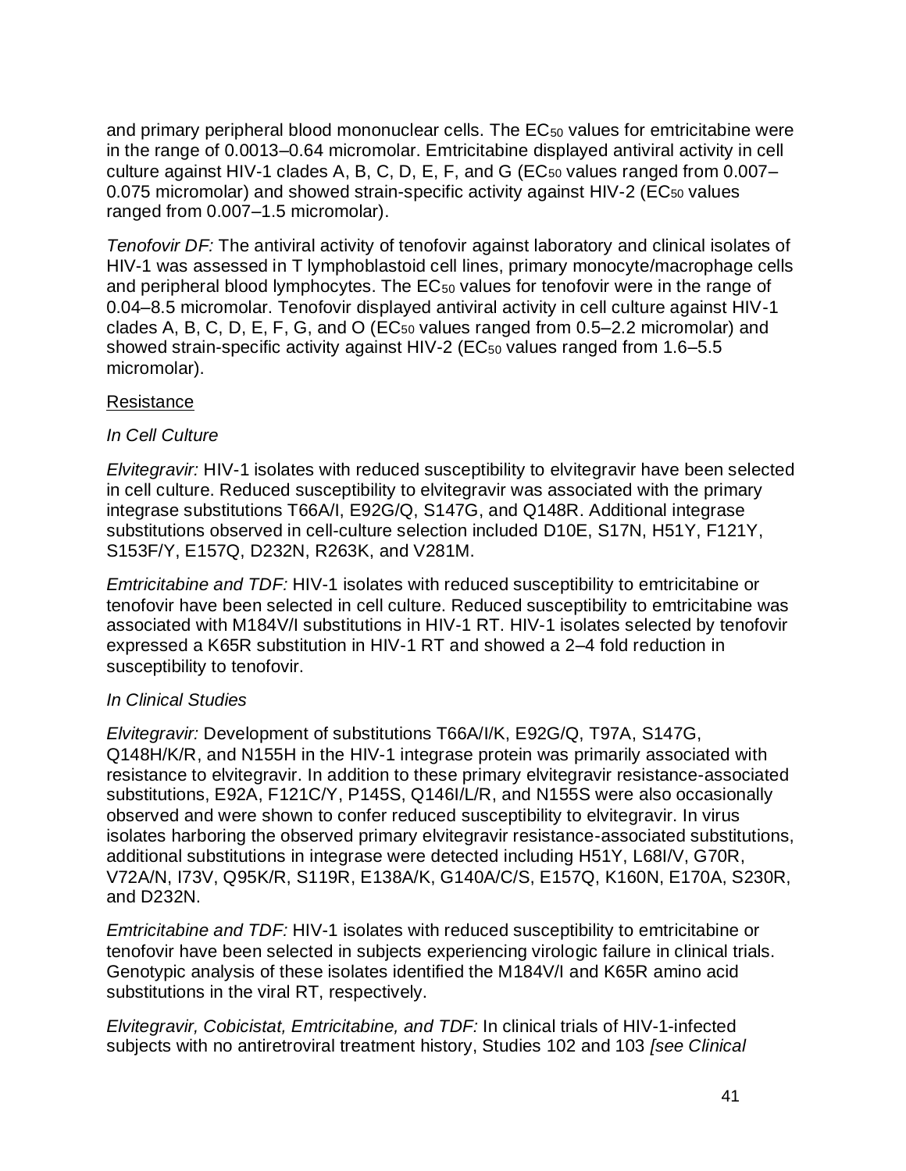and primary peripheral blood mononuclear cells. The EC<sub>50</sub> values for emtricitabine were in the range of 0.0013–0.64 micromolar. Emtricitabine displayed antiviral activity in cell culture against HIV-1 clades A, B, C, D, E, F, and G ( $EC_{50}$  values ranged from 0.007-0.075 micromolar) and showed strain-specific activity against HIV-2 (EC<sub>50</sub> values ranged from 0.007–1.5 micromolar).

*Tenofovir DF:* The antiviral activity of tenofovir against laboratory and clinical isolates of HIV-1 was assessed in T lymphoblastoid cell lines, primary monocyte/macrophage cells and peripheral blood lymphocytes. The EC<sub>50</sub> values for tenofovir were in the range of 0.04–8.5 micromolar. Tenofovir displayed antiviral activity in cell culture against HIV-1 clades A, B, C, D, E, F, G, and O (EC<sub>50</sub> values ranged from 0.5–2.2 micromolar) and showed strain-specific activity against HIV-2 (EC<sub>50</sub> values ranged from 1.6–5.5 micromolar).

## Resistance

## *In Cell Culture*

*Elvitegravir:* HIV-1 isolates with reduced susceptibility to elvitegravir have been selected in cell culture. Reduced susceptibility to elvitegravir was associated with the primary integrase substitutions T66A/I, E92G/Q, S147G, and Q148R. Additional integrase substitutions observed in cell-culture selection included D10E, S17N, H51Y, F121Y, S153F/Y, E157Q, D232N, R263K, and V281M.

*Emtricitabine and TDF:* HIV-1 isolates with reduced susceptibility to emtricitabine or tenofovir have been selected in cell culture. Reduced susceptibility to emtricitabine was associated with M184V/I substitutions in HIV-1 RT. HIV-1 isolates selected by tenofovir expressed a K65R substitution in HIV-1 RT and showed a 2–4 fold reduction in susceptibility to tenofovir.

### *In Clinical Studies*

*Elvitegravir:* Development of substitutions T66A/I/K, E92G/Q, T97A, S147G, Q148H/K/R, and N155H in the HIV-1 integrase protein was primarily associated with resistance to elvitegravir. In addition to these primary elvitegravir resistance-associated substitutions, E92A, F121C/Y, P145S, Q146I/L/R, and N155S were also occasionally observed and were shown to confer reduced susceptibility to elvitegravir. In virus isolates harboring the observed primary elvitegravir resistance-associated substitutions, additional substitutions in integrase were detected including H51Y, L68I/V, G70R, V72A/N, I73V, Q95K/R, S119R, E138A/K, G140A/C/S, E157Q, K160N, E170A, S230R, and D232N.

*Emtricitabine and TDF:* HIV-1 isolates with reduced susceptibility to emtricitabine or tenofovir have been selected in subjects experiencing virologic failure in clinical trials. Genotypic analysis of these isolates identified the M184V/I and K65R amino acid substitutions in the viral RT, respectively.

*Elvitegravir, Cobicistat, Emtricitabine, and TDF:* In clinical trials of HIV-1-infected subjects with no antiretroviral treatment history, Studies 102 and 103 *[see Clinical*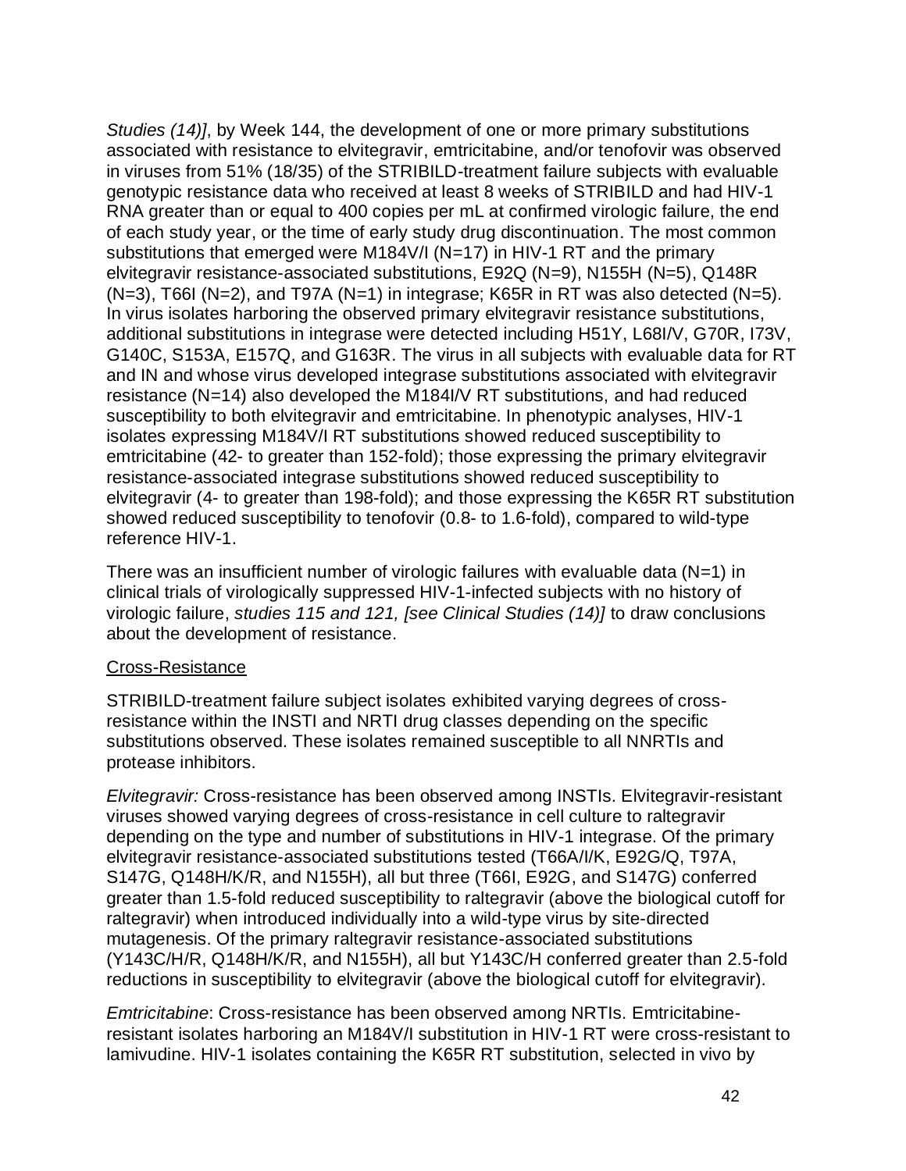*Studies (14)]*, by Week 144, the development of one or more primary substitutions associated with resistance to elvitegravir, emtricitabine, and/or tenofovir was observed in viruses from 51% (18/35) of the STRIBILD-treatment failure subjects with evaluable genotypic resistance data who received at least 8 weeks of STRIBILD and had HIV-1 RNA greater than or equal to 400 copies per mL at confirmed virologic failure, the end of each study year, or the time of early study drug discontinuation. The most common substitutions that emerged were M184V/I (N=17) in HIV-1 RT and the primary elvitegravir resistance-associated substitutions, E92Q (N=9), N155H (N=5), Q148R  $(N=3)$ , T66I (N=2), and T97A (N=1) in integrase; K65R in RT was also detected (N=5). In virus isolates harboring the observed primary elvitegravir resistance substitutions, additional substitutions in integrase were detected including H51Y, L68I/V, G70R, I73V, G140C, S153A, E157Q, and G163R. The virus in all subjects with evaluable data for RT and IN and whose virus developed integrase substitutions associated with elvitegravir resistance (N=14) also developed the M184I/V RT substitutions, and had reduced susceptibility to both elvitegravir and emtricitabine. In phenotypic analyses, HIV-1 isolates expressing M184V/I RT substitutions showed reduced susceptibility to emtricitabine (42- to greater than 152-fold); those expressing the primary elvitegravir resistance-associated integrase substitutions showed reduced susceptibility to elvitegravir (4- to greater than 198-fold); and those expressing the K65R RT substitution showed reduced susceptibility to tenofovir (0.8- to 1.6-fold), compared to wild-type reference HIV-1.

There was an insufficient number of virologic failures with evaluable data ( $N=1$ ) in clinical trials of virologically suppressed HIV-1-infected subjects with no history of virologic failure, *studies 115 and 121, [see Clinical Studies (14)]* to draw conclusions about the development of resistance.

### Cross-Resistance

STRIBILD-treatment failure subject isolates exhibited varying degrees of crossresistance within the INSTI and NRTI drug classes depending on the specific substitutions observed. These isolates remained susceptible to all NNRTIs and protease inhibitors.

*Elvitegravir:* Cross-resistance has been observed among INSTIs. Elvitegravir-resistant viruses showed varying degrees of cross-resistance in cell culture to raltegravir depending on the type and number of substitutions in HIV-1 integrase. Of the primary elvitegravir resistance-associated substitutions tested (T66A/I/K, E92G/Q, T97A, S147G, Q148H/K/R, and N155H), all but three (T66I, E92G, and S147G) conferred greater than 1.5-fold reduced susceptibility to raltegravir (above the biological cutoff for raltegravir) when introduced individually into a wild-type virus by site-directed mutagenesis. Of the primary raltegravir resistance-associated substitutions (Y143C/H/R, Q148H/K/R, and N155H), all but Y143C/H conferred greater than 2.5-fold reductions in susceptibility to elvitegravir (above the biological cutoff for elvitegravir).

*Emtricitabine*: Cross-resistance has been observed among NRTIs. Emtricitabineresistant isolates harboring an M184V/I substitution in HIV-1 RT were cross-resistant to lamivudine. HIV-1 isolates containing the K65R RT substitution, selected in vivo by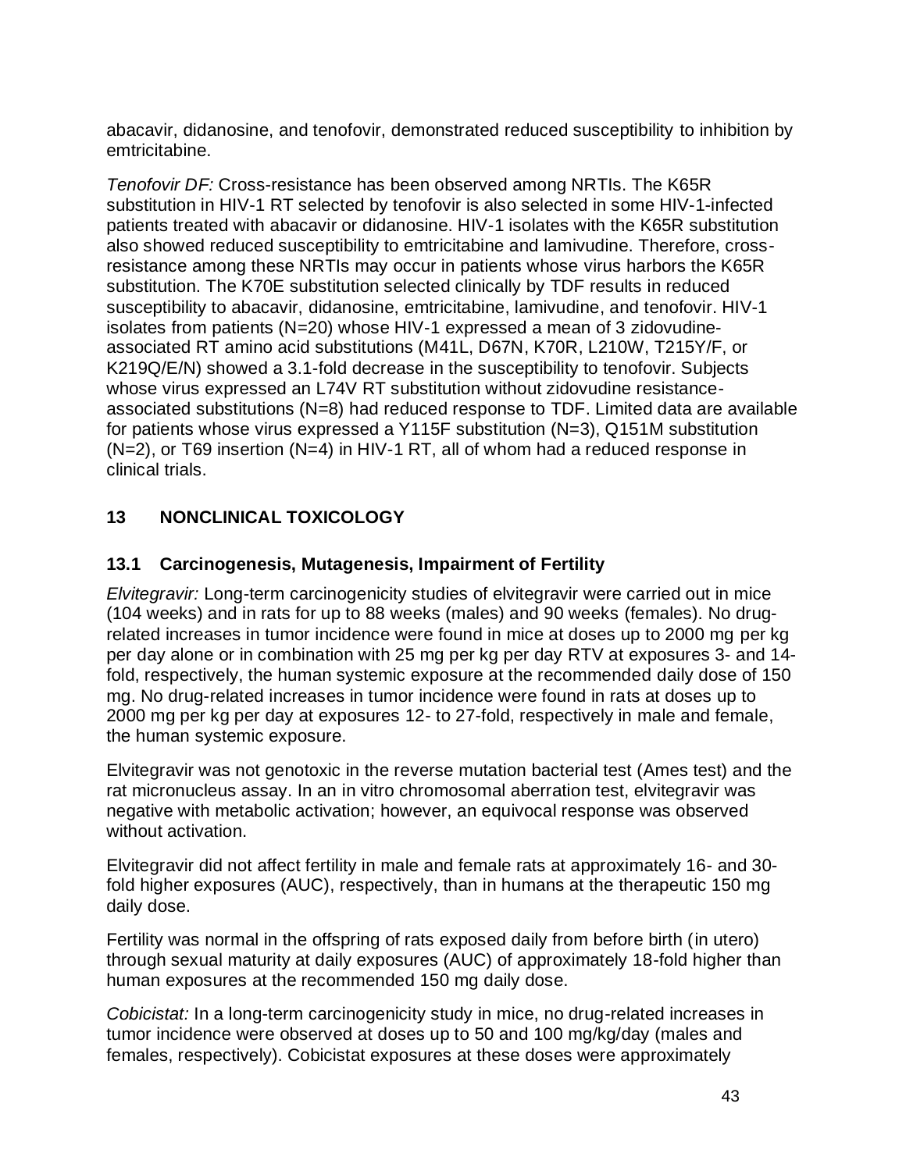abacavir, didanosine, and tenofovir, demonstrated reduced susceptibility to inhibition by emtricitabine.

*Tenofovir DF:* Cross-resistance has been observed among NRTIs. The K65R substitution in HIV-1 RT selected by tenofovir is also selected in some HIV-1-infected patients treated with abacavir or didanosine. HIV-1 isolates with the K65R substitution also showed reduced susceptibility to emtricitabine and lamivudine. Therefore, crossresistance among these NRTIs may occur in patients whose virus harbors the K65R substitution. The K70E substitution selected clinically by TDF results in reduced susceptibility to abacavir, didanosine, emtricitabine, lamivudine, and tenofovir. HIV-1 isolates from patients (N=20) whose HIV-1 expressed a mean of 3 zidovudineassociated RT amino acid substitutions (M41L, D67N, K70R, L210W, T215Y/F, or K219Q/E/N) showed a 3.1-fold decrease in the susceptibility to tenofovir. Subjects whose virus expressed an L74V RT substitution without zidovudine resistanceassociated substitutions (N=8) had reduced response to TDF. Limited data are available for patients whose virus expressed a Y115F substitution (N=3), Q151M substitution (N=2), or T69 insertion (N=4) in HIV-1 RT, all of whom had a reduced response in clinical trials.

# **13 NONCLINICAL TOXICOLOGY**

# **13.1 Carcinogenesis, Mutagenesis, Impairment of Fertility**

*Elvitegravir:* Long-term carcinogenicity studies of elvitegravir were carried out in mice (104 weeks) and in rats for up to 88 weeks (males) and 90 weeks (females). No drugrelated increases in tumor incidence were found in mice at doses up to 2000 mg per kg per day alone or in combination with 25 mg per kg per day RTV at exposures 3- and 14 fold, respectively, the human systemic exposure at the recommended daily dose of 150 mg. No drug-related increases in tumor incidence were found in rats at doses up to 2000 mg per kg per day at exposures 12- to 27-fold, respectively in male and female, the human systemic exposure.

Elvitegravir was not genotoxic in the reverse mutation bacterial test (Ames test) and the rat micronucleus assay. In an in vitro chromosomal aberration test, elvitegravir was negative with metabolic activation; however, an equivocal response was observed without activation.

Elvitegravir did not affect fertility in male and female rats at approximately 16- and 30 fold higher exposures (AUC), respectively, than in humans at the therapeutic 150 mg daily dose.

Fertility was normal in the offspring of rats exposed daily from before birth (in utero) through sexual maturity at daily exposures (AUC) of approximately 18-fold higher than human exposures at the recommended 150 mg daily dose.

*Cobicistat:* In a long-term carcinogenicity study in mice, no drug-related increases in tumor incidence were observed at doses up to 50 and 100 mg/kg/day (males and females, respectively). Cobicistat exposures at these doses were approximately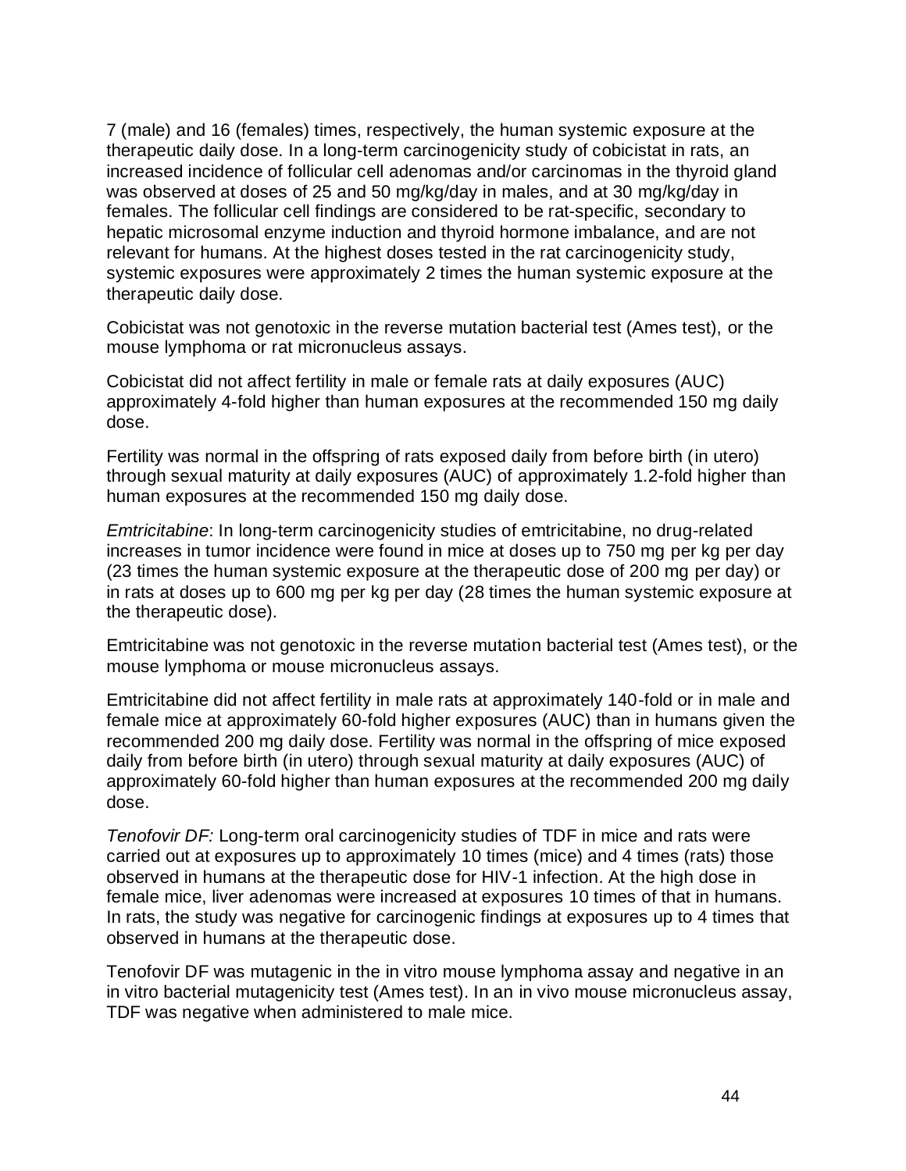7 (male) and 16 (females) times, respectively, the human systemic exposure at the therapeutic daily dose. In a long-term carcinogenicity study of cobicistat in rats, an increased incidence of follicular cell adenomas and/or carcinomas in the thyroid gland was observed at doses of 25 and 50 mg/kg/day in males, and at 30 mg/kg/day in females. The follicular cell findings are considered to be rat-specific, secondary to hepatic microsomal enzyme induction and thyroid hormone imbalance, and are not relevant for humans. At the highest doses tested in the rat carcinogenicity study, systemic exposures were approximately 2 times the human systemic exposure at the therapeutic daily dose.

Cobicistat was not genotoxic in the reverse mutation bacterial test (Ames test), or the mouse lymphoma or rat micronucleus assays.

Cobicistat did not affect fertility in male or female rats at daily exposures (AUC) approximately 4-fold higher than human exposures at the recommended 150 mg daily dose.

Fertility was normal in the offspring of rats exposed daily from before birth (in utero) through sexual maturity at daily exposures (AUC) of approximately 1.2-fold higher than human exposures at the recommended 150 mg daily dose.

*Emtricitabine*: In long-term carcinogenicity studies of emtricitabine, no drug-related increases in tumor incidence were found in mice at doses up to 750 mg per kg per day (23 times the human systemic exposure at the therapeutic dose of 200 mg per day) or in rats at doses up to 600 mg per kg per day (28 times the human systemic exposure at the therapeutic dose).

Emtricitabine was not genotoxic in the reverse mutation bacterial test (Ames test), or the mouse lymphoma or mouse micronucleus assays.

Emtricitabine did not affect fertility in male rats at approximately 140-fold or in male and female mice at approximately 60-fold higher exposures (AUC) than in humans given the recommended 200 mg daily dose. Fertility was normal in the offspring of mice exposed daily from before birth (in utero) through sexual maturity at daily exposures (AUC) of approximately 60-fold higher than human exposures at the recommended 200 mg daily dose.

*Tenofovir DF:* Long-term oral carcinogenicity studies of TDF in mice and rats were carried out at exposures up to approximately 10 times (mice) and 4 times (rats) those observed in humans at the therapeutic dose for HIV-1 infection. At the high dose in female mice, liver adenomas were increased at exposures 10 times of that in humans. In rats, the study was negative for carcinogenic findings at exposures up to 4 times that observed in humans at the therapeutic dose.

Tenofovir DF was mutagenic in the in vitro mouse lymphoma assay and negative in an in vitro bacterial mutagenicity test (Ames test). In an in vivo mouse micronucleus assay, TDF was negative when administered to male mice.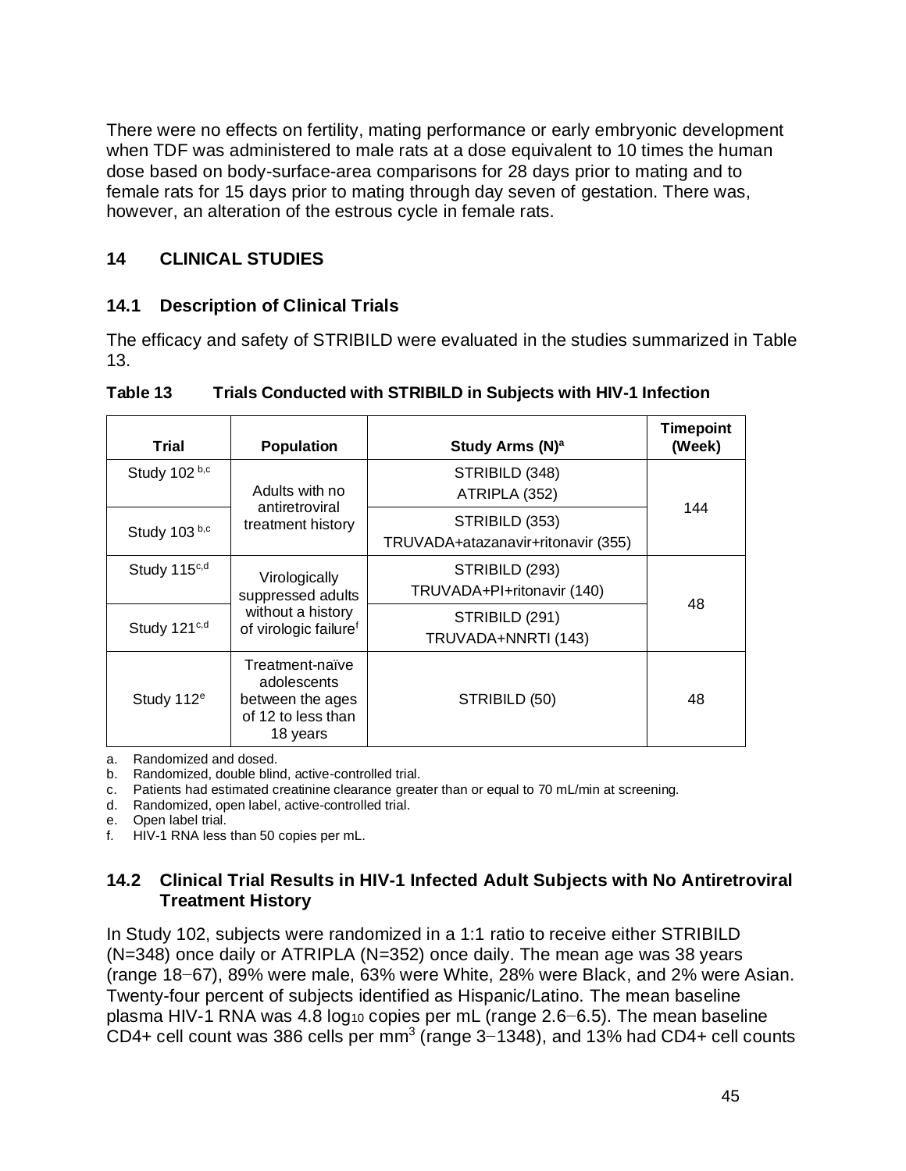There were no effects on fertility, mating performance or early embryonic development when TDF was administered to male rats at a dose equivalent to 10 times the human dose based on body-surface-area comparisons for 28 days prior to mating and to female rats for 15 days prior to mating through day seven of gestation. There was, however, an alteration of the estrous cycle in female rats.

## **14 CLINICAL STUDIES**

# **14.1 Description of Clinical Trials**

The efficacy and safety of STRIBILD were evaluated in the studies summarized in Table 13.

| Trial                    | <b>Population</b>                                                                    | Study Arms (N) <sup>a</sup>                          | <b>Timepoint</b><br>(Week) |
|--------------------------|--------------------------------------------------------------------------------------|------------------------------------------------------|----------------------------|
| Study 102 b,c            | Adults with no                                                                       | STRIBILD (348)<br>ATRIPLA (352)                      |                            |
| Study 103 b,c            | antiretroviral<br>treatment history                                                  | STRIBILD (353)<br>TRUVADA+atazanavir+ritonavir (355) | 144                        |
| Study 115c,d             | Virologically<br>suppressed adults                                                   | STRIBILD (293)<br>TRUVADA+PI+ritonavir (140)         | 48                         |
| Study 121 <sup>c,d</sup> | without a history<br>of virologic failure <sup>f</sup>                               | STRIBILD (291)<br>TRUVADA+NNRTI (143)                |                            |
| Study 112 <sup>e</sup>   | Treatment-naïve<br>adolescents<br>between the ages<br>of 12 to less than<br>18 years | STRIBILD (50)                                        | 48                         |

**Table 13 Trials Conducted with STRIBILD in Subjects with HIV-1 Infection**

a. Randomized and dosed.

b. Randomized, double blind, active-controlled trial.

c. Patients had estimated creatinine clearance greater than or equal to 70 mL/min at screening.

d. Randomized, open label, active-controlled trial.

e. Open label trial.

f. HIV-1 RNA less than 50 copies per mL.

## **14.2 Clinical Trial Results in HIV-1 Infected Adult Subjects with No Antiretroviral Treatment History**

In Study 102, subjects were randomized in a 1:1 ratio to receive either STRIBILD (N=348) once daily or ATRIPLA (N=352) once daily. The mean age was 38 years (range 18−67), 89% were male, 63% were White, 28% were Black, and 2% were Asian. Twenty-four percent of subjects identified as Hispanic/Latino. The mean baseline plasma HIV-1 RNA was 4.8 log<sub>10</sub> copies per mL (range 2.6–6.5). The mean baseline CD4+ cell count was 386 cells per mm<sup>3</sup> (range 3-1348), and 13% had CD4+ cell counts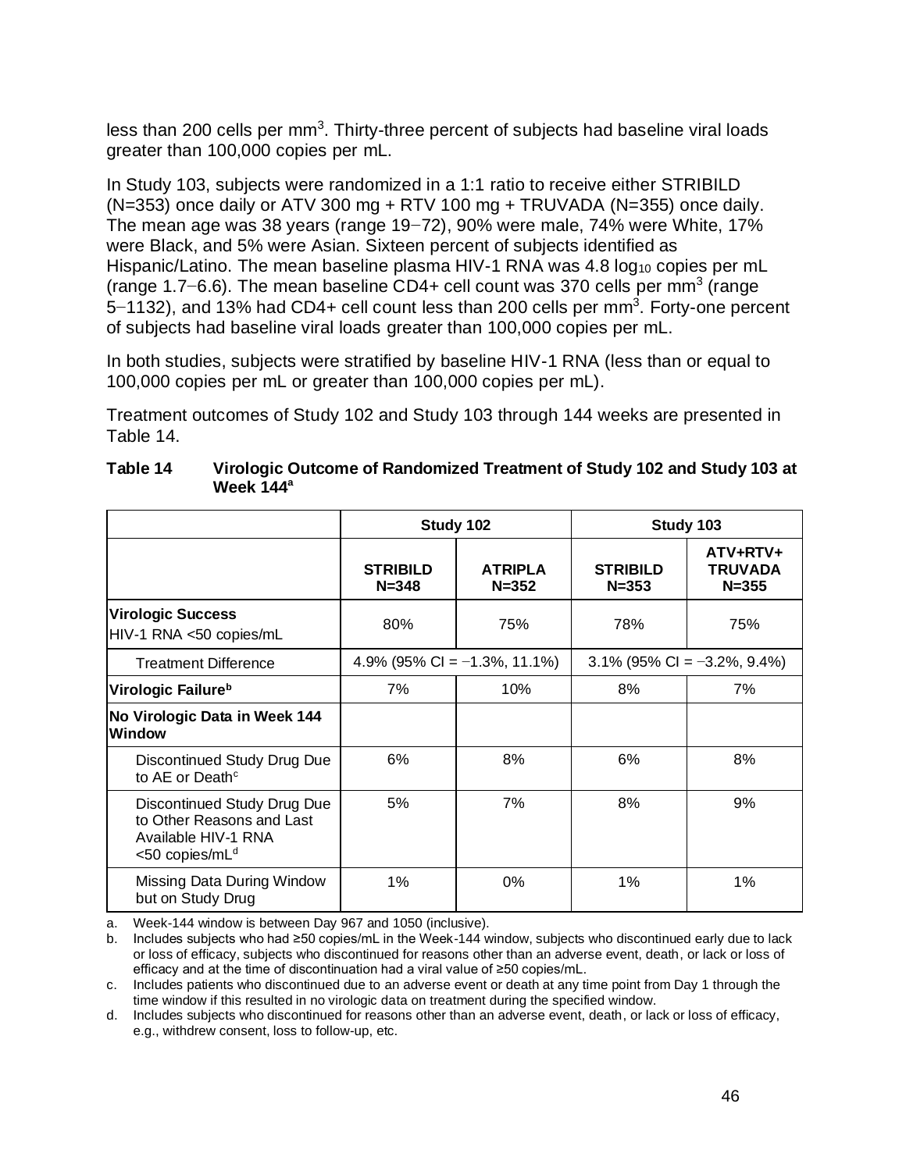less than 200 cells per mm<sup>3</sup>. Thirty-three percent of subjects had baseline viral loads greater than 100,000 copies per mL.

In Study 103, subjects were randomized in a 1:1 ratio to receive either STRIBILD  $(N=353)$  once daily or ATV 300 mg + RTV 100 mg + TRUVADA ( $N=355$ ) once daily. The mean age was 38 years (range 19−72), 90% were male, 74% were White, 17% were Black, and 5% were Asian. Sixteen percent of subjects identified as Hispanic/Latino. The mean baseline plasma HIV-1 RNA was 4.8 log<sub>10</sub> copies per mL (range 1.7–6.6). The mean baseline CD4+ cell count was 370 cells per mm<sup>3</sup> (range 5–1132), and 13% had CD4+ cell count less than 200 cells per mm<sup>3</sup>. Forty-one percent of subjects had baseline viral loads greater than 100,000 copies per mL.

In both studies, subjects were stratified by baseline HIV-1 RNA (less than or equal to 100,000 copies per mL or greater than 100,000 copies per mL).

Treatment outcomes of Study 102 and Study 103 through 144 weeks are presented in Table 14.

|                                                                                                               |                              | Study 102                       | Study 103                      |                                         |  |
|---------------------------------------------------------------------------------------------------------------|------------------------------|---------------------------------|--------------------------------|-----------------------------------------|--|
|                                                                                                               | <b>STRIBILD</b><br>$N = 348$ | <b>ATRIPLA</b><br>$N = 352$     | <b>STRIBILD</b><br>$N = 353$   | ATV+RTV+<br><b>TRUVADA</b><br>$N = 355$ |  |
| <b>Virologic Success</b><br>HIV-1 RNA <50 copies/mL                                                           | 80%                          | 75%                             | 78%                            | 75%                                     |  |
| <b>Treatment Difference</b>                                                                                   |                              | 4.9% (95% CI = $-1.3$ %, 11.1%) | $3.1\%$ (95% CI = -3.2%, 9.4%) |                                         |  |
| Virologic Failure <sup>b</sup>                                                                                | 7%                           | 10%                             | 8%                             | 7%                                      |  |
| No Virologic Data in Week 144<br><b>Window</b>                                                                |                              |                                 |                                |                                         |  |
| Discontinued Study Drug Due<br>to AE or Death <sup>c</sup>                                                    | 6%                           | 8%                              | 6%                             | 8%                                      |  |
| Discontinued Study Drug Due<br>to Other Reasons and Last<br>Available HIV-1 RNA<br><50 copies/mL <sup>d</sup> | 5%                           | 7%                              | 8%                             | 9%                                      |  |
| Missing Data During Window<br>but on Study Drug                                                               | 1%                           | $0\%$                           | 1%                             | 1%                                      |  |

| Table 14 | Virologic Outcome of Randomized Treatment of Study 102 and Study 103 at |
|----------|-------------------------------------------------------------------------|
|          | Week $144^a$                                                            |

a. Week-144 window is between Day 967 and 1050 (inclusive).

b. Includes subjects who had ≥50 copies/mL in the Week-144 window, subjects who discontinued early due to lack or loss of efficacy, subjects who discontinued for reasons other than an adverse event, death, or lack or loss of efficacy and at the time of discontinuation had a viral value of ≥50 copies/mL.

c. Includes patients who discontinued due to an adverse event or death at any time point from Day 1 through the time window if this resulted in no virologic data on treatment during the specified window.

d. Includes subjects who discontinued for reasons other than an adverse event, death, or lack or loss of efficacy, e.g., withdrew consent, loss to follow-up, etc.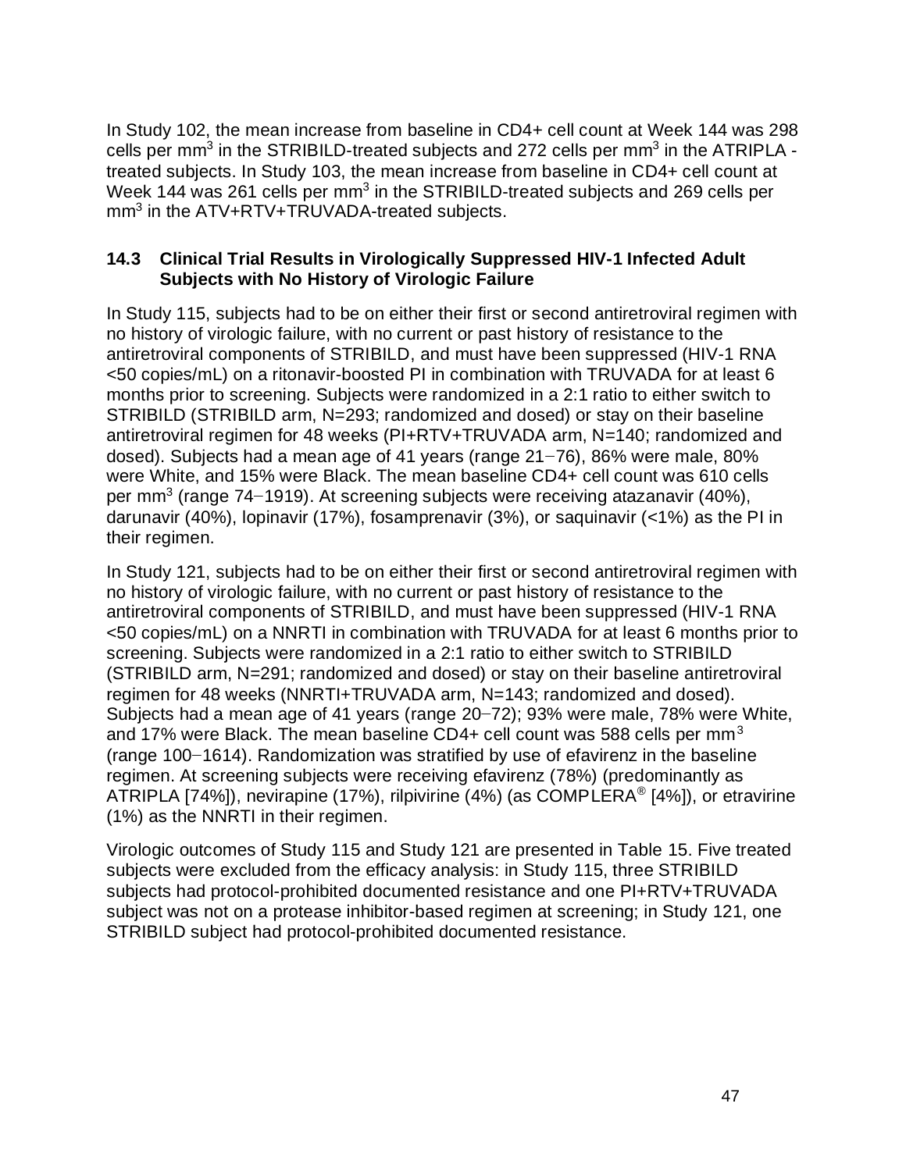In Study 102, the mean increase from baseline in CD4+ cell count at Week 144 was 298 cells per mm<sup>3</sup> in the STRIBILD-treated subjects and 272 cells per mm<sup>3</sup> in the ATRIPLA treated subjects. In Study 103, the mean increase from baseline in CD4+ cell count at Week 144 was 261 cells per mm<sup>3</sup> in the STRIBILD-treated subjects and 269 cells per mm<sup>3</sup> in the ATV+RTV+TRUVADA-treated subjects.

## **14.3 Clinical Trial Results in Virologically Suppressed HIV-1 Infected Adult Subjects with No History of Virologic Failure**

In Study 115, subjects had to be on either their first or second antiretroviral regimen with no history of virologic failure, with no current or past history of resistance to the antiretroviral components of STRIBILD, and must have been suppressed (HIV-1 RNA <50 copies/mL) on a ritonavir-boosted PI in combination with TRUVADA for at least 6 months prior to screening. Subjects were randomized in a 2:1 ratio to either switch to STRIBILD (STRIBILD arm, N=293; randomized and dosed) or stay on their baseline antiretroviral regimen for 48 weeks (PI+RTV+TRUVADA arm, N=140; randomized and dosed). Subjects had a mean age of 41 years (range 21−76), 86% were male, 80% were White, and 15% were Black. The mean baseline CD4+ cell count was 610 cells per mm<sup>3</sup> (range 74–1919). At screening subjects were receiving atazanavir (40%), darunavir (40%), lopinavir (17%), fosamprenavir (3%), or saquinavir (<1%) as the PI in their regimen.

In Study 121, subjects had to be on either their first or second antiretroviral regimen with no history of virologic failure, with no current or past history of resistance to the antiretroviral components of STRIBILD, and must have been suppressed (HIV-1 RNA <50 copies/mL) on a NNRTI in combination with TRUVADA for at least 6 months prior to screening. Subjects were randomized in a 2:1 ratio to either switch to STRIBILD (STRIBILD arm, N=291; randomized and dosed) or stay on their baseline antiretroviral regimen for 48 weeks (NNRTI+TRUVADA arm, N=143; randomized and dosed). Subjects had a mean age of 41 years (range 20−72); 93% were male, 78% were White, and 17% were Black. The mean baseline CD4+ cell count was 588 cells per mm<sup>3</sup> (range 100−1614). Randomization was stratified by use of efavirenz in the baseline regimen. At screening subjects were receiving efavirenz (78%) (predominantly as ATRIPLA [74%]), nevirapine (17%), rilpivirine (4%) (as COMPLERA® [4%]), or etravirine (1%) as the NNRTI in their regimen.

Virologic outcomes of Study 115 and Study 121 are presented in Table 15. Five treated subjects were excluded from the efficacy analysis: in Study 115, three STRIBILD subjects had protocol-prohibited documented resistance and one PI+RTV+TRUVADA subject was not on a protease inhibitor-based regimen at screening; in Study 121, one STRIBILD subject had protocol-prohibited documented resistance.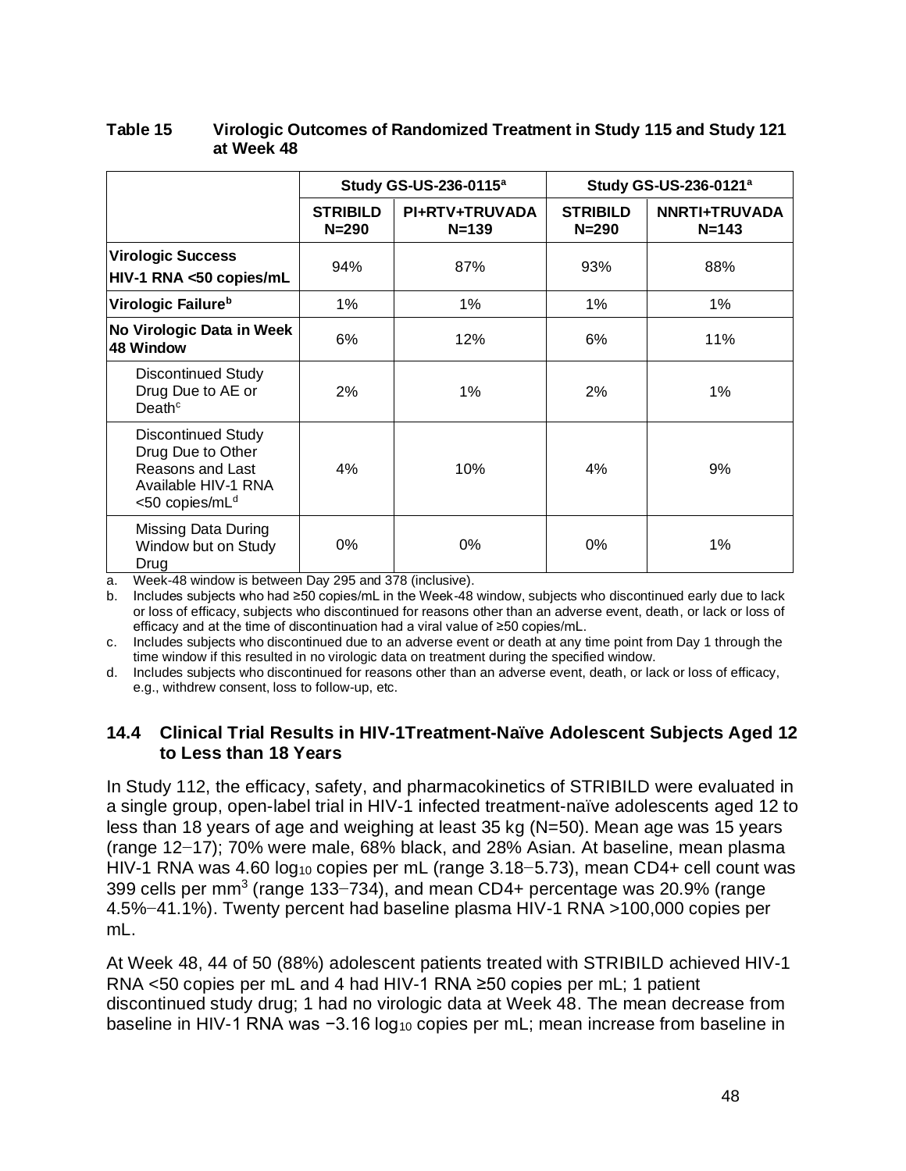|                                                                                                                         | Study GS-US-236-0115 <sup>a</sup> |                             | Study GS-US-236-0121 <sup>a</sup> |                            |
|-------------------------------------------------------------------------------------------------------------------------|-----------------------------------|-----------------------------|-----------------------------------|----------------------------|
|                                                                                                                         | <b>STRIBILD</b><br>$N = 290$      | PI+RTV+TRUVADA<br>$N = 139$ | <b>STRIBILD</b><br>$N = 290$      | NNRTI+TRUVADA<br>$N = 143$ |
| <b>Virologic Success</b><br>HIV-1 RNA <50 copies/mL                                                                     | 94%                               | 87%                         | 93%                               | 88%                        |
| Virologic Failure <sup>b</sup>                                                                                          | 1%                                | 1%                          | $1\%$                             | $1\%$                      |
| No Virologic Data in Week<br><b>48 Window</b>                                                                           | 6%                                | 12%                         | 6%                                | 11%                        |
| <b>Discontinued Study</b><br>Drug Due to AE or<br>Death $\circ$                                                         | 2%                                | 1%                          | 2%                                | 1%                         |
| <b>Discontinued Study</b><br>Drug Due to Other<br>Reasons and Last<br>Available HIV-1 RNA<br><50 copies/mL <sup>d</sup> | 4%                                | 10%                         | 4%                                | 9%                         |
| Missing Data During<br>Window but on Study<br>Drug                                                                      | 0%                                | 0%                          | 0%                                | 1%                         |

#### **Table 15 Virologic Outcomes of Randomized Treatment in Study 115 and Study 121 at Week 48**

a. Week-48 window is between Day 295 and 378 (inclusive).

b. Includes subjects who had ≥50 copies/mL in the Week-48 window, subjects who discontinued early due to lack or loss of efficacy, subjects who discontinued for reasons other than an adverse event, death, or lack or loss of efficacy and at the time of discontinuation had a viral value of ≥50 copies/mL.

c. Includes subjects who discontinued due to an adverse event or death at any time point from Day 1 through the time window if this resulted in no virologic data on treatment during the specified window.

d. Includes subjects who discontinued for reasons other than an adverse event, death, or lack or loss of efficacy, e.g., withdrew consent, loss to follow-up, etc.

### **14.4 Clinical Trial Results in HIV-1Treatment-Naïve Adolescent Subjects Aged 12 to Less than 18 Years**

In Study 112, the efficacy, safety, and pharmacokinetics of STRIBILD were evaluated in a single group, open-label trial in HIV-1 infected treatment-naïve adolescents aged 12 to less than 18 years of age and weighing at least 35 kg (N=50). Mean age was 15 years (range 12−17); 70% were male, 68% black, and 28% Asian. At baseline, mean plasma HIV-1 RNA was 4.60 log<sub>10</sub> copies per mL (range 3.18–5.73), mean CD4+ cell count was 399 cells per mm<sup>3</sup> (range 133–734), and mean CD4+ percentage was 20.9% (range 4.5%−41.1%). Twenty percent had baseline plasma HIV-1 RNA >100,000 copies per mL.

At Week 48, 44 of 50 (88%) adolescent patients treated with STRIBILD achieved HIV-1 RNA <50 copies per mL and 4 had HIV-1 RNA ≥50 copies per mL; 1 patient discontinued study drug; 1 had no virologic data at Week 48. The mean decrease from baseline in HIV-1 RNA was −3.16 log<sub>10</sub> copies per mL; mean increase from baseline in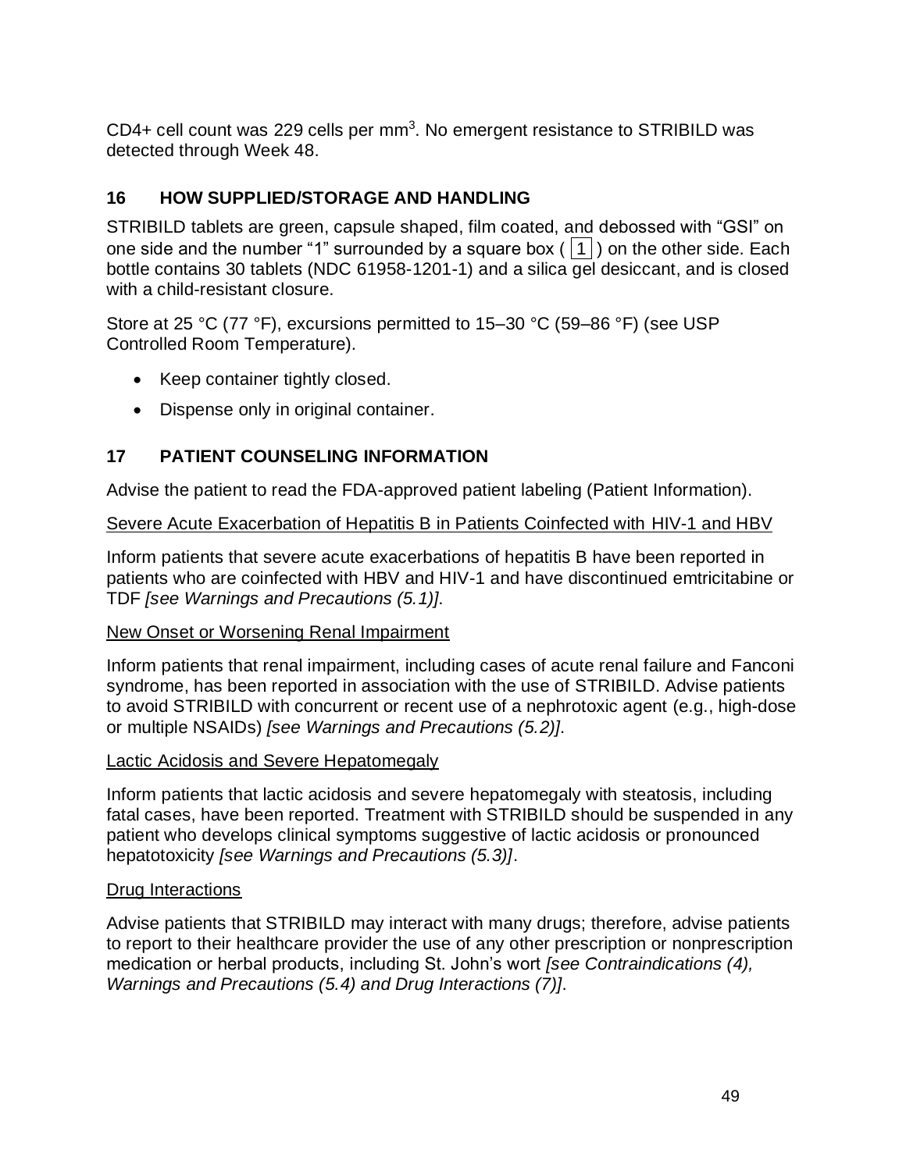CD4+ cell count was 229 cells per mm<sup>3</sup>. No emergent resistance to STRIBILD was detected through Week 48.

# **16 HOW SUPPLIED/STORAGE AND HANDLING**

STRIBILD tablets are green, capsule shaped, film coated, and debossed with "GSI" on one side and the number "1" surrounded by a square box ( $|1|$ ) on the other side. Each bottle contains 30 tablets (NDC 61958-1201-1) and a silica gel desiccant, and is closed with a child-resistant closure.

Store at 25 °C (77 °F), excursions permitted to 15–30 °C (59–86 °F) (see USP Controlled Room Temperature).

- Keep container tightly closed.
- Dispense only in original container.

## **17 PATIENT COUNSELING INFORMATION**

Advise the patient to read the FDA-approved patient labeling (Patient Information).

Severe Acute Exacerbation of Hepatitis B in Patients Coinfected with HIV-1 and HBV

Inform patients that severe acute exacerbations of hepatitis B have been reported in patients who are coinfected with HBV and HIV-1 and have discontinued emtricitabine or TDF *[see Warnings and Precautions (5.1)]*.

### New Onset or Worsening Renal Impairment

Inform patients that renal impairment, including cases of acute renal failure and Fanconi syndrome, has been reported in association with the use of STRIBILD. Advise patients to avoid STRIBILD with concurrent or recent use of a nephrotoxic agent (e.g., high-dose or multiple NSAIDs) *[see Warnings and Precautions (5.2)]*.

### Lactic Acidosis and Severe Hepatomegaly

Inform patients that lactic acidosis and severe hepatomegaly with steatosis, including fatal cases, have been reported. Treatment with STRIBILD should be suspended in any patient who develops clinical symptoms suggestive of lactic acidosis or pronounced hepatotoxicity *[see Warnings and Precautions (5.3)]*.

### Drug Interactions

Advise patients that STRIBILD may interact with many drugs; therefore, advise patients to report to their healthcare provider the use of any other prescription or nonprescription medication or herbal products, including St. John's wort *[see Contraindications (4), Warnings and Precautions (5.4) and Drug Interactions (7)]*.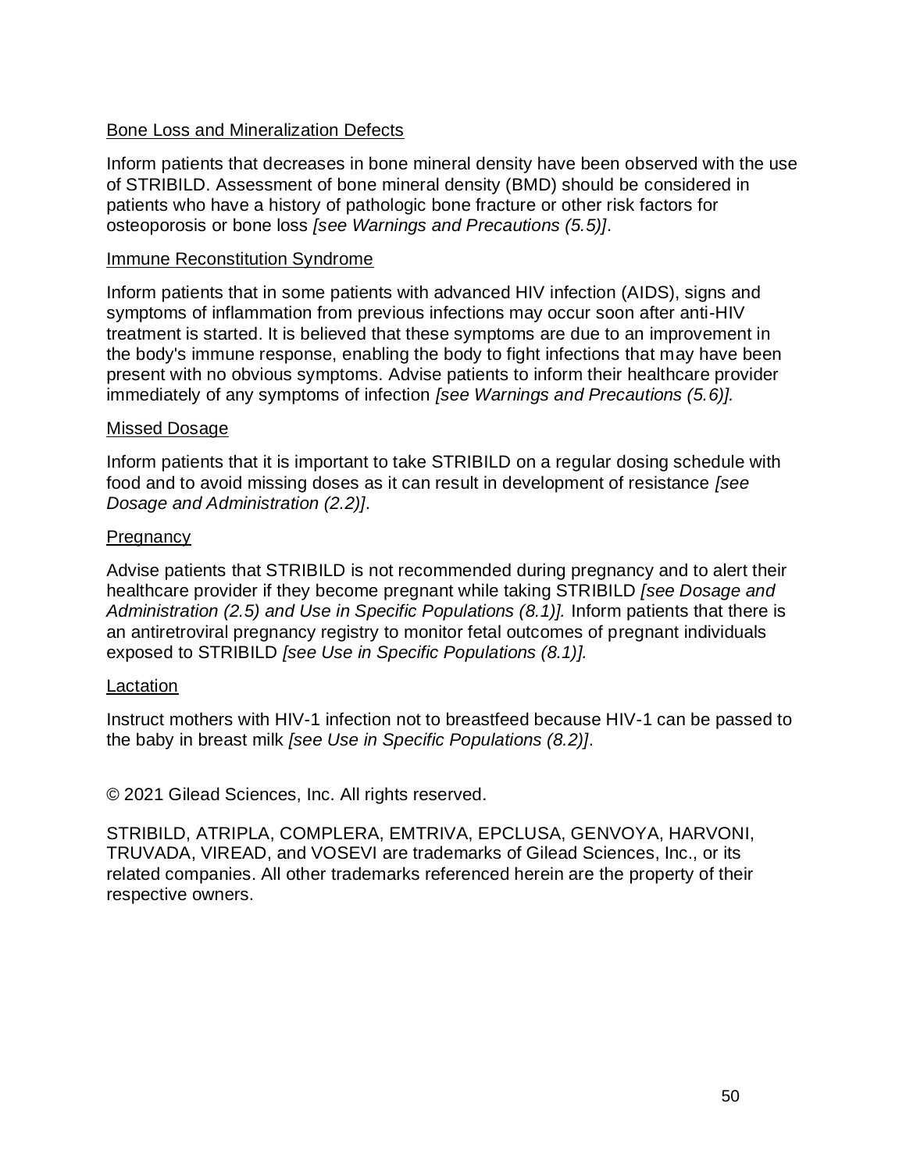### Bone Loss and Mineralization Defects

Inform patients that decreases in bone mineral density have been observed with the use of STRIBILD. Assessment of bone mineral density (BMD) should be considered in patients who have a history of pathologic bone fracture or other risk factors for osteoporosis or bone loss *[see Warnings and Precautions (5.5)]*.

#### Immune Reconstitution Syndrome

Inform patients that in some patients with advanced HIV infection (AIDS), signs and symptoms of inflammation from previous infections may occur soon after anti-HIV treatment is started. It is believed that these symptoms are due to an improvement in the body's immune response, enabling the body to fight infections that may have been present with no obvious symptoms. Advise patients to inform their healthcare provider immediately of any symptoms of infection *[see Warnings and Precautions (5.6)].*

### Missed Dosage

Inform patients that it is important to take STRIBILD on a regular dosing schedule with food and to avoid missing doses as it can result in development of resistance *[see Dosage and Administration (2.2)]*.

### Pregnancy

Advise patients that STRIBILD is not recommended during pregnancy and to alert their healthcare provider if they become pregnant while taking STRIBILD *[see Dosage and Administration (2.5) and Use in Specific Populations (8.1)].* Inform patients that there is an antiretroviral pregnancy registry to monitor fetal outcomes of pregnant individuals exposed to STRIBILD *[see Use in Specific Populations (8.1)].*

#### **Lactation**

Instruct mothers with HIV-1 infection not to breastfeed because HIV-1 can be passed to the baby in breast milk *[see Use in Specific Populations (8.2)]*.

© 2021 Gilead Sciences, Inc. All rights reserved.

STRIBILD, ATRIPLA, COMPLERA, EMTRIVA, EPCLUSA, GENVOYA, HARVONI, TRUVADA, VIREAD, and VOSEVI are trademarks of Gilead Sciences, Inc., or its related companies. All other trademarks referenced herein are the property of their respective owners.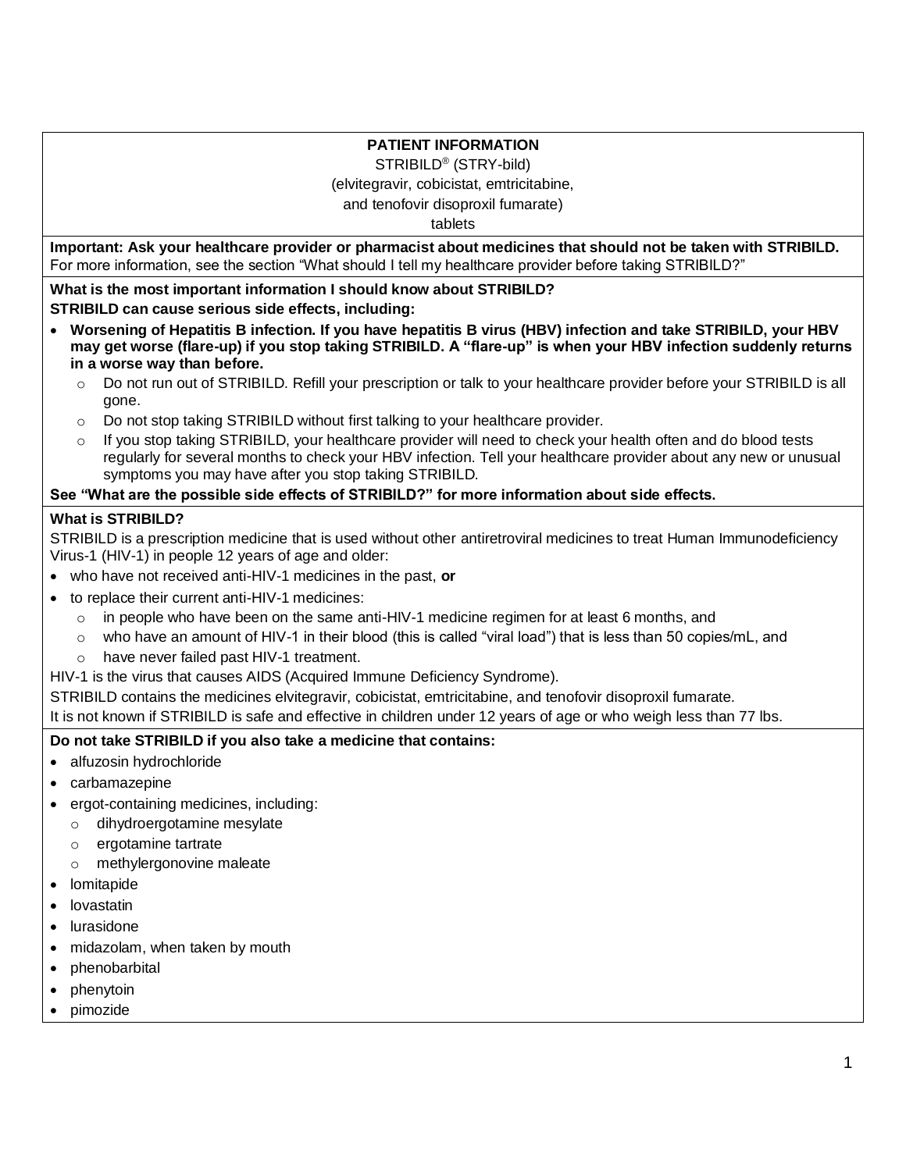#### **PATIENT INFORMATION**

STRIBILD® (STRY-bild)

(elvitegravir, cobicistat, emtricitabine,

and tenofovir disoproxil fumarate)

tablets

**Important: Ask your healthcare provider or pharmacist about medicines that should not be taken with STRIBILD.**  For more information, see the section "What should I tell my healthcare provider before taking STRIBILD?"

**What is the most important information I should know about STRIBILD? STRIBILD can cause serious side effects, including:**

- **Worsening of Hepatitis B infection. If you have hepatitis B virus (HBV) infection and take STRIBILD, your HBV may get worse (flare-up) if you stop taking STRIBILD. A "flare-up" is when your HBV infection suddenly returns in a worse way than before.**
	- o Do not run out of STRIBILD. Refill your prescription or talk to your healthcare provider before your STRIBILD is all gone.
	- $\circ$  Do not stop taking STRIBILD without first talking to your healthcare provider.
	- If you stop taking STRIBILD, your healthcare provider will need to check your health often and do blood tests regularly for several months to check your HBV infection. Tell your healthcare provider about any new or unusual symptoms you may have after you stop taking STRIBILD.

#### **See "What are the possible side effects of STRIBILD?" for more information about side effects.**

#### **What is STRIBILD?**

STRIBILD is a prescription medicine that is used without other antiretroviral medicines to treat Human Immunodeficiency Virus-1 (HIV-1) in people 12 years of age and older:

- who have not received anti-HIV-1 medicines in the past, **or**
- to replace their current anti-HIV-1 medicines:
	- $\circ$  in people who have been on the same anti-HIV-1 medicine regimen for at least 6 months, and
	- $\circ$  who have an amount of HIV-1 in their blood (this is called "viral load") that is less than 50 copies/mL, and
	- o have never failed past HIV-1 treatment.
- HIV-1 is the virus that causes AIDS (Acquired Immune Deficiency Syndrome).

STRIBILD contains the medicines elvitegravir, cobicistat, emtricitabine, and tenofovir disoproxil fumarate.

It is not known if STRIBILD is safe and effective in children under 12 years of age or who weigh less than 77 lbs.

#### **Do not take STRIBILD if you also take a medicine that contains:**

- alfuzosin hydrochloride
- carbamazepine
- ergot-containing medicines, including:
	- o dihydroergotamine mesylate
	- o ergotamine tartrate
	- o methylergonovine maleate
- lomitapide
- lovastatin
- lurasidone
- midazolam, when taken by mouth
- phenobarbital
- phenytoin
- pimozide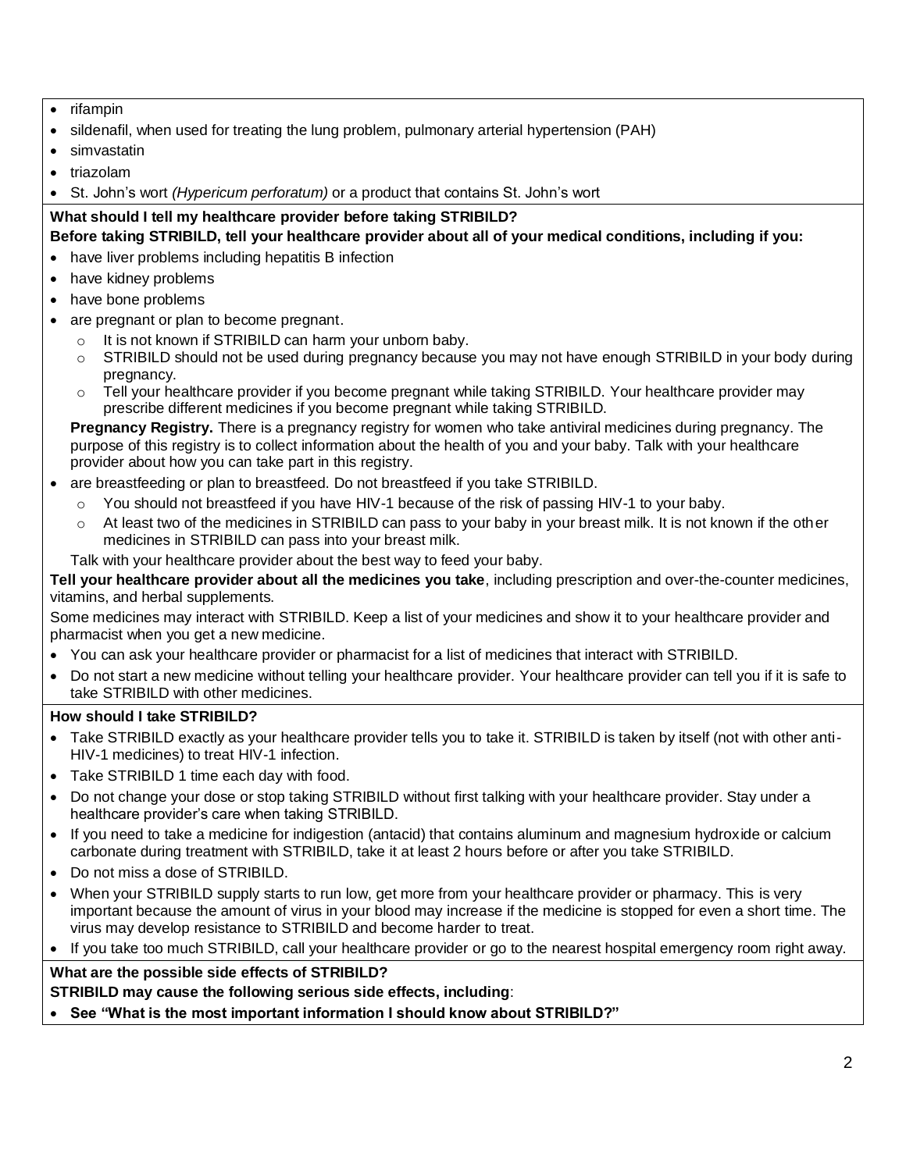- rifampin
- sildenafil, when used for treating the lung problem, pulmonary arterial hypertension (PAH)
- simvastatin
- triazolam
- St. John's wort *(Hypericum perforatum)* or a product that contains St. John's wort

# **What should I tell my healthcare provider before taking STRIBILD?**

**Before taking STRIBILD, tell your healthcare provider about all of your medical conditions, including if you:** 

- have liver problems including hepatitis B infection
- have kidney problems
- have bone problems
- are pregnant or plan to become pregnant.
	- It is not known if STRIBILD can harm your unborn baby.
	- o STRIBILD should not be used during pregnancy because you may not have enough STRIBILD in your body during pregnancy.
	- o Tell your healthcare provider if you become pregnant while taking STRIBILD. Your healthcare provider may prescribe different medicines if you become pregnant while taking STRIBILD.

**Pregnancy Registry.** There is a pregnancy registry for women who take antiviral medicines during pregnancy. The purpose of this registry is to collect information about the health of you and your baby. Talk with your healthcare provider about how you can take part in this registry.

- are breastfeeding or plan to breastfeed. Do not breastfeed if you take STRIBILD.
	- $\circ$  You should not breastfeed if you have HIV-1 because of the risk of passing HIV-1 to your baby.
	- At least two of the medicines in STRIBILD can pass to your baby in your breast milk. It is not known if the other medicines in STRIBILD can pass into your breast milk.

Talk with your healthcare provider about the best way to feed your baby.

**Tell your healthcare provider about all the medicines you take**, including prescription and over-the-counter medicines, vitamins, and herbal supplements.

Some medicines may interact with STRIBILD. Keep a list of your medicines and show it to your healthcare provider and pharmacist when you get a new medicine.

- You can ask your healthcare provider or pharmacist for a list of medicines that interact with STRIBILD.
- Do not start a new medicine without telling your healthcare provider. Your healthcare provider can tell you if it is safe to take STRIBILD with other medicines.

### **How should I take STRIBILD?**

- Take STRIBILD exactly as your healthcare provider tells you to take it. STRIBILD is taken by itself (not with other anti-HIV-1 medicines) to treat HIV-1 infection.
- Take STRIBILD 1 time each day with food.
- Do not change your dose or stop taking STRIBILD without first talking with your healthcare provider. Stay under a healthcare provider's care when taking STRIBILD.
- If you need to take a medicine for indigestion (antacid) that contains aluminum and magnesium hydroxide or calcium carbonate during treatment with STRIBILD, take it at least 2 hours before or after you take STRIBILD.
- Do not miss a dose of STRIBILD.
- When your STRIBILD supply starts to run low, get more from your healthcare provider or pharmacy. This is very important because the amount of virus in your blood may increase if the medicine is stopped for even a short time. The virus may develop resistance to STRIBILD and become harder to treat.
- If you take too much STRIBILD, call your healthcare provider or go to the nearest hospital emergency room right away.

### **What are the possible side effects of STRIBILD?**

**STRIBILD may cause the following serious side effects, including**:

• **See "What is the most important information I should know about STRIBILD?"**